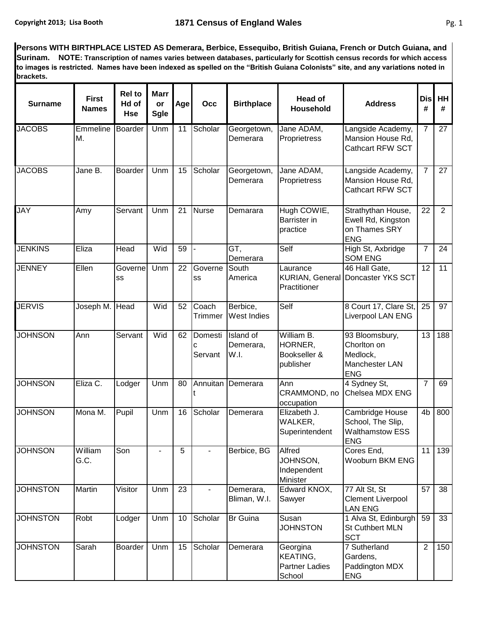**Persons WITH BIRTHPLACE LISTED AS Demerara, Berbice, Essequibo, British Guiana, French or Dutch Guiana, and Surinam. NOTE: Transcription of names varies between databases, particularly for Scottish census records for which access to images is restricted. Names have been indexed as spelled on the "British Guiana Colonists" site, and any variations noted in brackets.**

| <b>Surname</b>  | <b>First</b><br><b>Names</b> | <b>Rel to</b><br>Hd of<br>Hse | <b>Marr</b><br>or<br>Sgle | Age             | Occ                | <b>Birthplace</b>              | <b>Head of</b><br>Household                             | <b>Address</b>                                                               | <b>Dis</b><br># | HH<br>#        |
|-----------------|------------------------------|-------------------------------|---------------------------|-----------------|--------------------|--------------------------------|---------------------------------------------------------|------------------------------------------------------------------------------|-----------------|----------------|
| <b>JACOBS</b>   | Emmeline<br>М.               | Boarder                       | Unm                       | 11              | Scholar            | Georgetown,<br>Demerara        | Jane ADAM,<br>Proprietress                              | Langside Academy,<br>Mansion House Rd,<br>Cathcart RFW SCT                   | 7               | 27             |
| <b>JACOBS</b>   | Jane B.                      | <b>Boarder</b>                | Unm                       | 15              | Scholar            | Georgetown,<br>Demerara        | Jane ADAM,<br>Proprietress                              | Langside Academy,<br>Mansion House Rd,<br>Cathcart RFW SCT                   | $\overline{7}$  | 27             |
| <b>JAY</b>      | Amy                          | Servant                       | Unm                       | 21              | <b>Nurse</b>       | Demarara                       | Hugh COWIE,<br>Barrister in<br>practice                 | Strathythan House,<br>Ewell Rd, Kingston<br>on Thames SRY<br><b>ENG</b>      | 22              | $\overline{2}$ |
| <b>JENKINS</b>  | Eliza                        | Head                          | Wid                       | 59              |                    | GT,<br>Demerara                | Self                                                    | High St, Axbridge<br><b>SOM ENG</b>                                          | $\overline{7}$  | 24             |
| <b>JENNEY</b>   | Ellen                        | Governel<br>SS                | Unm                       | $\overline{22}$ | Governe<br>SS      | South<br>America               | Laurance<br>Practitioner                                | 46 Hall Gate,<br>KURIAN, General Doncaster YKS SCT                           | $\overline{12}$ | 11             |
| <b>JERVIS</b>   | Joseph M. Head               |                               | Wid                       | 52              | Coach<br>Trimmer   | Berbice,<br>West Indies        | Self                                                    | 8 Court 17, Clare St,<br><b>Liverpool LAN ENG</b>                            | 25              | 97             |
| <b>JOHNSON</b>  | Ann                          | Servant                       | Wid                       | 62              | Domesti<br>Servant | Island of<br>Demerara,<br>W.I. | William B.<br>HORNER,<br>Bookseller &<br>publisher      | 93 Bloomsbury,<br>Chorlton on<br>Medlock,<br>Manchester LAN<br><b>ENG</b>    | 13              | 188            |
| <b>JOHNSON</b>  | Eliza C.                     | Lodger                        | Unm                       | 80              | Annuitan           | Demerara                       | Ann<br>CRAMMOND, no<br>occupation                       | 4 Sydney St,<br>Chelsea MDX ENG                                              | $\overline{7}$  | 69             |
| <b>JOHNSON</b>  | Mona M.                      | Pupil                         | Unm                       | 16              | Scholar            | Demerara                       | Elizabeth J.<br>WALKER,<br>Superintendent               | Cambridge House<br>School, The Slip,<br><b>Walthamstow ESS</b><br><b>ENG</b> | 4 <sub>b</sub>  | 800            |
| <b>JOHNSON</b>  | William<br>G.C.              | Son                           |                           | 5               |                    | Berbice, BG                    | Alfred<br>JOHNSON,<br>Independent<br>Minister           | Cores End,<br>Wooburn BKM ENG                                                | 11              | 139            |
| <b>JOHNSTON</b> | Martin                       | Visitor                       | Unm                       | 23              |                    | Demerara,<br>Bliman, W.I.      | Edward KNOX,<br>Sawyer                                  | 77 Alt St, St<br><b>Clement Liverpool</b><br><b>LAN ENG</b>                  | 57              | 38             |
| <b>JOHNSTON</b> | Robt                         | Lodger                        | Unm                       | 10              | Scholar            | <b>Br</b> Guina                | Susan<br><b>JOHNSTON</b>                                | 1 Alva St, Edinburgh<br><b>St Cuthbert MLN</b><br><b>SCT</b>                 | 59              | 33             |
| <b>JOHNSTON</b> | Sarah                        | <b>Boarder</b>                | Unm                       | 15              | Scholar            | Demerara                       | Georgina<br>KEATING,<br><b>Partner Ladies</b><br>School | 7 Sutherland<br>Gardens,<br>Paddington MDX<br><b>ENG</b>                     | $\overline{2}$  | 150            |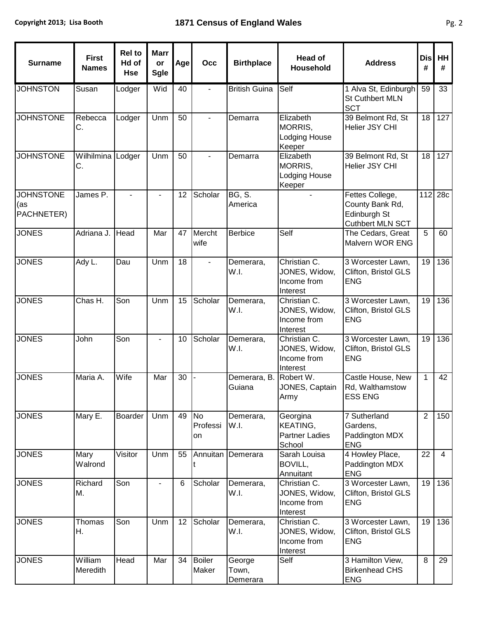| <b>Surname</b>                        | <b>First</b><br><b>Names</b> | <b>Rel to</b><br>Hd of<br><b>Hse</b> | <b>Marr</b><br>or<br><b>Sgle</b> | Age | Occ                      | <b>Birthplace</b>           | <b>Head of</b><br><b>Household</b>                                     | <b>Address</b>                                                         | <b>Dis</b><br># | HH<br>#        |
|---------------------------------------|------------------------------|--------------------------------------|----------------------------------|-----|--------------------------|-----------------------------|------------------------------------------------------------------------|------------------------------------------------------------------------|-----------------|----------------|
| <b>JOHNSTON</b>                       | Susan                        | Lodger                               | Wid                              | 40  |                          | <b>British Guina</b>        | Self                                                                   | 1 Alva St, Edinburgh<br>St Cuthbert MLN<br><b>SCT</b>                  | 59              | 33             |
| <b>JOHNSTONE</b>                      | Rebecca<br>С.                | Lodger                               | Unm                              | 50  | $\overline{\phantom{0}}$ | Demarra                     | Elizabeth<br><b>MORRIS.</b><br>Lodging House<br>Keeper                 | 39 Belmont Rd, St<br>Helier JSY CHI                                    | 18              | 127            |
| <b>JOHNSTONE</b>                      | Wilhilmina<br>С.             | Lodger                               | Unm                              | 50  | ÷.                       | Demarra                     | Elizabeth<br>MORRIS,<br>Lodging House<br>Keeper                        | 39 Belmont Rd, St<br>Helier JSY CHI                                    | 18              | 127            |
| <b>JOHNSTONE</b><br>(as<br>PACHNETER) | James P.                     |                                      |                                  | 12  | Scholar                  | <b>BG, S.</b><br>America    |                                                                        | Fettes College,<br>County Bank Rd,<br>Edinburgh St<br>Cuthbert MLN SCT | 112             | 28c            |
| <b>JONES</b>                          | Adriana J.                   | Head                                 | Mar                              | 47  | Mercht<br>wife           | <b>Berbice</b>              | Self                                                                   | The Cedars, Great<br>Malvern WOR ENG                                   | 5               | 60             |
| <b>JONES</b>                          | Ady L.                       | Dau                                  | Unm                              | 18  |                          | Demerara,<br>W.I.           | Christian C.<br>JONES, Widow,<br>Income from<br>Interest               | 3 Worcester Lawn,<br>Clifton, Bristol GLS<br><b>ENG</b>                | 19              | 136            |
| <b>JONES</b>                          | Chas $H$ .                   | Son                                  | Unm                              | 15  | Scholar                  | Demerara,<br>W.I.           | Christian $\overline{C}$ .<br>JONES, Widow,<br>Income from<br>Interest | 3 Worcester Lawn,<br>Clifton, Bristol GLS<br><b>ENG</b>                | 19              | 136            |
| <b>JONES</b>                          | John                         | Son                                  | $\blacksquare$                   | 10  | Scholar                  | Demerara,<br>W.I.           | Christian C.<br>JONES, Widow,<br>Income from<br>Interest               | 3 Worcester Lawn,<br>Clifton, Bristol GLS<br><b>ENG</b>                | 19              | 136            |
| <b>JONES</b>                          | Maria A.                     | Wife                                 | Mar                              | 30  |                          | Demerara, B.<br>Guiana      | Robert W.<br>JONES, Captain<br>Army                                    | Castle House, New<br>Rd, Walthamstow<br><b>ESS ENG</b>                 | $\mathbf{1}$    | 42             |
| <b>JONES</b>                          | Mary E.                      | Boarder                              | Unm                              | 49  | No<br>Professi<br>on     | Demerara,<br>W.I.           | Georgina<br>KEATING,<br><b>Partner Ladies</b><br>School                | 7 Sutherland<br>Gardens,<br>Paddington MDX<br><b>ENG</b>               | $\overline{2}$  | 150            |
| <b>JONES</b>                          | Mary<br>Walrond              | Visitor                              | Unm                              | 55  | Annuitan                 | Demerara                    | Sarah Louisa<br>BOVILL,<br>Annuitant                                   | 4 Howley Place,<br>Paddington MDX<br><b>ENG</b>                        | 22              | $\overline{4}$ |
| <b>JONES</b>                          | Richard<br>М.                | Son                                  | $\blacksquare$                   | 6   | Scholar                  | Demerara,<br>W.I.           | Christian C.<br>JONES, Widow,<br>Income from<br>Interest               | 3 Worcester Lawn,<br>Clifton, Bristol GLS<br><b>ENG</b>                | 19              | 136            |
| <b>JONES</b>                          | Thomas<br>Η.                 | Son                                  | Unm                              | 12  | Scholar                  | Demerara,<br>W.I.           | Christian C.<br>JONES, Widow,<br>Income from<br>Interest               | 3 Worcester Lawn,<br>Clifton, Bristol GLS<br><b>ENG</b>                | 19              | 136            |
| <b>JONES</b>                          | William<br>Meredith          | Head                                 | Mar                              | 34  | <b>Boiler</b><br>Maker   | George<br>Town,<br>Demerara | Self                                                                   | 3 Hamilton View,<br><b>Birkenhead CHS</b><br><b>ENG</b>                | 8               | 29             |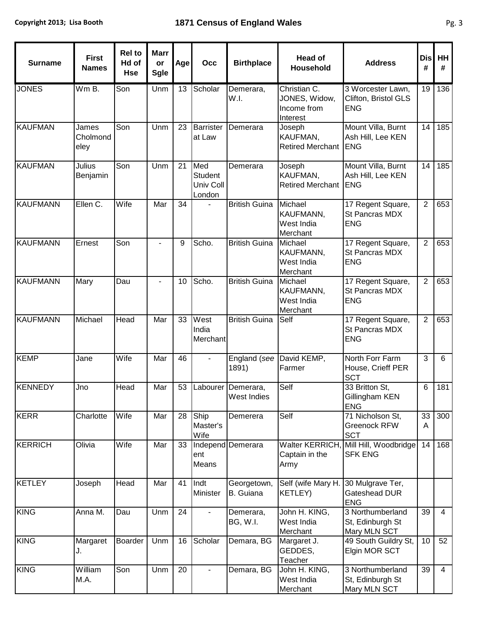| <b>Surname</b>  | <b>First</b><br><b>Names</b> | <b>Rel to</b><br>Hd of<br><b>Hse</b> | <b>Marr</b><br>or<br><b>Sgle</b> | Age | Occ                                          | <b>Birthplace</b>                 | <b>Head of</b><br><b>Household</b>                       | <b>Address</b>                                          | <b>Dis</b><br># | HH<br>#        |
|-----------------|------------------------------|--------------------------------------|----------------------------------|-----|----------------------------------------------|-----------------------------------|----------------------------------------------------------|---------------------------------------------------------|-----------------|----------------|
| <b>JONES</b>    | Wm B.                        | Son                                  | Unm                              | 13  | Scholar                                      | Demerara,<br>W.I.                 | Christian C.<br>JONES, Widow,<br>Income from<br>Interest | 3 Worcester Lawn,<br>Clifton, Bristol GLS<br><b>ENG</b> | 19              | 136            |
| <b>KAUFMAN</b>  | James<br>Cholmond<br>eley    | Son                                  | Unm                              | 23  | <b>Barrister</b><br>at Law                   | Demerara                          | Joseph<br>KAUFMAN,<br><b>Retired Merchant</b>            | Mount Villa, Burnt<br>Ash Hill, Lee KEN<br><b>ENG</b>   | 14              | 185            |
| <b>KAUFMAN</b>  | Julius<br>Benjamin           | Son                                  | Unm                              | 21  | Med<br><b>Student</b><br>Univ Coll<br>London | Demerara                          | Joseph<br>KAUFMAN,<br><b>Retired Merchant</b>            | Mount Villa, Burnt<br>Ash Hill, Lee KEN<br><b>ENG</b>   | 14              | 185            |
| <b>KAUFMANN</b> | Ellen C.                     | Wife                                 | Mar                              | 34  |                                              | <b>British Guina</b>              | Michael<br>KAUFMANN,<br>West India<br>Merchant           | 17 Regent Square,<br>St Pancras MDX<br><b>ENG</b>       | $\overline{2}$  | 653            |
| <b>KAUFMANN</b> | Ernest                       | Son                                  | $\blacksquare$                   | 9   | Scho.                                        | <b>British Guina</b>              | Michael<br>KAUFMANN,<br>West India<br>Merchant           | 17 Regent Square,<br>St Pancras MDX<br><b>ENG</b>       | $\overline{2}$  | 653            |
| <b>KAUFMANN</b> | Mary                         | Dau                                  |                                  | 10  | Scho.                                        | <b>British Guina</b>              | Michael<br>KAUFMANN,<br>West India<br>Merchant           | 17 Regent Square,<br>St Pancras MDX<br><b>ENG</b>       | $\overline{2}$  | 653            |
| <b>KAUFMANN</b> | Michael                      | <b>Head</b>                          | Mar                              | 33  | West<br>India<br>Merchant                    | <b>British Guina</b>              | Self                                                     | 17 Regent Square,<br>St Pancras MDX<br><b>ENG</b>       | $\overline{2}$  | 653            |
| <b>KEMP</b>     | Jane                         | Wife                                 | Mar                              | 46  |                                              | 1891)                             | England (see David KEMP,<br>Farmer                       | North Forr Farm<br>House, Crieff PER<br><b>SCT</b>      | 3               | 6              |
| <b>KENNEDY</b>  | Jno                          | Head                                 | Mar                              | 53  |                                              | Labourer Demerara,<br>West Indies | Self                                                     | 33 Britton St,<br>Gillingham KEN<br><b>ENG</b>          | 6               | 181            |
| <b>KERR</b>     | Charlotte                    | Wife                                 | Mar                              | 28  | Ship<br>Master's<br>Wife                     | Demerera                          | Self                                                     | 71 Nicholson St,<br><b>Greenock RFW</b><br><b>SCT</b>   | 33<br>A         | 300            |
| <b>KERRICH</b>  | Olivia                       | Wife                                 | Mar                              | 33  | ent<br>Means                                 | Independ Demerara                 | Captain in the<br>Army                                   | Walter KERRICH, Mill Hill, Woodbridge<br><b>SFK ENG</b> | 14              | 168            |
| <b>KETLEY</b>   | Joseph                       | Head                                 | Mar                              | 41  | Indt<br>Minister                             | Georgetown,<br>B. Guiana          | Self (wife Mary H. 30 Mulgrave Ter,<br><b>KETLEY)</b>    | Gateshead DUR<br><b>ENG</b>                             |                 |                |
| <b>KING</b>     | Anna M.                      | Dau                                  | Unm                              | 24  |                                              | Demerara,<br>BG, W.I.             | John H. KING,<br>West India<br>Merchant                  | 3 Northumberland<br>St, Edinburgh St<br>Mary MLN SCT    | 39              | $\overline{4}$ |
| <b>KING</b>     | Margaret<br>J.               | Boarder                              | Unm                              | 16  | Scholar                                      | Demara, BG                        | Margaret J.<br>GEDDES,<br>Teacher                        | 49 South Guildry St,<br>Elgin MOR SCT                   | 10              | 52             |
| <b>KING</b>     | William<br>M.A.              | Son                                  | Unm                              | 20  |                                              | Demara, BG                        | John H. KING,<br>West India<br>Merchant                  | 3 Northumberland<br>St, Edinburgh St<br>Mary MLN SCT    | 39              | $\overline{4}$ |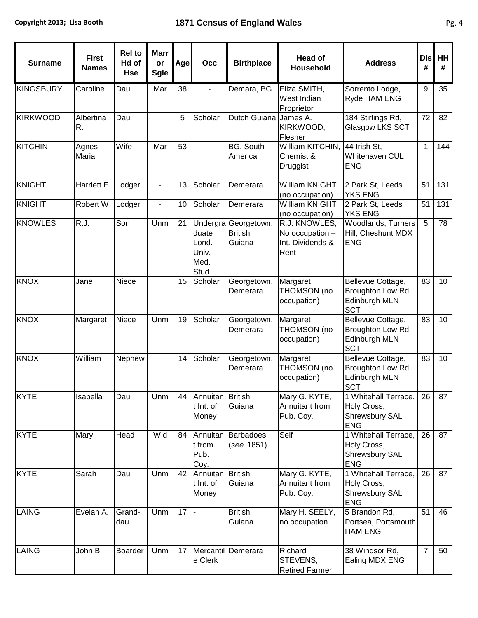| <b>Surname</b>   | <b>First</b><br><b>Names</b> | <b>Rel to</b><br>Hd of<br><b>Hse</b> | <b>Marr</b><br>or<br>Sgle | Age | Occ                                                  | <b>Birthplace</b>                       | <b>Head of</b><br>Household                                  | <b>Address</b>                                                        | <b>Dis</b><br># | HH<br># |
|------------------|------------------------------|--------------------------------------|---------------------------|-----|------------------------------------------------------|-----------------------------------------|--------------------------------------------------------------|-----------------------------------------------------------------------|-----------------|---------|
| <b>KINGSBURY</b> | Caroline                     | Dau                                  | Mar                       | 38  | ۰                                                    | Demara, BG                              | Eliza SMITH,<br>West Indian<br>Proprietor                    | Sorrento Lodge,<br>Ryde HAM ENG                                       | 9               | 35      |
| <b>KIRKWOOD</b>  | Albertina<br>R.              | Dau                                  |                           | 5   | Scholar                                              | Dutch Guiana James A.                   | KIRKWOOD,<br>Flesher                                         | 184 Stirlings Rd,<br>Glasgow LKS SCT                                  | 72              | 82      |
| <b>KITCHIN</b>   | Agnes<br>Maria               | Wife                                 | Mar                       | 53  |                                                      | <b>BG, South</b><br>America             | William KITCHIN,<br>Chemist &<br>Druggist                    | 44 Irish St,<br>Whitehaven CUL<br><b>ENG</b>                          | $\mathbf{1}$    | 144     |
| <b>KNIGHT</b>    | <b>Harriett E</b>            | Lodger                               |                           | 13  | Scholar                                              | Demerara                                | <b>William KNIGHT</b><br>(no occupation)                     | 2 Park St, Leeds<br><b>YKS ENG</b>                                    | 51              | 131     |
| <b>KNIGHT</b>    | Robert W.                    | Lodger                               |                           | 10  | Scholar                                              | Demerara                                | <b>William KNIGHT</b><br>(no occupation)                     | 2 Park St, Leeds<br><b>YKS ENG</b>                                    | 51              | 131     |
| <b>KNOWLES</b>   | R.J.                         | Son                                  | Unm                       | 21  | Undergra<br>duate<br>Lond.<br>Univ.<br>Med.<br>Stud. | Georgetown,<br><b>British</b><br>Guiana | R.J. KNOWLES,<br>No occupation -<br>Int. Dividends &<br>Rent | <b>Woodlands, Turners</b><br>Hill, Cheshunt MDX<br><b>ENG</b>         | 5               | 78      |
| <b>KNOX</b>      | Jane                         | Niece                                |                           | 15  | Scholar                                              | Georgetown,<br>Demerara                 | Margaret<br>THOMSON (no<br>occupation)                       | Bellevue Cottage,<br>Broughton Low Rd,<br>Edinburgh MLN<br><b>SCT</b> | 83              | 10      |
| <b>KNOX</b>      | Margaret                     | Niece                                | Unm                       | 19  | Scholar                                              | Georgetown,<br>Demerara                 | Margaret<br>THOMSON (no<br>occupation)                       | Bellevue Cottage,<br>Broughton Low Rd,<br>Edinburgh MLN<br><b>SCT</b> | 83              | 10      |
| <b>KNOX</b>      | William                      | Nephew                               |                           | 14  | Scholar                                              | Georgetown,<br>Demerara                 | Margaret<br>THOMSON (no<br>occupation)                       | Bellevue Cottage,<br>Broughton Low Rd,<br>Edinburgh MLN<br><b>SCT</b> | 83              | 10      |
| <b>KYTE</b>      | Isabella                     | Dau                                  | Unm                       | 44  | Annuitan British<br>t Int. of<br>Money               | Guiana                                  | Mary G. KYTE,<br>Annuitant from<br>Pub. Coy.                 | 1 Whitehall Terrace,<br>Holy Cross,<br>Shrewsbury SAL<br><b>ENG</b>   | 26 I            | 87      |
| <b>KYTE</b>      | Mary                         | Head                                 | Wid                       | 84  | Annuitan<br>t from<br>Pub.<br>Coy.                   | <b>Barbadoes</b><br>(see 1851)          | Self                                                         | 1 Whitehall Terrace,<br>Holy Cross,<br>Shrewsbury SAL<br><b>ENG</b>   | 26              | 87      |
| <b>KYTE</b>      | Sarah                        | Dau                                  | Unm                       | 42  | Annuitan<br>t Int. of<br>Money                       | <b>British</b><br>Guiana                | Mary G. KYTE,<br>Annuitant from<br>Pub. Coy.                 | 1 Whitehall Terrace,<br>Holy Cross,<br>Shrewsbury SAL<br><b>ENG</b>   | 26              | 87      |
| <b>LAING</b>     | Evelan A.                    | Grand-<br>dau                        | Unm                       | 17  |                                                      | <b>British</b><br>Guiana                | Mary H. SEELY,<br>no occupation                              | 5 Brandon Rd,<br>Portsea, Portsmouth<br><b>HAM ENG</b>                | 51              | 46      |
| <b>LAING</b>     | John B.                      | Boarder                              | Unm                       | 17  | e Clerk                                              | Mercantil Demerara                      | Richard<br>STEVENS,<br><b>Retired Farmer</b>                 | 38 Windsor Rd,<br>Ealing MDX ENG                                      | $\overline{7}$  | 50      |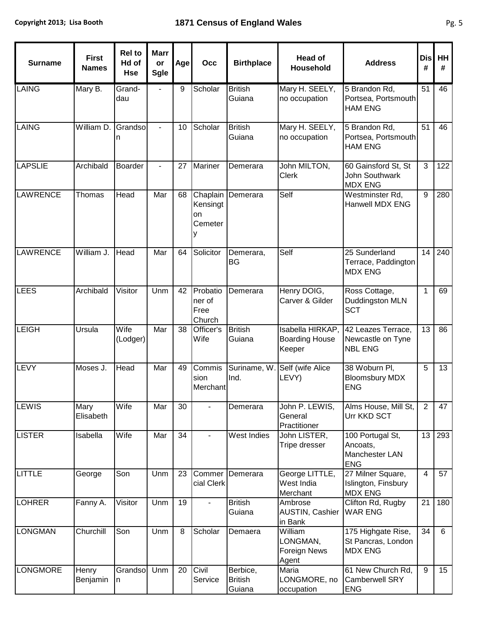| <b>Surname</b>  | <b>First</b><br><b>Names</b> | <b>Rel to</b><br>Hd of<br><b>Hse</b> | <b>Marr</b><br>or<br><b>Sgle</b> | Age | Occ                                   | <b>Birthplace</b>                    | <b>Head of</b><br><b>Household</b>                  | <b>Address</b>                                               | <b>Dis</b><br>#         | HH<br># |
|-----------------|------------------------------|--------------------------------------|----------------------------------|-----|---------------------------------------|--------------------------------------|-----------------------------------------------------|--------------------------------------------------------------|-------------------------|---------|
| <b>LAING</b>    | Mary B.                      | Grand-<br>dau                        |                                  | 9   | Scholar                               | <b>British</b><br>Guiana             | Mary H. SEELY,<br>no occupation                     | 5 Brandon Rd,<br>Portsea, Portsmouth<br><b>HAM ENG</b>       | 51                      | 46      |
| <b>LAING</b>    | William D.                   | Grandso<br>n                         |                                  | 10  | Scholar                               | <b>British</b><br>Guiana             | Mary H. SEELY,<br>no occupation                     | 5 Brandon Rd,<br>Portsea, Portsmouth<br><b>HAM ENG</b>       | 51                      | 46      |
| <b>LAPSLIE</b>  | Archibald                    | <b>Boarder</b>                       |                                  | 27  | Mariner                               | Demerara                             | John MILTON,<br><b>Clerk</b>                        | 60 Gainsford St, St<br>John Southwark<br><b>MDX ENG</b>      | 3                       | 122     |
| <b>LAWRENCE</b> | Thomas                       | Head                                 | Mar                              | 68  | Chaplain<br>Kensingt<br>on<br>Cemeter | Demerara                             | Self                                                | Westminster Rd,<br><b>Hanwell MDX ENG</b>                    | 9                       | 280     |
| <b>LAWRENCE</b> | William J.                   | Head                                 | Mar                              | 64  | Solicitor                             | Demerara,<br><b>BG</b>               | Self                                                | 25 Sunderland<br>Terrace, Paddington<br><b>MDX ENG</b>       | 14                      | 240     |
| <b>LEES</b>     | Archibald                    | Visitor                              | Unm                              | 42  | Probatio<br>ner of<br>Free<br>Church  | Demerara                             | Henry DOIG,<br>Carver & Gilder                      | Ross Cottage,<br>Duddingston MLN<br><b>SCT</b>               | $\mathbf{1}$            | 69      |
| <b>LEIGH</b>    | Ursula                       | Wife<br>(Lodger)                     | Mar                              | 38  | Officer's<br>Wife                     | <b>British</b><br>Guiana             | Isabella HIRKAP,<br><b>Boarding House</b><br>Keeper | 42 Leazes Terrace,<br>Newcastle on Tyne<br><b>NBL ENG</b>    | $\overline{13}$         | 86      |
| <b>LEVY</b>     | Moses J.                     | Head                                 | Mar                              | 49  | Commis<br>sion<br>Merchant            | Suriname, W<br>Ind.                  | Self (wife Alice<br>LEVY)                           | 38 Woburn Pl,<br><b>Bloomsbury MDX</b><br><b>ENG</b>         | $\overline{5}$          | 13      |
| LEWIS           | Mary<br>Elisabeth            | Wife                                 | Mar                              | 30  |                                       | Demerara                             | John P. LEWIS,<br>General<br>Practitioner           | Alms House, Mill St,<br>Urr KKD SCT                          | $\overline{2}$          | 47      |
| <b>LISTER</b>   | Isabella                     | Wife                                 | Mar                              | 34  |                                       | West Indies                          | John LISTER,<br>Tripe dresser                       | 100 Portugal St,<br>Ancoats,<br>Manchester LAN<br><b>ENG</b> | 13                      | 293     |
| LITTLE          | George                       | Son                                  | Unm                              | 23  | Commer<br>cial Clerk                  | Demerara                             | George LITTLE,<br>West India<br>Merchant            | 27 Milner Square,<br>Islington, Finsbury<br><b>MDX ENG</b>   | $\overline{\mathbf{4}}$ | 57      |
| <b>LOHRER</b>   | Fanny A.                     | Visitor                              | Unm                              | 19  |                                       | <b>British</b><br>Guiana             | Ambrose<br>AUSTIN, Cashier<br>in Bank               | Clifton Rd, Rugby<br><b>WAR ENG</b>                          | 21                      | 180     |
| <b>LONGMAN</b>  | Churchill                    | Son                                  | Unm                              | 8   | Scholar                               | Demaera                              | William<br>LONGMAN,<br><b>Foreign News</b><br>Agent | 175 Highgate Rise,<br>St Pancras, London<br><b>MDX ENG</b>   | 34                      | 6       |
| <b>LONGMORE</b> | Henry<br>Benjamin            | Grandso<br>n                         | Unm                              | 20  | Civil<br>Service                      | Berbice,<br><b>British</b><br>Guiana | Maria<br>LONGMORE, no<br>occupation                 | 61 New Church Rd,<br><b>Camberwell SRY</b><br><b>ENG</b>     | $\boldsymbol{9}$        | 15      |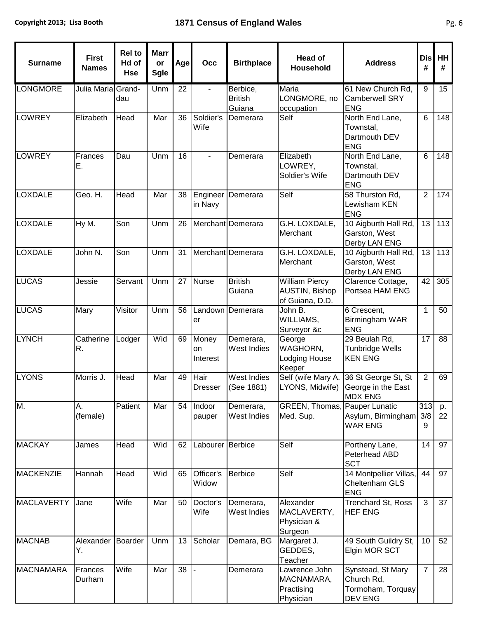| <b>Surname</b>    | <b>First</b><br><b>Names</b> | <b>Rel to</b><br>Hd of<br><b>Hse</b> | <b>Marr</b><br>or<br><b>Sgle</b> | Age | Occ                     | <b>Birthplace</b>                    | <b>Head of</b><br><b>Household</b>                         | <b>Address</b>                                                  | <b>Dis</b><br># | <b>HH</b><br># |
|-------------------|------------------------------|--------------------------------------|----------------------------------|-----|-------------------------|--------------------------------------|------------------------------------------------------------|-----------------------------------------------------------------|-----------------|----------------|
| <b>LONGMORE</b>   | Julia Maria Grand-           | dau                                  | Unm                              | 22  |                         | Berbice,<br><b>British</b><br>Guiana | Maria<br>LONGMORE, no<br>occupation                        | 61 New Church Rd,<br><b>Camberwell SRY</b><br><b>ENG</b>        | 9               | 15             |
| <b>LOWREY</b>     | Elizabeth                    | Head                                 | Mar                              | 36  | Soldier's<br>Wife       | Demerara                             | Self                                                       | North End Lane,<br>Townstal,<br>Dartmouth DEV<br><b>ENG</b>     | $6\phantom{1}$  | 148            |
| LOWREY            | Frances<br>Ε.                | Dau                                  | Unm                              | 16  |                         | Demerara                             | Elizabeth<br>LOWREY,<br>Soldier's Wife                     | North End Lane,<br>Townstal,<br>Dartmouth DEV<br><b>ENG</b>     | $6\phantom{1}$  | 148            |
| <b>LOXDALE</b>    | Geo. H.                      | Head                                 | Mar                              | 38  | in Navy                 | Engineer Demerara                    | Self                                                       | 58 Thurston Rd,<br>Lewisham KEN<br><b>ENG</b>                   | $\overline{2}$  | 174            |
| <b>LOXDALE</b>    | Hy M.                        | Son                                  | Unm                              | 26  |                         | Merchant Demerara                    | G.H. LOXDALE,<br>Merchant                                  | 10 Aigburth Hall Rd,<br>Garston, West<br>Derby LAN ENG          | 13              | 113            |
| <b>LOXDALE</b>    | John N.                      | Son                                  | Unm                              | 31  |                         | Merchant Demerara                    | G.H. LOXDALE,<br>Merchant                                  | 10 Aigburth Hall Rd,<br>Garston, West<br>Derby LAN ENG          | 13              | 113            |
| <b>LUCAS</b>      | Jessie                       | Servant                              | Unm                              | 27  | <b>Nurse</b>            | <b>British</b><br>Guiana             | <b>William Piercy</b><br>AUSTIN, Bishop<br>of Guiana, D.D. | Clarence Cottage,<br>Portsea HAM ENG                            | 42              | 305            |
| <b>LUCAS</b>      | Mary                         | Visitor                              | Unm                              | 56  | er                      | Landown Demerara                     | John B.<br>WILLIAMS,<br>Surveyor &c                        | 6 Crescent,<br>Birmingham WAR<br><b>ENG</b>                     | $\mathbf{1}$    | 50             |
| <b>LYNCH</b>      | Catherine<br>R.              | Lodger                               | Wid                              | 69  | Money<br>on<br>Interest | Demerara,<br><b>West Indies</b>      | George<br>WAGHORN,<br>Lodging House<br>Keeper              | 29 Beulah Rd,<br>Tunbridge Wells<br><b>KEN ENG</b>              | 17              | 88             |
| <b>LYONS</b>      | Morris J.                    | Head                                 | Mar                              | 49  | Hair<br><b>Dresser</b>  | West Indies<br>(See 1881)            | Self (wife Mary A.<br>LYONS, Midwife)                      | 36 St George St, St<br>George in the East<br><b>MDX ENG</b>     | $\overline{2}$  | 69             |
| M.                | Α.<br>(female)               | Patient                              | Mar                              | 54  | Indoor<br>pauper        | Demerara,<br>West Indies             | GREEN, Thomas,<br>Med. Sup.                                | Pauper Lunatic<br>Asylum, Birmingham<br><b>WAR ENG</b>          | 313<br>3/8<br>9 | p.<br>22       |
| <b>MACKAY</b>     | James                        | Head                                 | Wid                              | 62  | Labourer Berbice        |                                      | Self                                                       | Portheny Lane,<br>Peterhead ABD<br><b>SCT</b>                   | 14              | 97             |
| MACKENZIE         | Hannah                       | Head                                 | Wid                              | 65  | Officer's<br>Widow      | Berbice                              | Self                                                       | 14 Montpellier Villas,<br>Cheltenham GLS<br><b>ENG</b>          | 44              | 97             |
| <b>MACLAVERTY</b> | Jane                         | Wife                                 | Mar                              | 50  | Doctor's<br>Wife        | Demerara,<br>West Indies             | Alexander<br>MACLAVERTY,<br>Physician &<br>Surgeon         | <b>Trenchard St, Ross</b><br><b>HEF ENG</b>                     | 3               | 37             |
| <b>MACNAB</b>     | Alexander<br>Υ.              | Boarder                              | Unm                              | 13  | Scholar                 | Demara, BG                           | Margaret J.<br>GEDDES,<br>Teacher                          | 49 South Guildry St,<br>Elgin MOR SCT                           | 10              | 52             |
| <b>MACNAMARA</b>  | Frances<br>Durham            | Wife                                 | Mar                              | 38  |                         | Demerara                             | Lawrence John<br>MACNAMARA,<br>Practising<br>Physician     | Synstead, St Mary<br>Church Rd,<br>Tormoham, Torquay<br>DEV ENG | $\overline{7}$  | 28             |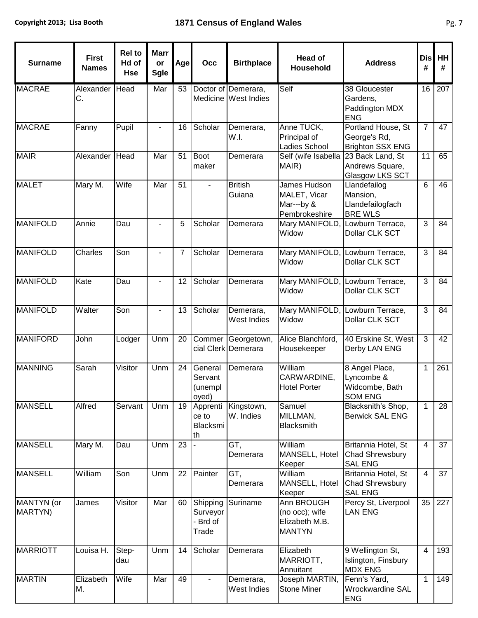| <b>Surname</b>        | <b>First</b><br><b>Names</b> | <b>Rel to</b><br>Hd of<br><b>Hse</b> | <b>Marr</b><br>or<br><b>Sgle</b> | Age             | Occ                                       | <b>Birthplace</b>                           | <b>Head of</b><br><b>Household</b>                              | <b>Address</b>                                                   | <b>Dis</b><br># | HH<br>#          |
|-----------------------|------------------------------|--------------------------------------|----------------------------------|-----------------|-------------------------------------------|---------------------------------------------|-----------------------------------------------------------------|------------------------------------------------------------------|-----------------|------------------|
| <b>MACRAE</b>         | Alexander<br>С.              | Head                                 | Mar                              | 53              |                                           | Doctor of Demerara,<br>Medicine West Indies | Self                                                            | 38 Gloucester<br>Gardens,<br>Paddington MDX<br><b>ENG</b>        | 16              | $\overline{207}$ |
| <b>MACRAE</b>         | Fanny                        | Pupil                                |                                  | 16              | Scholar                                   | Demerara,<br>W.I.                           | Anne TUCK,<br>Principal of<br>Ladies School                     | Portland House, St<br>George's Rd,<br>Brighton SSX ENG           | $\overline{7}$  | 47               |
| <b>MAIR</b>           | Alexander                    | Head                                 | Mar                              | 51              | <b>Boot</b><br>maker                      | Demerara                                    | Self (wife Isabella<br>MAIR)                                    | 23 Back Land, St<br>Andrews Square,<br>Glasgow LKS SCT           | 11              | 65               |
| <b>MALET</b>          | Mary M.                      | Wife                                 | Mar                              | 51              |                                           | <b>British</b><br>Guiana                    | James Hudson<br>MALET, Vicar<br>Mar---by &<br>Pembrokeshire     | Llandefailog<br>Mansion,<br>Llandefailogfach<br><b>BRE WLS</b>   | 6               | 46               |
| <b>MANIFOLD</b>       | Annie                        | Dau                                  |                                  | 5               | Scholar                                   | Demerara                                    | Widow                                                           | Mary MANIFOLD, Lowburn Terrace,<br>Dollar CLK SCT                | 3               | 84               |
| MANIFOLD              | Charles                      | Son                                  |                                  | $\overline{7}$  | Scholar                                   | Demerara                                    | Mary MANIFOLD, Lowburn Terrace,<br>Widow                        | Dollar CLK SCT                                                   | 3               | 84               |
| <b>MANIFOLD</b>       | Kate                         | Dau                                  |                                  | 12              | Scholar                                   | Demerara                                    | Mary MANIFOLD, Lowburn Terrace,<br>Widow                        | Dollar CLK SCT                                                   | $\overline{3}$  | 84               |
| <b>MANIFOLD</b>       | Walter                       | Son                                  |                                  | 13              | Scholar                                   | Demerara,<br>West Indies                    | Widow                                                           | Mary MANIFOLD, Lowburn Terrace,<br>Dollar CLK SCT                | 3               | 84               |
| <b>MANIFORD</b>       | John                         | Lodger                               | Unm                              | 20              |                                           | Commer Georgetown,<br>cial Clerk Demerara   | Alice Blanchford,<br>Housekeeper                                | 40 Erskine St, West<br>Derby LAN ENG                             | 3               | 42               |
| <b>MANNING</b>        | Sarah                        | Visitor                              | $\overline{U}$ nm                | 24              | General<br>Servant<br>(unempl<br>oyed)    | Demerara                                    | William<br>CARWARDINE,<br><b>Hotel Porter</b>                   | 8 Angel Place,<br>Lyncombe &<br>Widcombe, Bath<br><b>SOM ENG</b> | $\mathbf{1}$    | 261              |
| <b>MANSELL</b>        | Alfred                       | Servant                              | Unm                              | 19              | Apprenti<br>ce to<br>Blacksmi<br>th       | Kingstown,<br>W. Indies                     | Samuel<br>MILLMAN,<br><b>Blacksmith</b>                         | Blacksnith's Shop,<br><b>Berwick SAL ENG</b>                     | $\mathbf{1}$    | 28               |
| <b>MANSELL</b>        | Mary M.                      | Dau                                  | Unm                              | $\overline{23}$ |                                           | GT,<br>Demerara                             | William<br>MANSELL, Hotel<br>Keeper                             | Britannia Hotel, St<br>Chad Shrewsbury<br><b>SAL ENG</b>         | $\overline{4}$  | 37               |
| <b>MANSELL</b>        | William                      | Son                                  | Unm                              | 22              | Painter                                   | GT,<br>Demerara                             | William<br>MANSELL, Hotel<br>Keeper                             | Britannia Hotel, St<br><b>Chad Shrewsbury</b><br><b>SAL ENG</b>  | $\overline{4}$  | 37               |
| MANTYN (or<br>MARTYN) | James                        | Visitor                              | Mar                              | 60              | Shipping<br>Surveyor<br>- Brd of<br>Trade | Suriname                                    | Ann BROUGH<br>(no occ); wife<br>Elizabeth M.B.<br><b>MANTYN</b> | Percy St, Liverpool<br><b>LAN ENG</b>                            | $\overline{35}$ | $\overline{227}$ |
| <b>MARRIOTT</b>       | Louisa H.                    | Step-<br>dau                         | Unm                              | 14              | Scholar                                   | Demerara                                    | Elizabeth<br>MARRIOTT,<br>Annuitant                             | 9 Wellington St,<br>Islington, Finsbury<br><b>MDX ENG</b>        | $\overline{4}$  | 193              |
| <b>MARTIN</b>         | Elizabeth<br>М.              | Wife                                 | Mar                              | 49              |                                           | Demerara,<br>West Indies                    | Joseph MARTIN,<br><b>Stone Miner</b>                            | Fenn's Yard,<br>Wrockwardine SAL<br><b>ENG</b>                   | 1               | 149              |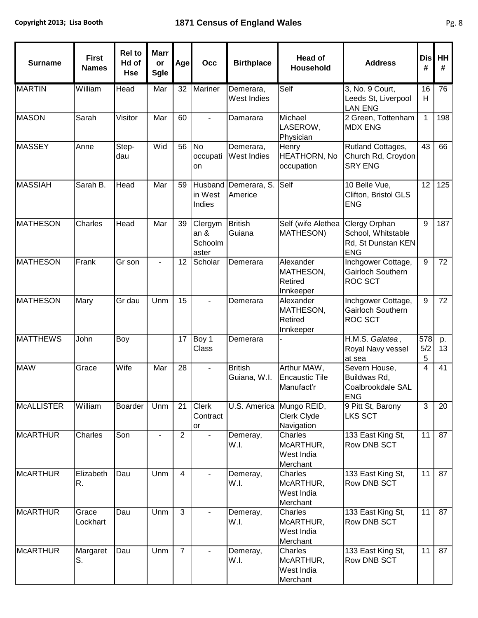| <b>Surname</b>  | <b>First</b><br><b>Names</b> | <b>Rel to</b><br>Hd of<br><b>Hse</b> | <b>Marr</b><br>or<br><b>Sgle</b> | Age            | Occ                                            | <b>Birthplace</b>              | <b>Head of</b><br><b>Household</b>                    | <b>Address</b>                                                          | <b>Dis</b><br># | HH<br>#  |
|-----------------|------------------------------|--------------------------------------|----------------------------------|----------------|------------------------------------------------|--------------------------------|-------------------------------------------------------|-------------------------------------------------------------------------|-----------------|----------|
| <b>MARTIN</b>   | William                      | Head                                 | Mar                              | 32             | Mariner                                        | Demerara,<br>West Indies       | Self                                                  | 3, No. 9 Court,<br>Leeds St, Liverpool<br><b>LAN ENG</b>                | 16<br>H         | 76       |
| <b>MASON</b>    | Sarah                        | Visitor                              | Mar                              | 60             |                                                | Damarara                       | Michael<br>LASEROW,<br>Physician                      | 2 Green, Tottenham<br><b>MDX ENG</b>                                    | $\mathbf{1}$    | 198      |
| <b>MASSEY</b>   | Anne                         | Step-<br>dau                         | Wid                              | 56             | <b>No</b><br>occupati<br>on                    | Demerara,<br>West Indies       | Henry<br><b>HEATHORN, No</b><br>occupation            | Rutland Cottages,<br>Church Rd, Croydon<br><b>SRY ENG</b>               | 43              | 66       |
| <b>MASSIAH</b>  | Sarah B.                     | Head                                 | Mar                              | 59             | Husband<br>in West<br>Indies                   | Demerara, S<br>Americe         | Self                                                  | 10 Belle Vue,<br>Clifton, Bristol GLS<br><b>ENG</b>                     | 12              | 125      |
| <b>MATHESON</b> | Charles                      | Head                                 | Mar                              | 39             | Clergym<br>an <sub>8</sub><br>Schoolm<br>aster | <b>British</b><br>Guiana       | Self (wife Alethea<br><b>MATHESON)</b>                | Clergy Orphan<br>School, Whitstable<br>Rd, St Dunstan KEN<br><b>ENG</b> | $9\,$           | 187      |
| <b>MATHESON</b> | Frank                        | Gr son                               | $\overline{a}$                   | 12             | Scholar                                        | Demerara                       | Alexander<br>MATHESON,<br>Retired<br>Innkeeper        | Inchgower Cottage,<br><b>Gairloch Southern</b><br><b>ROC SCT</b>        | 9               | 72       |
| <b>MATHESON</b> | Mary                         | $\overline{G}$ r dau                 | Unm                              | 15             |                                                | Demerara                       | Alexander<br>MATHESON,<br>Retired<br>Innkeeper        | Inchgower Cottage,<br>Gairloch Southern<br><b>ROC SCT</b>               | $9\,$           | 72       |
| <b>MATTHEWS</b> | John                         | Boy                                  |                                  | 17             | Boy 1<br>Class                                 | Demerara                       |                                                       | H.M.S. Galatea,<br>Royal Navy vessel<br>at sea                          | 578<br>5/2<br>5 | p.<br>13 |
| <b>MAW</b>      | Grace                        | Wife                                 | Mar                              | 28             |                                                | <b>British</b><br>Guiana, W.I. | Arthur MAW,<br><b>Encaustic Tile</b><br>Manufact'r    | Severn House,<br>Buildwas Rd,<br>Coalbrookdale SAL<br><b>IENG</b>       | $\overline{4}$  | 41       |
| McALLISTER      | William                      | Boarder                              | Unm                              | 21             | <b>Clerk</b><br>Contract<br>or                 |                                | U.S. America Mungo REID,<br>Clerk Clyde<br>Navigation | 9 Pitt St, Barony<br><b>LKS SCT</b>                                     | $\overline{3}$  | 20       |
| <b>McARTHUR</b> | Charles                      | Son                                  |                                  | $\overline{2}$ |                                                | Demeray,<br>W.I.               | Charles<br>McARTHUR,<br>West India<br>Merchant        | 133 East King St,<br><b>Row DNB SCT</b>                                 | 11              | 87       |
| <b>McARTHUR</b> | Elizabeth<br>R.              | Dau                                  | Unm                              | $\overline{4}$ |                                                | Demeray,<br>W.I.               | Charles<br>McARTHUR,<br>West India<br>Merchant        | 133 East King St,<br>Row DNB SCT                                        | 11              | 87       |
| <b>McARTHUR</b> | Grace<br>Lockhart            | Dau                                  | Unm                              | 3              |                                                | Demeray,<br>W.I.               | Charles<br>McARTHUR,<br>West India<br>Merchant        | 133 East King St,<br>Row DNB SCT                                        | 11              | 87       |
| <b>McARTHUR</b> | Margaret<br>S.               | Dau                                  | Unm                              | $\overline{7}$ |                                                | Demeray,<br>W.I.               | Charles<br>McARTHUR,<br>West India<br>Merchant        | 133 East King St,<br>Row DNB SCT                                        | 11              | 87       |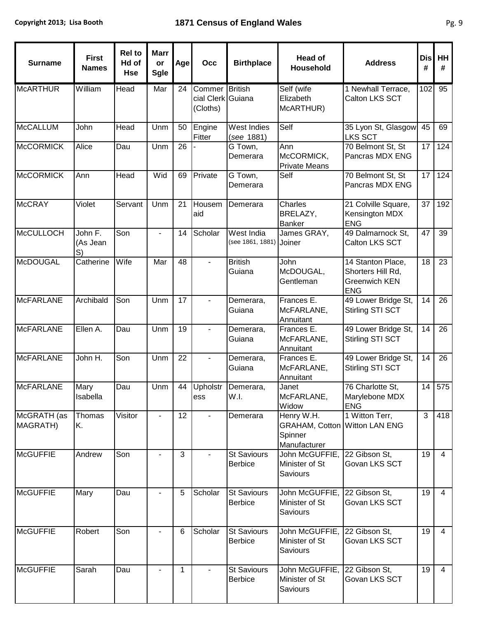| <b>Surname</b>          | <b>First</b><br><b>Names</b> | <b>Rel to</b><br>Hd of<br><b>Hse</b> | <b>Marr</b><br>or<br><b>Sgle</b> | Age             | Occ                                             | <b>Birthplace</b>                     | <b>Head of</b><br><b>Household</b>                                            | <b>Address</b>                                                               | <b>Dis</b><br># | <b>HH</b><br># |
|-------------------------|------------------------------|--------------------------------------|----------------------------------|-----------------|-------------------------------------------------|---------------------------------------|-------------------------------------------------------------------------------|------------------------------------------------------------------------------|-----------------|----------------|
| <b>McARTHUR</b>         | William                      | Head                                 | Mar                              | 24              | Commer British<br>cial Clerk Guiana<br>(Cloths) |                                       | Self (wife<br>Elizabeth<br>McARTHUR)                                          | 1 Newhall Terrace,<br>Calton LKS SCT                                         | 102             | 95             |
| <b>McCALLUM</b>         | John                         | Head                                 | Unm                              | 50              | Engine<br>Fitter                                | West Indies<br>(see 1881)             | Self                                                                          | 35 Lyon St, Glasgow<br><b>LKS SCT</b>                                        | 45              | 69             |
| <b>McCORMICK</b>        | Alice                        | Dau                                  | Unm                              | $\overline{26}$ |                                                 | G Town,<br>Demerara                   | Ann<br>McCORMICK,<br><b>Private Means</b>                                     | 70 Belmont St, St<br>Pancras MDX ENG                                         | 17              | 124            |
| <b>McCORMICK</b>        | Ann                          | Head                                 | Wid                              | 69              | Private                                         | G Town,<br>Demerara                   | Self                                                                          | 70 Belmont St, St<br>Pancras MDX ENG                                         | 17              | 124            |
| <b>McCRAY</b>           | Violet                       | Servant                              | Unm                              | 21              | Housem<br>aid                                   | Demerara                              | Charles<br>BRELAZY,<br><b>Banker</b>                                          | 21 Colville Square,<br>Kensington MDX<br><b>ENG</b>                          | 37              | 192            |
| <b>McCULLOCH</b>        | John F.<br>(As Jean<br>S)    | Son                                  |                                  | 14              | Scholar                                         | West India<br>(see 1861, 1881) Joiner | James GRAY,                                                                   | 49 Dalmarnock St,<br>Calton LKS SCT                                          | 47              | 39             |
| <b>McDOUGAL</b>         | Catherine                    | Wife                                 | Mar                              | 48              |                                                 | <b>British</b><br>Guiana              | John<br>McDOUGAL,<br>Gentleman                                                | 14 Stanton Place,<br>Shorters Hill Rd,<br><b>Greenwich KEN</b><br><b>ENG</b> | 18              | 23             |
| <b>McFARLANE</b>        | Archibald                    | Son                                  | Unm                              | 17              |                                                 | Demerara,<br>Guiana                   | Frances E.<br>McFARLANE,<br>Annuitant                                         | 49 Lower Bridge St,<br>Stirling STI SCT                                      | 14              | 26             |
| <b>McFARLANE</b>        | Ellen A.                     | Dau                                  | Unm                              | 19              |                                                 | Demerara,<br>Guiana                   | Frances E.<br>McFARLANE,<br>Annuitant                                         | 49 Lower Bridge St,<br>Stirling STI SCT                                      | 14              | 26             |
| <b>McFARLANE</b>        | John H.                      | $\overline{\text{Son}}$              | Unm                              | 22              |                                                 | Demerara,<br>Guiana                   | Frances E.<br>McFARLANE,<br>Annuitant                                         | 49 Lower Bridge St,<br>Stirling STI SCT                                      | 14              | 26             |
| <b>McFARLANE</b>        | Mary<br>Isabella             | Dau                                  | Unm                              | 44              | <b>Upholstr</b><br>ess                          | Demerara,<br>W.I.                     | Janet<br>McFARLANE,<br>Widow                                                  | 76 Charlotte St,<br>Marylebone MDX<br><b>ENG</b>                             | 14              | 575            |
| McGRATH (as<br>MAGRATH) | Thomas<br>K.                 | Visitor                              |                                  | 12              |                                                 | Demerara                              | Henry W.H.<br><b>GRAHAM, Cotton Witton LAN ENG</b><br>Spinner<br>Manufacturer | 1 Witton Terr,                                                               | 3               | 418            |
| <b>McGUFFIE</b>         | Andrew                       | Son                                  | $\blacksquare$                   | 3               |                                                 | <b>St Saviours</b><br><b>Berbice</b>  | John McGUFFIE,<br>Minister of St<br>Saviours                                  | 22 Gibson St,<br>Govan LKS SCT                                               | 19              | $\overline{4}$ |
| <b>McGUFFIE</b>         | Mary                         | Dau                                  |                                  | 5               | Scholar                                         | <b>St Saviours</b><br><b>Berbice</b>  | John McGUFFIE,<br>Minister of St<br>Saviours                                  | 22 Gibson St.<br>Govan LKS SCT                                               | 19              | $\overline{4}$ |
| <b>McGUFFIE</b>         | Robert                       | Son                                  |                                  | 6               | Scholar                                         | St Saviours<br><b>Berbice</b>         | John McGUFFIE,<br>Minister of St<br>Saviours                                  | 22 Gibson St.<br>Govan LKS SCT                                               | 19              | $\overline{4}$ |
| <b>McGUFFIE</b>         | Sarah                        | Dau                                  |                                  | 1               |                                                 | <b>St Saviours</b><br><b>Berbice</b>  | John McGUFFIE,<br>Minister of St<br>Saviours                                  | 22 Gibson St,<br>Govan LKS SCT                                               | 19              | $\overline{4}$ |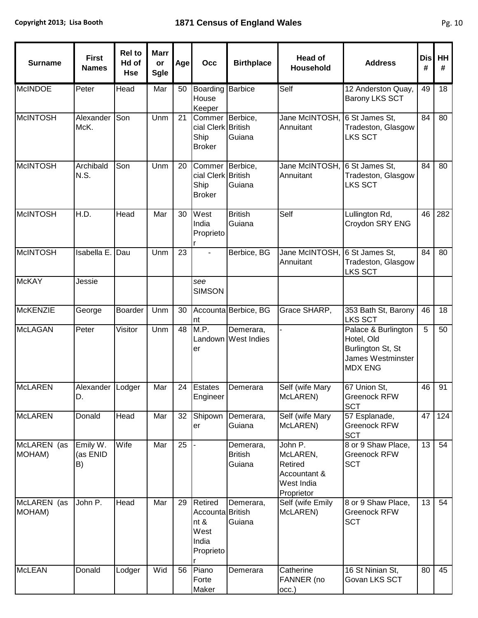| <b>Surname</b>        | <b>First</b><br><b>Names</b> | <b>Rel to</b><br>Hd of<br><b>Hse</b> | <b>Marr</b><br>or<br><b>Sgle</b> | Age | Occ                                                               | <b>Birthplace</b>                     | <b>Head of</b><br><b>Household</b>                                         | <b>Address</b>                                                                                | <b>Dis</b><br># | HH<br># |
|-----------------------|------------------------------|--------------------------------------|----------------------------------|-----|-------------------------------------------------------------------|---------------------------------------|----------------------------------------------------------------------------|-----------------------------------------------------------------------------------------------|-----------------|---------|
| <b>McINDOE</b>        | Peter                        | Head                                 | Mar                              | 50  | Boarding<br>House<br>Keeper                                       | <b>Barbice</b>                        | Self                                                                       | 12 Anderston Quay,<br>Barony LKS SCT                                                          | 49              | 18      |
| <b>McINTOSH</b>       | Alexander<br>McK.            | Son                                  | Unm                              | 21  | Commer Berbice,<br>cial Clerk British<br>Ship<br><b>Broker</b>    | Guiana                                | Jane McINTOSH,<br>Annuitant                                                | 6 St James St,<br>Tradeston, Glasgow<br>LKS SCT                                               | 84              | 80      |
| <b>McINTOSH</b>       | Archibald<br>N.S.            | Son                                  | Unm                              | 20  | Commer Berbice,<br>cial Clerk British<br>Ship<br><b>Broker</b>    | Guiana                                | Jane McINTOSH,<br>Annuitant                                                | 6 St James St,<br>Tradeston, Glasgow<br><b>LKS SCT</b>                                        | 84              | 80      |
| <b>McINTOSH</b>       | H.D.                         | Head                                 | Mar                              | 30  | West<br>India<br>Proprieto                                        | <b>British</b><br>Guiana              | Self                                                                       | Lullington Rd,<br>Croydon SRY ENG                                                             | 46              | 282     |
| <b>McINTOSH</b>       | <b>Isabella E</b>            | Dau                                  | Unm                              | 23  |                                                                   | Berbice, BG                           | Jane McINTOSH,<br>Annuitant                                                | 6 St James St,<br>Tradeston, Glasgow<br><b>LKS SCT</b>                                        | 84              | 80      |
| <b>McKAY</b>          | Jessie                       |                                      |                                  |     | see<br><b>SIMSON</b>                                              |                                       |                                                                            |                                                                                               |                 |         |
| <b>McKENZIE</b>       | George                       | Boarder                              | Unm                              | 30  | nt                                                                | Accounta Berbice, BG                  | Grace SHARP,                                                               | 353 Bath St, Barony<br><b>LKS SCT</b>                                                         | 46              | 18      |
| <b>McLAGAN</b>        | Peter                        | Visitor                              | Unm                              | 48  | M.P.<br>er                                                        | Demerara,<br>Landown West Indies      |                                                                            | Palace & Burlington<br>Hotel, Old<br>Burlington St, St<br>James Westminster<br><b>MDX ENG</b> | 5               | 50      |
| <b>McLAREN</b>        | Alexander Lodger<br>D.       |                                      | Mar                              | 24  | Estates<br>Engineer                                               | Demerara                              | Self (wife Mary<br>McLAREN)                                                | 67 Union St,<br>Greenock RFW<br><b>SCT</b>                                                    | 46              | 91      |
| <b>McLAREN</b>        | Donald                       | Head                                 | Mar                              | 32  | Shipown<br>er                                                     | Demerara,<br>Guiana                   | Self (wife Mary<br>McLAREN)                                                | 57 Esplanade,<br>Greenock RFW<br><b>SCT</b>                                                   | 47              | 124     |
| McLAREN (as<br>MOHAM) | Emily W.<br>(as ENID<br>B)   | Wife                                 | Mar                              | 25  |                                                                   | Demerara,<br><b>British</b><br>Guiana | John P.<br>McLAREN,<br>Retired<br>Accountant &<br>West India<br>Proprietor | 8 or 9 Shaw Place,<br>Greenock RFW<br><b>SCT</b>                                              | 13              | 54      |
| McLAREN (as<br>MOHAM) | John P.                      | Head                                 | Mar                              | 29  | Retired<br>Accounta British<br>nt &<br>West<br>India<br>Proprieto | Demerara,<br>Guiana                   | Self (wife Emily<br>McLAREN)                                               | 8 or 9 Shaw Place,<br>Greenock RFW<br><b>SCT</b>                                              | 13              | 54      |
| <b>McLEAN</b>         | Donald                       | Lodger                               | Wid                              | 56  | Piano<br>Forte<br>Maker                                           | Demerara                              | Catherine<br>FANNER (no<br>occ.)                                           | 16 St Ninian St,<br>Govan LKS SCT                                                             | 80              | 45      |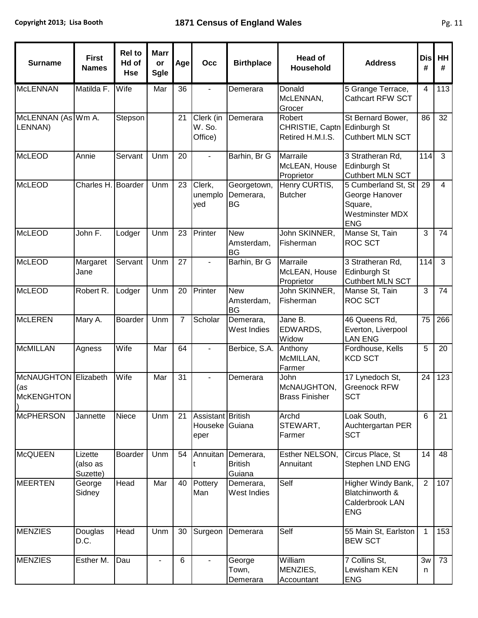| <b>Surname</b>                                   | <b>First</b><br><b>Names</b>    | <b>Rel to</b><br>Hd of<br><b>Hse</b> | <b>Marr</b><br>or<br><b>Sgle</b> | Age            | Occ                                         | <b>Birthplace</b>                     | <b>Head of</b><br>Household                                | <b>Address</b>                                                                    | <b>Dis</b><br># | HH<br>#        |
|--------------------------------------------------|---------------------------------|--------------------------------------|----------------------------------|----------------|---------------------------------------------|---------------------------------------|------------------------------------------------------------|-----------------------------------------------------------------------------------|-----------------|----------------|
| <b>McLENNAN</b>                                  | Matilda F.                      | Wife                                 | Mar                              | 36             |                                             | Demerara                              | Donald<br>McLENNAN,<br>Grocer                              | 5 Grange Terrace,<br><b>Cathcart RFW SCT</b>                                      | $\overline{4}$  | 113            |
| McLENNAN (As Wm A.<br>LENNAN)                    |                                 | Stepson                              |                                  | 21             | Clerk (in<br>W. So.<br>Office)              | Demerara                              | Robert<br>CHRISTIE, Captn Edinburgh St<br>Retired H.M.I.S. | St Bernard Bower,<br><b>Cuthbert MLN SCT</b>                                      | 86              | 32             |
| <b>McLEOD</b>                                    | Annie                           | Servant                              | Unm                              | 20             |                                             | Barhin, Br G                          | Marraile<br>McLEAN, House<br>Proprietor                    | 3 Stratheran Rd,<br>Edinburgh St<br>Cuthbert MLN SCT                              | 114             | $\overline{3}$ |
| <b>McLEOD</b>                                    | Charles H. Boarder              |                                      | Unm                              | 23             | Clerk,<br>unemplo<br>yed                    | Georgetown,<br>Demerara,<br><b>BG</b> | Henry CURTIS,<br><b>Butcher</b>                            | 5 Cumberland St, St<br>George Hanover<br>Square,<br>Westminster MDX<br><b>ENG</b> | 29              | $\overline{4}$ |
| <b>McLEOD</b>                                    | John F.                         | Lodger                               | Unm                              | 23             | Printer                                     | <b>New</b><br>Amsterdam,<br><b>BG</b> | John SKINNER,<br>Fisherman                                 | Manse St, Tain<br><b>ROC SCT</b>                                                  | $\mathbf{3}$    | 74             |
| <b>McLEOD</b>                                    | Margaret<br>Jane                | Servant                              | Unm                              | 27             |                                             | Barhin, Br G                          | Marraile<br>McLEAN, House<br>Proprietor                    | 3 Stratheran Rd,<br>Edinburgh St<br>Cuthbert MLN SCT                              | 114             | 3              |
| <b>McLEOD</b>                                    | Robert R.                       | Lodger                               | Unm                              | 20             | Printer                                     | <b>New</b><br>Amsterdam,<br><b>BG</b> | John SKINNER,<br>Fisherman                                 | Manse St, Tain<br><b>ROC SCT</b>                                                  | 3               | 74             |
| <b>McLEREN</b>                                   | Mary A.                         | <b>Boarder</b>                       | Unm                              | $\overline{7}$ | Scholar                                     | Demerara,<br>West Indies              | Jane B.<br>EDWARDS,<br>Widow                               | 46 Queens Rd,<br>Everton, Liverpool<br><b>LAN ENG</b>                             | 75              | 266            |
| <b>McMILLAN</b>                                  | Agness                          | Wife                                 | Mar                              | 64             |                                             | Berbice, S.A.                         | Anthony<br>McMILLAN,<br>Farmer                             | Fordhouse, Kells<br><b>KCD SCT</b>                                                | 5               | 20             |
| McNAUGHTON Elizabeth<br>(as<br><b>McKENGHTON</b> |                                 | Wife                                 | Mar                              | 31             |                                             | Demerara                              | John<br>McNAUGHTON,<br>Brass Finisher                      | 17 Lynedoch St,<br><b>Greenock RFW</b><br><b>SCT</b>                              | 24              | 123            |
| <b>McPHERSON</b>                                 | Jannette                        | Niece                                | Unm                              | 21             | Assistant British<br>Houseke Guiana<br>eper |                                       | Archd<br>STEWART,<br>Farmer                                | Loak South,<br>Auchtergartan PER<br><b>SCT</b>                                    | $6\phantom{1}$  | 21             |
| <b>McQUEEN</b>                                   | Lizette<br>(also as<br>Suzette) | <b>Boarder</b>                       | Unm                              | 54             | Annuitan                                    | Demerara,<br><b>British</b><br>Guiana | Esther NELSON,<br>Annuitant                                | Circus Place, St<br>Stephen LND ENG                                               | 14              | 48             |
| <b>MEERTEN</b>                                   | George<br>Sidney                | Head                                 | Mar                              | 40             | Pottery<br>Man                              | Demerara,<br>West Indies              | Self                                                       | Higher Windy Bank,<br>Blatchinworth &<br>Calderbrook LAN<br><b>ENG</b>            | $\overline{2}$  | 107            |
| <b>MENZIES</b>                                   | Douglas<br>D.C.                 | Head                                 | Unm                              | 30             | Surgeon                                     | Demerara                              | Self                                                       | 55 Main St, Earlston<br><b>BEW SCT</b>                                            | $\mathbf{1}$    | 153            |
| <b>MENZIES</b>                                   | Esther M.                       | Dau                                  |                                  | 6              |                                             | George<br>Town,<br>Demerara           | William<br>MENZIES,<br>Accountant                          | 7 Collins St,<br>Lewisham KEN<br><b>ENG</b>                                       | 3w<br>n         | 73             |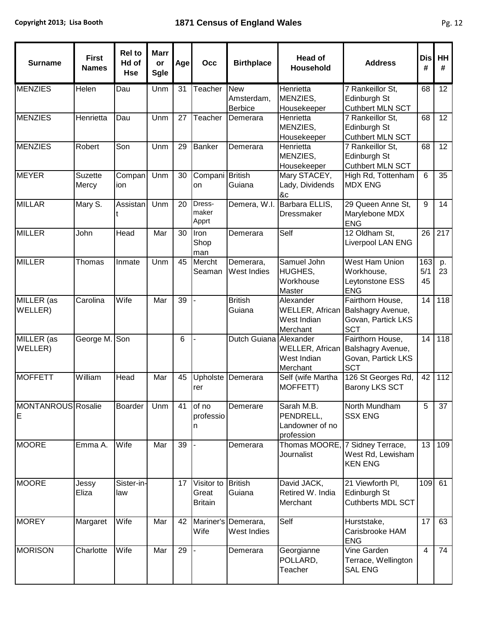| <b>Surname</b>                 | <b>First</b><br><b>Names</b> | <b>Rel to</b><br>Hd of<br><b>Hse</b> | <b>Marr</b><br>or<br><b>Sgle</b> | Age | Occ                                   | <b>Birthplace</b>                          | <b>Head of</b><br>Household                              | <b>Address</b>                                                                            | <b>Dis</b><br>#  | HH<br>#          |
|--------------------------------|------------------------------|--------------------------------------|----------------------------------|-----|---------------------------------------|--------------------------------------------|----------------------------------------------------------|-------------------------------------------------------------------------------------------|------------------|------------------|
| <b>MENZIES</b>                 | Helen                        | Dau                                  | Unm                              | 31  | Teacher                               | <b>New</b><br>Amsterdam,<br><b>Berbice</b> | Henrietta<br>MENZIES,<br>Housekeeper                     | 7 Rankeillor St.<br>Edinburgh St<br><b>Cuthbert MLN SCT</b>                               | 68               | 12 <sub>2</sub>  |
| <b>MENZIES</b>                 | Henrietta                    | Dau                                  | Unm                              | 27  | Teacher                               | Demerara                                   | Henrietta<br>MENZIES,<br>Housekeeper                     | 7 Rankeillor St,<br>Edinburgh St<br><b>Cuthbert MLN SCT</b>                               | 68               | 12               |
| <b>MENZIES</b>                 | Robert                       | Son                                  | Unm                              | 29  | <b>Banker</b>                         | Demerara                                   | Henrietta<br>MENZIES,<br>Housekeeper                     | 7 Rankeillor St,<br>Edinburgh St<br>Cuthbert MLN SCT                                      | 68               | 12               |
| <b>MEYER</b>                   | <b>Suzette</b><br>Mercy      | Compan<br>ion                        | Unm                              | 30  | Compani<br>on                         | <b>British</b><br>Guiana                   | Mary STACEY,<br>Lady, Dividends<br>&c                    | High Rd, Tottenham<br><b>MDX ENG</b>                                                      | 6                | 35               |
| <b>MILLAR</b>                  | Mary S.                      | Assistan                             | Unm                              | 20  | Dress-<br>maker<br>Apprt              | Demera, W.I.                               | Barbara ELLIS,<br><b>Dressmaker</b>                      | 29 Queen Anne St.<br>Marylebone MDX<br><b>ENG</b>                                         | 9                | 14               |
| <b>MILLER</b>                  | John                         | Head                                 | Mar                              | 30  | Iron<br>Shop<br>man                   | Demerara                                   | Self                                                     | 12 Oldham St,<br>Liverpool LAN ENG                                                        | 26               | $\overline{217}$ |
| <b>MILLER</b>                  | Thomas                       | Inmate                               | Unm                              | 45  | Mercht<br>Seaman                      | Demerara,<br>West Indies                   | Samuel John<br><b>HUGHES,</b><br>Workhouse<br>Master     | <b>West Ham Union</b><br>Workhouse,<br>Leytonstone ESS<br><b>ENG</b>                      | 163<br>5/1<br>45 | p.<br>23         |
| MILLER (as<br>WELLER)          | Carolina                     | Wife                                 | Mar                              | 39  |                                       | <b>British</b><br>Guiana                   | Alexander<br>West Indian<br>Merchant                     | Fairthorn House,<br>WELLER, African Balshagry Avenue,<br>Govan, Partick LKS<br><b>SCT</b> | 14               | $\overline{118}$ |
| MILLER (as<br>WELLER)          | George M. Son                |                                      |                                  | 6   |                                       | Dutch Guiana Alexander                     | <b>WELLER, African</b><br>West Indian<br>Merchant        | Fairthorn House,<br>Balshagry Avenue,<br>Govan, Partick LKS<br><b>SCT</b>                 | 14               | 118              |
| <b>MOFFETT</b>                 | William                      | Head                                 | Mar                              | 45  | Upholste<br>rer                       | Demerara                                   | Self (wife Martha<br>MOFFETT)                            | 126 St Georges Rd,<br><b>Barony LKS SCT</b>                                               | 42               | 112              |
| <b>MONTANROUS</b> Rosalie<br>E |                              | <b>Boarder</b>                       | Unm                              | 41  | of no<br>professio<br>n               | Demerare                                   | Sarah M.B.<br>PENDRELL,<br>Landowner of no<br>profession | North Mundham<br><b>SSX ENG</b>                                                           | 5                | 37               |
| <b>MOORE</b>                   | Emma A.                      | Wife                                 | Mar                              | 39  |                                       | Demerara                                   | Thomas MOORE, 7 Sidney Terrace,<br>Journalist            | West Rd, Lewisham<br><b>KEN ENG</b>                                                       | 13               | 109              |
| <b>MOORE</b>                   | Jessy<br>Eliza               | Sister-in-<br>law                    |                                  | 17  | Visitor to<br>Great<br><b>Britain</b> | <b>British</b><br>Guiana                   | David JACK,<br>Retired W. India<br>Merchant              | 21 Viewforth PI,<br>Edinburgh St<br><b>Cuthberts MDL SCT</b>                              | 109              | 61               |
| <b>MOREY</b>                   | Margaret                     | Wife                                 | Mar                              | 42  | Mariner's<br>Wife                     | Demerara,<br>West Indies                   | Self                                                     | Hurststake,<br>Carisbrooke HAM<br><b>ENG</b>                                              | 17               | 63               |
| <b>MORISON</b>                 | Charlotte                    | Wife                                 | Mar                              | 29  |                                       | Demerara                                   | Georgianne<br>POLLARD,<br>Teacher                        | Vine Garden<br>Terrace, Wellington<br><b>SAL ENG</b>                                      | $\overline{4}$   | 74               |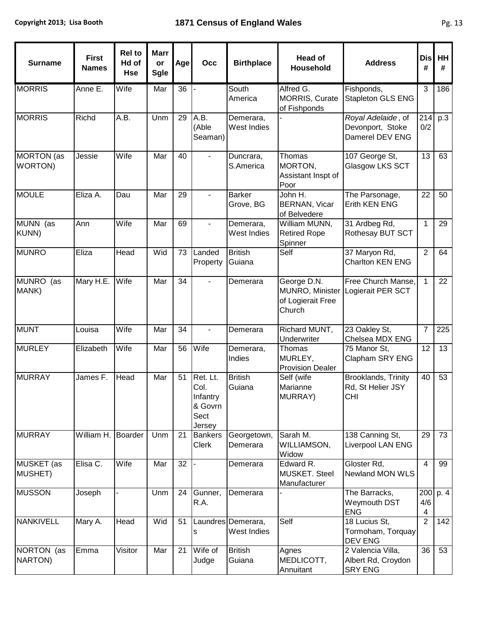| <b>Surname</b>                       | <b>First</b><br><b>Names</b> | <b>Rel</b> to<br>Hd of<br><b>Hse</b> | <b>Marr</b><br>or<br><b>Sgle</b> | Age | Occ                                                       | <b>Birthplace</b>                 | <b>Head of</b><br>Household                                   | <b>Address</b>                                                | <b>Dis</b><br>#              | HH<br># |
|--------------------------------------|------------------------------|--------------------------------------|----------------------------------|-----|-----------------------------------------------------------|-----------------------------------|---------------------------------------------------------------|---------------------------------------------------------------|------------------------------|---------|
| <b>MORRIS</b>                        | Anne E.                      | Wife                                 | Mar                              | 36  |                                                           | South<br>America                  | Alfred G.<br><b>MORRIS, Curate</b><br>of Fishponds            | Fishponds,<br>Stapleton GLS ENG                               | 3                            | 186     |
| <b>MORRIS</b>                        | Richd                        | A.B.                                 | Unm                              | 29  | A.B.<br>(Able<br>Seaman)                                  | Demerara,<br>West Indies          |                                                               | Royal Adelaide, of<br>Devonport, Stoke<br>Damerel DEV ENG     | 214<br>0/2                   | p.3     |
| <b>MORTON</b> (as<br><b>WORTON</b> ) | Jessie                       | Wife                                 | Mar                              | 40  |                                                           | Duncrara,<br>S.America            | Thomas<br>MORTON,<br>Assistant Inspt of<br>Poor               | 107 George St,<br>Glasgow LKS SCT                             | 13                           | 63      |
| <b>MOULE</b>                         | Eliza A.                     | Dau                                  | Mar                              | 29  |                                                           | <b>Barker</b><br>Grove, BG        | John H.<br><b>BERNAN, Vicar</b><br>of Belvedere               | The Parsonage,<br><b>Erith KEN ENG</b>                        | 22                           | 50      |
| MUNN (as<br><b>KUNN</b> )            | Ann                          | Wife                                 | Mar                              | 69  |                                                           | Demerara,<br>West Indies          | William MUNN,<br><b>Retired Rope</b><br>Spinner               | 31 Ardbeg Rd,<br>Rothesay BUT SCT                             | $\mathbf{1}$                 | 29      |
| <b>MUNRO</b>                         | Eliza                        | Head                                 | Wid                              | 73  | Landed<br>Property                                        | <b>British</b><br>Guiana          | Self                                                          | 37 Maryon Rd,<br>Charlton KEN ENG                             | $\overline{2}$               | 64      |
| <b>MUNRO</b><br>(as<br>MANK)         | Mary H.E.                    | Wife                                 | Mar                              | 34  |                                                           | Demerara                          | George D.N.<br>MUNRO, Minister<br>of Logierait Free<br>Church | Free Church Manse,<br>Logierait PER SCT                       | $\mathbf{1}$                 | 22      |
| <b>MUNT</b>                          | Louisa                       | Wife                                 | Mar                              | 34  | $\blacksquare$                                            | Demerara                          | Richard MUNT,<br>Underwriter                                  | 23 Oakley St,<br>Chelsea MDX ENG                              | $\overline{7}$               | 225     |
| <b>MURLEY</b>                        | Elizabeth                    | Wife                                 | Mar                              | 56  | Wife                                                      | Demerara,<br>Indies               | Thomas<br>MURLEY,<br><b>Provision Dealer</b>                  | 75 Manor St,<br>Clapham SRY ENG                               | 12                           | 13      |
| <b>MURRAY</b>                        | James F.                     | Head                                 | Mar                              | 51  | Ret. Lt.<br>Col.<br>Infantry<br>& Govrn<br>Sect<br>Jersey | <b>British</b><br>Guiana          | Self (wife<br>Marianne<br>MURRAY)                             | <b>Brooklands, Trinity</b><br>Rd, St Helier JSY<br><b>CHI</b> | 40                           | 53      |
| <b>MURRAY</b>                        | William H.                   | Boarder                              | Unm                              | 21  | <b>Bankers</b><br><b>Clerk</b>                            | Georgetown,<br>Demerara           | Sarah M.<br>WILLIAMSON,<br>Widow                              | 138 Canning St,<br><b>Liverpool LAN ENG</b>                   | 29                           | 73      |
| <b>MUSKET</b> (as<br>MUSHET)         | Elisa C.                     | Wife                                 | Mar                              | 32  |                                                           | Demerara                          | Edward R.<br>MUSKET. Steel<br>Manufacturer                    | Gloster Rd,<br>Newland MON WLS                                | $\overline{4}$               | 99      |
| <b>MUSSON</b>                        | Joseph                       |                                      | Unm                              | 24  | Gunner,<br>R.A.                                           | Demerara                          |                                                               | The Barracks,<br>Weymouth DST<br><b>ENG</b>                   | 200<br>4/6<br>$\overline{4}$ | p.4     |
| <b>NANKIVELL</b>                     | Mary A.                      | Head                                 | Wid                              | 51  | s                                                         | Laundres Demerara,<br>West Indies | Self                                                          | 18 Lucius St,<br>Tormoham, Torquay<br><b>DEV ENG</b>          | $\overline{2}$               | 142     |
| NORTON (as<br>NARTON)                | Emma                         | Visitor                              | Mar                              | 21  | Wife of<br>Judge                                          | <b>British</b><br>Guiana          | Agnes<br>MEDLICOTT,<br>Annuitant                              | 2 Valencia Villa,<br>Albert Rd, Croydon<br><b>SRY ENG</b>     | 36                           | 53      |

ī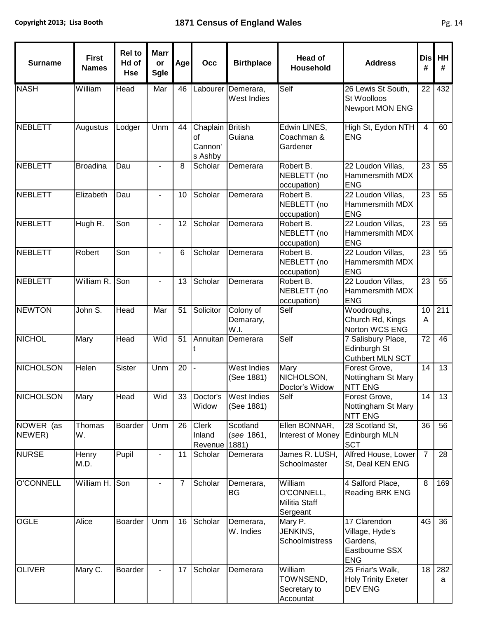| <b>Surname</b>      | <b>First</b><br><b>Names</b> | <b>Rel to</b><br>Hd of<br><b>Hse</b> | <b>Marr</b><br>or<br><b>Sgle</b> | Age | Occ                                  | <b>Birthplace</b>                     | <b>Head of</b><br>Household                               | <b>Address</b>                                                              | <b>Dis</b><br># | HH<br>#         |
|---------------------|------------------------------|--------------------------------------|----------------------------------|-----|--------------------------------------|---------------------------------------|-----------------------------------------------------------|-----------------------------------------------------------------------------|-----------------|-----------------|
| <b>NASH</b>         | William                      | Head                                 | Mar                              | 46  |                                      | Labourer Demerara,<br>West Indies     | Self                                                      | 26 Lewis St South,<br>St Woolloos<br>Newport MON ENG                        | 22              | 432             |
| <b>NEBLETT</b>      | Augustus                     | Lodger                               | Unm                              | 44  | Chaplain<br>of<br>Cannon'<br>s Ashby | <b>British</b><br>Guiana              | Edwin LINES,<br>Coachman &<br>Gardener                    | High St, Eydon NTH<br><b>ENG</b>                                            | $\overline{4}$  | 60              |
| <b>NEBLETT</b>      | <b>Broadina</b>              | Dau                                  |                                  | 8   | Scholar                              | Demerara                              | Robert B.<br>NEBLETT (no<br>occupation)                   | 22 Loudon Villas,<br>Hammersmith MDX<br><b>ENG</b>                          | 23              | 55              |
| <b>NEBLETT</b>      | Elizabeth                    | Dau                                  |                                  | 10  | Scholar                              | Demerara                              | Robert B.<br>NEBLETT (no<br>occupation)                   | 22 Loudon Villas,<br>Hammersmith MDX<br><b>ENG</b>                          | 23              | 55              |
| <b>NEBLETT</b>      | Hugh R.                      | Son                                  |                                  | 12  | Scholar                              | Demerara                              | Robert B.<br>NEBLETT (no<br>occupation)                   | 22 Loudon Villas,<br>Hammersmith MDX<br><b>ENG</b>                          | $\overline{23}$ | 55              |
| <b>NEBLETT</b>      | Robert                       | Son                                  |                                  | 6   | Scholar                              | Demerara                              | Robert B.<br>NEBLETT (no<br>occupation)                   | 22 Loudon Villas,<br>Hammersmith MDX<br><b>ENG</b>                          | 23              | 55              |
| <b>NEBLETT</b>      | William R.                   | Son                                  |                                  | 13  | Scholar                              | Demerara                              | Robert B.<br>NEBLETT (no<br>occupation)                   | 22 Loudon Villas,<br>Hammersmith MDX<br><b>ENG</b>                          | 23              | 55              |
| <b>NEWTON</b>       | John S.                      | Head                                 | Mar                              | 51  | Solicitor                            | Colony of<br>Demarary,<br>W.I.        | Self                                                      | Woodroughs,<br>Church Rd, Kings<br>Norton WCS ENG                           | 10<br>A         | 211             |
| <b>NICHOL</b>       | Mary                         | Head                                 | Wid                              | 51  | Annuitan                             | Demerara                              | Self                                                      | 7 Salisbury Place,<br>Edinburgh St<br>Cuthbert MLN SCT                      | 72              | 46              |
| <b>NICHOLSON</b>    | Helen                        | Sister                               | Unm                              | 20  |                                      | West Indies<br>(See 1881)             | Mary<br>NICHOLSON,<br>Doctor's Widow                      | Forest Grove,<br>Nottingham St Mary<br><b>NTT ENG</b>                       | 14              | $\overline{13}$ |
| <b>NICHOLSON</b>    | Mary                         | Head                                 | Wid                              |     | Widow                                | 33 Doctor's West Indies<br>(See 1881) | Self                                                      | Forest Grove,<br>Nottingham St Mary<br><b>NTT ENG</b>                       |                 | $14$ 13         |
| NOWER (as<br>NEWER) | Thomas<br>W.                 | Boarder                              | Unm                              | 26  | Clerk<br>Inland<br>Revenue           | Scotland<br>(see 1861,<br>1881)       | Ellen BONNAR,<br>Interest of Money                        | 28 Scotland St,<br>Edinburgh MLN<br><b>SCT</b>                              | 36              | 56              |
| <b>NURSE</b>        | Henry<br>M.D.                | Pupil                                |                                  | 11  | Scholar                              | Demerara                              | James R. LUSH,<br>Schoolmaster                            | Alfred House, Lower<br>St, Deal KEN ENG                                     | $\overline{7}$  | 28              |
| <b>O'CONNELL</b>    | William H.                   | Son                                  |                                  | 7   | Scholar                              | Demerara,<br>BG                       | William<br>O'CONNELL,<br><b>Militia Staff</b><br>Sergeant | 4 Salford Place,<br>Reading BRK ENG                                         | 8               | 169             |
| <b>OGLE</b>         | Alice                        | <b>Boarder</b>                       | Unm                              | 16  | Scholar                              | Demerara,<br>W. Indies                | Mary P.<br>JENKINS,<br>Schoolmistress                     | 17 Clarendon<br>Village, Hyde's<br>Gardens,<br>Eastbourne SSX<br><b>ENG</b> | 4G              | 36              |
| <b>OLIVER</b>       | Mary C.                      | <b>Boarder</b>                       |                                  | 17  | Scholar                              | Demerara                              | William<br>TOWNSEND,<br>Secretary to<br>Accountat         | 25 Friar's Walk,<br><b>Holy Trinity Exeter</b><br>DEV ENG                   | 18              | 282<br>a        |

Ŧ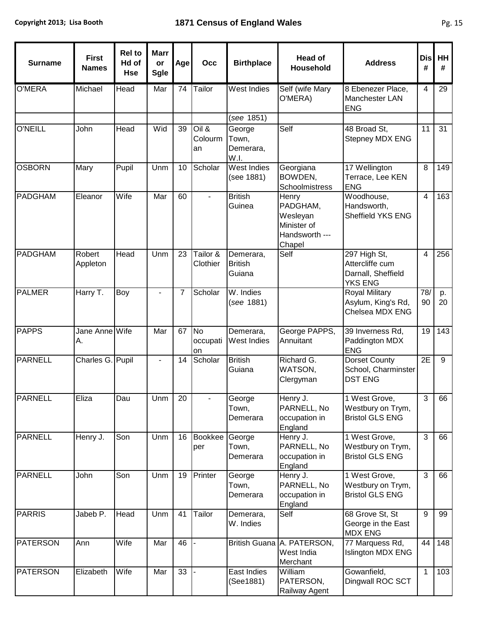| M.<br>I | ×<br>۰. |
|---------|---------|
|---------|---------|

| <b>Surname</b>  | <b>First</b><br><b>Names</b> | <b>Rel to</b><br>Hd of<br><b>Hse</b> | <b>Marr</b><br>or<br>Sgle | Agel           | Occ                         | <b>Birthplace</b>                     | <b>Head of</b><br><b>Household</b>                                       | <b>Address</b>                                                          | <b>Dis</b><br># | HH<br>#  |
|-----------------|------------------------------|--------------------------------------|---------------------------|----------------|-----------------------------|---------------------------------------|--------------------------------------------------------------------------|-------------------------------------------------------------------------|-----------------|----------|
| <b>O'MERA</b>   | Michael                      | Head                                 | Mar                       | 74             | Tailor                      | <b>West Indies</b>                    | Self (wife Mary<br>O'MERA)                                               | 8 Ebenezer Place,<br>Manchester LAN<br><b>ENG</b>                       | $\overline{4}$  | 29       |
|                 |                              |                                      |                           |                |                             | (see 1851)                            |                                                                          |                                                                         |                 |          |
| <b>O'NEILL</b>  | John                         | Head                                 | Wid                       | 39             | Oil &<br>Colourm<br>an      | George<br>Town,<br>Demerara,<br>W.I.  | Self                                                                     | 48 Broad St.<br>Stepney MDX ENG                                         | 11              | 31       |
| <b>OSBORN</b>   | Mary                         | Pupil                                | Unm                       | 10             | Scholar                     | <b>West Indies</b><br>(see 1881)      | Georgiana<br>BOWDEN,<br>Schoolmistress                                   | 17 Wellington<br>Terrace, Lee KEN<br><b>ENG</b>                         | 8               | 149      |
| <b>PADGHAM</b>  | Eleanor                      | Wife                                 | Mar                       | 60             |                             | <b>British</b><br>Guinea              | Henry<br>PADGHAM,<br>Wesleyan<br>Minister of<br>Handsworth ---<br>Chapel | Woodhouse,<br>Handsworth,<br>Sheffield YKS ENG                          | $\overline{4}$  | 163      |
| <b>PADGHAM</b>  | Robert<br>Appleton           | Head                                 | Unm                       | 23             | Tailor &<br>Clothier        | Demerara,<br><b>British</b><br>Guiana | Self                                                                     | 297 High St,<br>Attercliffe cum<br>Darnall, Sheffield<br><b>YKS ENG</b> | $\overline{4}$  | 256      |
| <b>PALMER</b>   | Harry T.                     | Boy                                  |                           | $\overline{7}$ | Scholar                     | W. Indies<br>(see 1881)               |                                                                          | Royal Military<br>Asylum, King's Rd,<br>Chelsea MDX ENG                 | 78/<br>90       | p.<br>20 |
| <b>PAPPS</b>    | Jane Anne Wife<br>Α.         |                                      | Mar                       | 67             | <b>No</b><br>occupati<br>on | Demerara,<br>West Indies              | George PAPPS,<br>Annuitant                                               | 39 Inverness Rd,<br>Paddington MDX<br><b>ENG</b>                        | 19              | 143      |
| <b>PARNELL</b>  | Charles G. Pupil             |                                      |                           | 14             | Scholar                     | <b>British</b><br>Guiana              | Richard G.<br>WATSON,<br>Clergyman                                       | <b>Dorset County</b><br>School, Charminster<br><b>DST ENG</b>           | 2E              | 9        |
| <b>PARNELL</b>  | Eliza                        | Dau                                  | Unm                       | 20             |                             | George<br>Town,<br>Demerara           | Henry J.<br>PARNELL, No<br>occupation in<br>England                      | 1 West Grove,<br>Westbury on Trym,<br><b>Bristol GLS ENG</b>            | 3               | 66       |
| <b>PARNELL</b>  | Henry J.                     | Son                                  | Unm                       | 16             | <b>Bookkee</b><br>per       | George<br>Town,<br>Demerara           | Henry J.<br>PARNELL, No<br>occupation in<br>England                      | 1 West Grove,<br>Westbury on Trym,<br><b>Bristol GLS ENG</b>            | $\mathfrak{S}$  | 66       |
| <b>PARNELL</b>  | John                         | Son                                  | Unm                       | 19             | Printer                     | George<br>Town,<br>Demerara           | Henry J.<br>PARNELL, No<br>occupation in<br>England                      | 1 West Grove,<br>Westbury on Trym,<br><b>Bristol GLS ENG</b>            | 3               | 66       |
| <b>PARRIS</b>   | Jabeb P.                     | Head                                 | Unm                       | 41             | Tailor                      | Demerara,<br>W. Indies                | Self                                                                     | 68 Grove St, St<br>George in the East<br><b>MDX ENG</b>                 | $9\,$           | 99       |
| <b>PATERSON</b> | Ann                          | Wife                                 | Mar                       | 46             |                             |                                       | British Guana A. PATERSON,<br>West India<br>Merchant                     | 77 Marquess Rd,<br>Islington MDX ENG                                    | 44              | 148      |
| <b>PATERSON</b> | Elizabeth                    | Wife                                 | Mar                       | 33             |                             | East Indies<br>(See1881)              | William<br>PATERSON,<br><b>Railway Agent</b>                             | Gowanfield,<br>Dingwall ROC SCT                                         | $\mathbf{1}$    | 103      |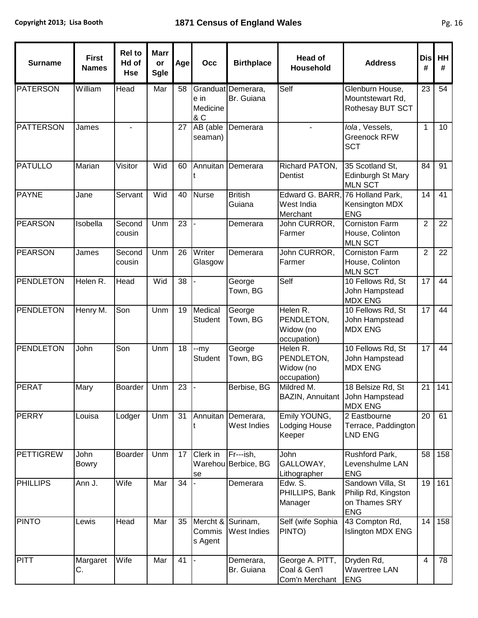т

т

| <b>Surname</b>   | <b>First</b><br><b>Names</b> | <b>Rel to</b><br>Hd of<br><b>Hse</b> | <b>Marr</b><br>or<br><b>Sgle</b> | Age | Occ                              | <b>Birthplace</b>                | <b>Head of</b><br><b>Household</b>                 | <b>Address</b>                                                          | <b>Dis</b><br># | HH<br># |
|------------------|------------------------------|--------------------------------------|----------------------------------|-----|----------------------------------|----------------------------------|----------------------------------------------------|-------------------------------------------------------------------------|-----------------|---------|
| <b>PATERSON</b>  | William                      | Head                                 | Mar                              | 58  | e in<br>Medicine<br>& C          | Granduat Demerara,<br>Br. Guiana | Self                                               | Glenburn House,<br>Mountstewart Rd,<br>Rothesay BUT SCT                 | 23              | 54      |
| <b>PATTERSON</b> | James                        |                                      |                                  | 27  | $\overline{AB}$ (able<br>seaman) | Demerara                         |                                                    | Iola, Vessels,<br><b>Greenock RFW</b><br><b>SCT</b>                     | $\mathbf{1}$    | 10      |
| <b>PATULLO</b>   | Marian                       | Visitor                              | Wid                              | 60  |                                  | Annuitan Demerara                | Richard PATON,<br>Dentist                          | 35 Scotland St,<br>Edinburgh St Mary<br><b>MLN SCT</b>                  | 84              | 91      |
| <b>PAYNE</b>     | Jane                         | Servant                              | Wid                              | 40  | <b>Nurse</b>                     | <b>British</b><br>Guiana         | Edward G. BARR,<br>West India<br>Merchant          | 76 Holland Park,<br>Kensington MDX<br><b>ENG</b>                        | 14              | 41      |
| <b>PEARSON</b>   | Isobella                     | Second<br>cousin                     | Unm                              | 23  |                                  | Demerara                         | John CURROR,<br>Farmer                             | <b>Corniston Farm</b><br>House, Colinton<br><b>MLN SCT</b>              | $\overline{2}$  | 22      |
| <b>PEARSON</b>   | James                        | Second<br>cousin                     | Unm                              | 26  | Writer<br>Glasgow                | Demerara                         | John CURROR,<br>Farmer                             | <b>Corniston Farm</b><br>House, Colinton<br><b>MLN SCT</b>              | $\overline{2}$  | 22      |
| <b>PENDLETON</b> | Helen R.                     | Head                                 | Wid                              | 38  |                                  | George<br>Town, BG               | Self                                               | 10 Fellows Rd, St<br>John Hampstead<br><b>MDX ENG</b>                   | 17              | 44      |
| <b>PENDLETON</b> | Henry M.                     | Son                                  | Unm                              | 19  | Medical<br><b>Student</b>        | George<br>Town, BG               | Helen R.<br>PENDLETON,<br>Widow (no<br>occupation) | 10 Fellows Rd, St<br>John Hampstead<br><b>MDX ENG</b>                   | 17              | 44      |
| <b>PENDLETON</b> | John                         | Son                                  | Unm                              | 18  | --my<br><b>Student</b>           | George<br>Town, BG               | Helen R.<br>PENDLETON,<br>Widow (no<br>occupation) | 10 Fellows Rd, St<br>John Hampstead<br><b>MDX ENG</b>                   | 17              | 44      |
| <b>PERAT</b>     | Mary                         | Boarder                              | Unm                              | 23  |                                  | Berbise, BG                      | Mildred M.<br>BAZIN, Annuitant John Hampstead      | 18 Belsize Rd, St<br><b>MDX ENG</b>                                     | 21              | 141     |
| <b>PERRY</b>     | Louisa                       | Lodger                               | Unm                              | 31  | Annuitan                         | Demerara,<br>West Indies         | Emily YOUNG,<br>Lodging House<br>Keeper            | 2 Eastbourne<br>Terrace, Paddington<br>LND ENG                          | 20              | 61      |
| <b>PETTIGREW</b> | John<br><b>Bowry</b>         | <b>Boarder</b>                       | Unm                              | 17  | Clerk in<br>se                   | Fr---ish,<br>Warehou Berbice, BG | John<br>GALLOWAY,<br>Lithographer                  | Rushford Park,<br>Levenshulme LAN<br><b>ENG</b>                         | 58              | 158     |
| <b>PHILLIPS</b>  | Ann J.                       | Wife                                 | Mar                              | 34  |                                  | Demerara                         | Edw. S.<br>PHILLIPS, Bank<br>Manager               | Sandown Villa, St<br>Philip Rd, Kingston<br>on Thames SRY<br><b>ENG</b> | 19              | 161     |
| <b>PINTO</b>     | Lewis                        | Head                                 | Mar                              | 35  | Mercht &<br>Commis<br>s Agent    | Surinam,<br>West Indies          | Self (wife Sophia<br>PINTO)                        | 43 Compton Rd,<br>Islington MDX ENG                                     | 14              | 158     |
| PITT             | Margaret<br>С.               | Wife                                 | Mar                              | 41  |                                  | Demerara,<br>Br. Guiana          | George A. PITT,<br>Coal & Gen'l<br>Com'n Merchant  | Dryden Rd,<br>Wavertree LAN<br><b>ENG</b>                               | $\overline{4}$  | 78      |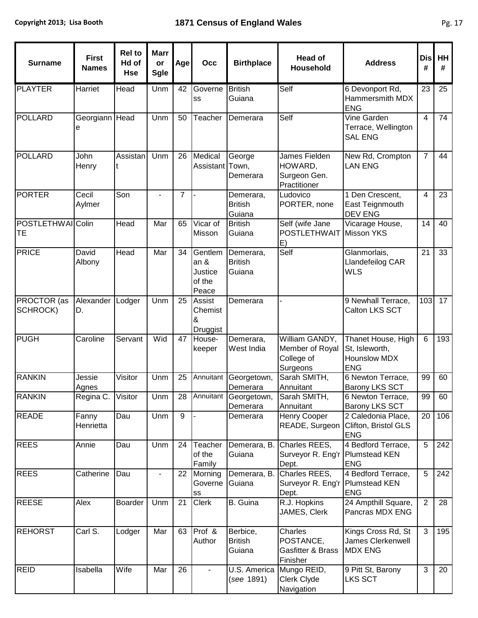| <b>Surname</b>          | <b>First</b><br><b>Names</b> | <b>Rel to</b><br>Hd of<br><b>Hse</b> | <b>Marr</b><br>or<br><b>Sgle</b> | Age            | Occ                                              | <b>Birthplace</b>                     | <b>Head of</b><br>Household                                 | <b>Address</b>                                                            | Dis<br>#       | HH<br># |
|-------------------------|------------------------------|--------------------------------------|----------------------------------|----------------|--------------------------------------------------|---------------------------------------|-------------------------------------------------------------|---------------------------------------------------------------------------|----------------|---------|
| <b>PLAYTER</b>          | Harriet                      | Head                                 | Unm                              | 42             | Governe<br>SS                                    | <b>British</b><br>Guiana              | Self                                                        | 6 Devonport Rd,<br>Hammersmith MDX<br><b>ENG</b>                          | 23             | 25      |
| POLLARD                 | Georgiann Head<br>е          |                                      | Unm                              | 50             | Teacher                                          | Demerara                              | Self                                                        | Vine Garden<br>Terrace, Wellington<br><b>SAL ENG</b>                      | $\overline{4}$ | 74      |
| <b>POLLARD</b>          | John<br>Henry                | Assistan<br>t                        | Unm                              | 26             | Medical<br>Assistant                             | George<br>Town,<br>Demerara           | James Fielden<br>HOWARD,<br>Surgeon Gen.<br>Practitioner    | New Rd, Crompton<br><b>LAN ENG</b>                                        | 7              | 44      |
| <b>PORTER</b>           | Cecil<br>Aylmer              | Son                                  |                                  | $\overline{7}$ |                                                  | Demerara,<br><b>British</b><br>Guiana | Ludovico<br>PORTER, none                                    | 1 Den Crescent,<br>East Teignmouth<br><b>DEV ENG</b>                      | 4              | 23      |
| POSTLETHWAI Colin<br>TE |                              | <b>Head</b>                          | Mar                              | 65             | Vicar of<br>Misson                               | <b>British</b><br>Guiana              | Self (wife Jane<br><b>POSTLETHWAIT</b><br>E)                | Vicarage House,<br>Misson YKS                                             | 14             | 40      |
| <b>PRICE</b>            | David<br>Albony              | Head                                 | Mar                              | 34             | Gentlem<br>an &<br>Justice<br>of the<br>Peace    | Demerara,<br><b>British</b><br>Guiana | Self                                                        | Glanmorlais,<br>Llandefeilog CAR<br><b>WLS</b>                            | 21             | 33      |
| PROCTOR (as<br>SCHROCK) | Alexander<br>D.              | Lodger                               | Unm                              | 25             | <b>Assist</b><br>Chemist<br>&<br><b>Druggist</b> | Demerara                              |                                                             | 9 Newhall Terrace,<br>Calton LKS SCT                                      | 103            | 17      |
| <b>PUGH</b>             | Caroline                     | Servant                              | Wid                              | 47             | House-<br>keeper                                 | Demerara,<br>West India               | William GANDY,<br>Member of Royal<br>College of<br>Surgeons | Thanet House, High<br>St, Isleworth,<br><b>Hounslow MDX</b><br><b>ENG</b> | $6\phantom{1}$ | 193     |
| <b>RANKIN</b>           | Jessie<br>Agnes              | Visitor                              | Unm                              | 25             | Annuitant                                        | Georgetown,<br>Demerara               | Sarah SMITH,<br>Annuitant                                   | 6 Newton Terrace,<br><b>Barony LKS SCT</b>                                | 99             | 60      |
| <b>RANKIN</b>           | Regina C.                    | Visitor                              | Unm                              | 28             |                                                  | Annuitant Georgetown,<br>Demerara     | Sarah SMITH,<br>Annuitant                                   | 6 Newton Terrace,<br><b>Barony LKS SCT</b>                                | 99             | 60      |
| <b>READE</b>            | Fanny<br>Henrietta           | Dau                                  | Unm                              | $9\,$          |                                                  | Demerara                              | <b>Henry Cooper</b>                                         | 2 Caledonia Place,<br>READE, Surgeon Clifton, Bristol GLS<br><b>ENG</b>   | 20             | 106     |
| <b>REES</b>             | Annie                        | Dau                                  | Unm                              | 24             | Teacher<br>of the<br>Family                      | Demerara, B.<br>Guiana                | Charles REES,<br>Surveyor R. Eng'r   Plumstead KEN<br>Dept. | 4 Bedford Terrace,<br><b>ENG</b>                                          | 5              | 242     |
| <b>REES</b>             | Catherine                    | Dau                                  |                                  | 22             | Morning<br>Governe<br>SS                         | Demerara, B.<br>Guiana                | Charles REES,<br>Surveyor R. Eng'r   Plumstead KEN<br>Dept. | 4 Bedford Terrace,<br><b>ENG</b>                                          | 5              | 242     |
| <b>REESE</b>            | Alex                         | Boarder                              | Unm                              | 21             | Clerk                                            | B. Guina                              | R.J. Hopkins<br>JAMES, Clerk                                | 24 Ampthill Square,<br>Pancras MDX ENG                                    | $\overline{2}$ | 28      |
| <b>REHORST</b>          | Carl S.                      | Lodger                               | Mar                              | 63             | Prof &<br>Author                                 | Berbice,<br><b>British</b><br>Guiana  | Charles<br>POSTANCE,<br>Gasfitter & Brass<br>Finisher       | Kings Cross Rd, St<br><b>James Clerkenwell</b><br><b>MDX ENG</b>          | 3              | 195     |
| <b>REID</b>             | Isabella                     | Wife                                 | Mar                              | 26             |                                                  | U.S. America<br>(see 1891)            | Mungo REID,<br><b>Clerk Clyde</b><br>Navigation             | 9 Pitt St, Barony<br><b>LKS SCT</b>                                       | $\overline{3}$ | 20      |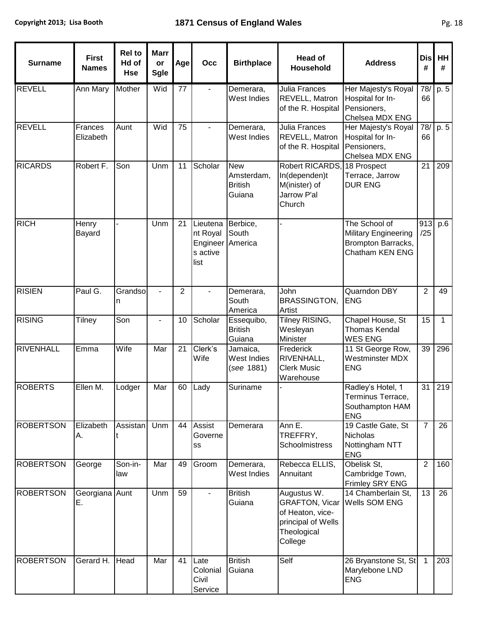т

Τ

| <b>Surname</b>   | <b>First</b><br><b>Names</b> | <b>Rel to</b><br>Hd of<br><b>Hse</b> | <b>Marr</b><br>or<br><b>Sgle</b> | Age            | Occ                                                  | <b>Birthplace</b>                                    | <b>Head of</b><br>Household                                                                              | <b>Address</b>                                                                 | <b>Dis</b><br># | HH<br># |
|------------------|------------------------------|--------------------------------------|----------------------------------|----------------|------------------------------------------------------|------------------------------------------------------|----------------------------------------------------------------------------------------------------------|--------------------------------------------------------------------------------|-----------------|---------|
| <b>REVELL</b>    | <b>Ann Mary</b>              | Mother                               | Wid                              | 77             |                                                      | Demerara,<br>West Indies                             | Julia Frances<br><b>REVELL, Matron</b><br>of the R. Hospital                                             | Her Majesty's Royal<br>Hospital for In-<br>Pensioners,<br>Chelsea MDX ENG      | 78/<br>66       | p.5     |
| <b>REVELL</b>    | Frances<br>Elizabeth         | Aunt                                 | Wid                              | 75             |                                                      | Demerara,<br>West Indies                             | Julia Frances<br><b>REVELL, Matron</b><br>of the R. Hospital                                             | Her Majesty's Royal<br>Hospital for In-<br>Pensioners,<br>Chelsea MDX ENG      | 78/<br>66       | p. 5    |
| <b>RICARDS</b>   | Robert F.                    | Son                                  | Unm                              | 11             | Scholar                                              | <b>New</b><br>Amsterdam,<br><b>British</b><br>Guiana | Robert RICARDS,<br>In(dependen)t<br>M(inister) of<br>Jarrow P'al<br>Church                               | 18 Prospect<br>Terrace, Jarrow<br><b>DUR ENG</b>                               | 21              | 209     |
| <b>RICH</b>      | Henry<br>Bayard              |                                      | Unm                              | 21             | Lieutena<br>nt Royal<br>Engineer<br>s active<br>list | Berbice,<br>South<br>America                         |                                                                                                          | The School of<br>Military Engineering<br>Brompton Barracks,<br>Chatham KEN ENG | 913<br>/25      | p.6     |
| <b>RISIEN</b>    | Paul G.                      | Grandso<br>n                         | $\overline{\phantom{a}}$         | $\overline{2}$ |                                                      | Demerara,<br>South<br>America                        | John<br><b>BRASSINGTON,</b><br>Artist                                                                    | Quarndon DBY<br><b>ENG</b>                                                     | $\overline{2}$  | 49      |
| <b>RISING</b>    | Tilney                       | Son                                  | $\overline{a}$                   | 10             | Scholar                                              | Essequibo,<br><b>British</b><br>Guiana               | Tilney RISING,<br>Wesleyan<br>Minister                                                                   | Chapel House, St<br><b>Thomas Kendal</b><br><b>WES ENG</b>                     | 15              | 1       |
| <b>RIVENHALL</b> | Emma                         | Wife                                 | Mar                              | 21             | Clerk's<br>Wife                                      | Jamaica,<br>West Indies<br>(see 1881)                | Frederick<br>RIVENHALL,<br><b>Clerk Music</b><br>Warehouse                                               | 11 St George Row,<br><b>Westminster MDX</b><br><b>ENG</b>                      | 39              | 296     |
| <b>ROBERTS</b>   | Ellen M.                     | Lodger                               | Mar                              | 60             | Lady                                                 | Suriname                                             |                                                                                                          | Radley's Hotel, 1<br>Terminus Terrace,<br>Southampton HAM<br><b>ENG</b>        | 31              | 219     |
| <b>ROBERTSON</b> | Elizabeth<br>А.              | Assistan                             | Unm                              | 44             | Assist<br>Governe<br>SS                              | Demerara                                             | Ann E.<br>TREFFRY,<br><b>Schoolmistress</b>                                                              | 19 Castle Gate, St<br><b>Nicholas</b><br>Nottingham NTT<br><b>ENG</b>          | $\overline{7}$  | 26      |
| <b>ROBERTSON</b> | George                       | Son-in-<br>law                       | Mar                              | 49             | Groom                                                | Demerara,<br>West Indies                             | Rebecca ELLIS,<br>Annuitant                                                                              | Obelisk St,<br>Cambridge Town,<br>Frimley SRY ENG                              | $\overline{2}$  | 160     |
| <b>ROBERTSON</b> | Georgiana Aunt<br>Е.         |                                      | Unm                              | 59             |                                                      | <b>British</b><br>Guiana                             | Augustus W.<br><b>GRAFTON, Vicar</b><br>of Heaton, vice-<br>principal of Wells<br>Theological<br>College | 14 Chamberlain St,<br>Wells SOM ENG                                            | 13              | 26      |
| <b>ROBERTSON</b> | Gerard H.                    | Head                                 | Mar                              | 41             | Late<br>Colonial<br>Civil<br>Service                 | <b>British</b><br>Guiana                             | Self                                                                                                     | 26 Bryanstone St, St<br>Marylebone LND<br><b>ENG</b>                           | $\mathbf{1}$    | 203     |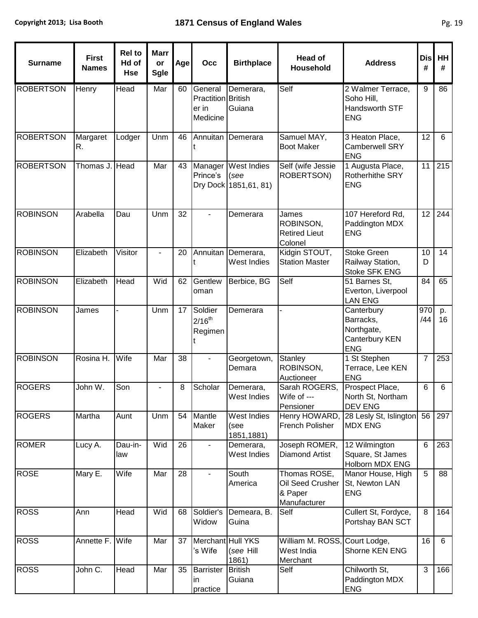| <b>Surname</b>   | <b>First</b><br><b>Names</b> | <b>Rel to</b><br>Hd of<br><b>Hse</b> | <b>Marr</b><br>or<br><b>Sgle</b> | Age | Occ                                                | <b>Birthplace</b>                             | <b>Head of</b><br>Household                                 | <b>Address</b>                                                        | <b>Dis</b><br># | HH<br>#        |
|------------------|------------------------------|--------------------------------------|----------------------------------|-----|----------------------------------------------------|-----------------------------------------------|-------------------------------------------------------------|-----------------------------------------------------------------------|-----------------|----------------|
| <b>ROBERTSON</b> | Henry                        | Head                                 | Mar                              | 60  | General<br>Practition British<br>er in<br>Medicine | Demerara,<br>Guiana                           | Self                                                        | 2 Walmer Terrace,<br>Soho Hill,<br>Handsworth STF<br><b>ENG</b>       | 9               | 86             |
| <b>ROBERTSON</b> | Margaret<br>R.               | Lodger                               | Unm                              | 46  |                                                    | Annuitan Demerara                             | Samuel MAY,<br><b>Boot Maker</b>                            | 3 Heaton Place,<br><b>Camberwell SRY</b><br><b>ENG</b>                | 12              | $6\phantom{1}$ |
| <b>ROBERTSON</b> | Thomas J. Head               |                                      | Mar                              | 43  | Manager<br>Prince's                                | West Indies<br>(see<br>Dry Dock 1851, 61, 81) | Self (wife Jessie<br>ROBERTSON)                             | 1 Augusta Place,<br>Rotherhithe SRY<br><b>ENG</b>                     | 11              | 215            |
| <b>ROBINSON</b>  | Arabella                     | Dau                                  | Unm                              | 32  |                                                    | Demerara                                      | James<br>ROBINSON,<br><b>Retired Lieut</b><br>Colonel       | 107 Hereford Rd,<br>Paddington MDX<br><b>ENG</b>                      | 12              | 244            |
| <b>ROBINSON</b>  | Elizabeth                    | Visitor                              | $\blacksquare$                   | 20  | Annuitan                                           | Demerara,<br>West Indies                      | Kidgin STOUT,<br><b>Station Master</b>                      | <b>Stoke Green</b><br>Railway Station,<br>Stoke SFK ENG               | 10<br>D         | 14             |
| <b>ROBINSON</b>  | Elizabeth                    | Head                                 | Wid                              | 62  | Gentlew<br>oman                                    | Berbice, BG                                   | Self                                                        | 51 Barnes St,<br>Everton, Liverpool<br><b>LAN ENG</b>                 | 84              | 65             |
| <b>ROBINSON</b>  | James                        |                                      | Unm                              | 17  | Soldier<br>$2/16^{th}$<br>Regimen                  | Demerara                                      |                                                             | Canterbury<br>Barracks,<br>Northgate,<br>Canterbury KEN<br><b>ENG</b> | 970<br>/44      | p.<br>16       |
| <b>ROBINSON</b>  | Rosina H.                    | Wife                                 | Mar                              | 38  |                                                    | Georgetown,<br>Demara                         | Stanley<br>ROBINSON,<br>Auctioneer                          | 1 St Stephen<br>Terrace, Lee KEN<br><b>ENG</b>                        | $\overline{7}$  | 253            |
| <b>ROGERS</b>    | John W.                      | Son                                  |                                  | 8   | Scholar                                            | Demerara,<br>West Indies                      | Sarah ROGERS,<br>Wife of ---<br>Pensioner                   | Prospect Place,<br>North St, Northam<br><b>DEV ENG</b>                | 6               | $\,6\,$        |
| <b>ROGERS</b>    | Martha                       | Aunt                                 | Unm                              | 54  | Mantle<br>Maker                                    | West Indies<br>(see<br>1851,1881)             | Henry HOWARD,<br>French Polisher                            | 28 Lesly St, Islington<br><b>MDX ENG</b>                              | 56              | 297            |
| <b>ROMER</b>     | Lucy A.                      | Dau-in-<br>law                       | Wid                              | 26  | $\blacksquare$                                     | Demerara,<br>West Indies                      | Joseph ROMER,<br><b>Diamond Artist</b>                      | 12 Wilmington<br>Square, St James<br>Holborn MDX ENG                  | $6\phantom{1}$  | 263            |
| <b>ROSE</b>      | Mary E.                      | Wife                                 | Mar                              | 28  |                                                    | South<br>America                              | Thomas ROSE,<br>Oil Seed Crusher<br>& Paper<br>Manufacturer | Manor House, High<br>St, Newton LAN<br><b>ENG</b>                     | 5               | 88             |
| <b>ROSS</b>      | Ann                          | Head                                 | Wid                              | 68  | Soldier's<br>Widow                                 | Demeara, B.<br>Guina                          | Self                                                        | Cullert St, Fordyce,<br>Portshay BAN SCT                              | 8               | 164            |
| <b>ROSS</b>      | Annette F. Wife              |                                      | Mar                              | 37  | Merchant Hull YKS<br>'s Wife                       | (see Hill<br>1861)                            | William M. ROSS, Court Lodge,<br>West India<br>Merchant     | Shorne KEN ENG                                                        | 16              | 6              |
| <b>ROSS</b>      | John C.                      | Head                                 | Mar                              | 35  | <b>Barrister</b><br>in<br>practice                 | <b>British</b><br>Guiana                      | Self                                                        | Chilworth St,<br>Paddington MDX<br><b>ENG</b>                         | 3               | 166            |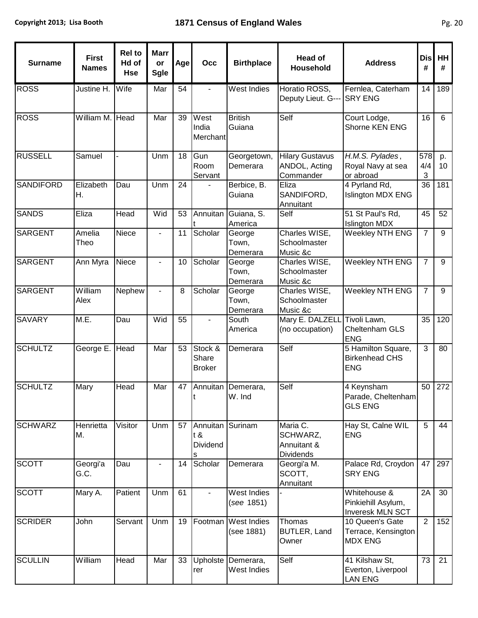т

r

т

| <b>Surname</b>   | <b>First</b><br><b>Names</b> | <b>Rel to</b><br>Hd of<br><b>Hse</b> | <b>Marr</b><br>or<br><b>Sgle</b> | Age | Occ                                      | <b>Birthplace</b>           | <b>Head of</b><br>Household                             | <b>Address</b>                                            | <b>Dis</b><br># | HH<br>#        |
|------------------|------------------------------|--------------------------------------|----------------------------------|-----|------------------------------------------|-----------------------------|---------------------------------------------------------|-----------------------------------------------------------|-----------------|----------------|
| <b>ROSS</b>      | Justine H.                   | Wife                                 | Mar                              | 54  |                                          | West Indies                 | Horatio ROSS,<br>Deputy Lieut. G---                     | Fernlea, Caterham<br><b>SRY ENG</b>                       | 14              | 189            |
| <b>ROSS</b>      | William M. Head              |                                      | Mar                              | 39  | West<br>India<br>Merchant                | <b>British</b><br>Guiana    | Self                                                    | Court Lodge,<br>Shorne KEN ENG                            | 16              | $6\phantom{1}$ |
| <b>RUSSELL</b>   | Samuel                       |                                      | Unm                              | 18  | Gun<br>Room<br>Servant                   | Georgetown,<br>Demerara     | <b>Hilary Gustavus</b><br>ANDOL, Acting<br>Commander    | H.M.S. Pylades,<br>Royal Navy at sea<br>or abroad         | 578<br>4/4<br>3 | p.<br>10       |
| <b>SANDIFORD</b> | Elizabeth<br>Η.              | Dau                                  | Unm                              | 24  |                                          | Berbice, B.<br>Guiana       | Eliza<br>SANDIFORD,<br>Annuitant                        | 4 Pyrland Rd,<br>Islington MDX ENG                        | 36              | 181            |
| <b>SANDS</b>     | Eliza                        | <b>Head</b>                          | Wid                              | 53  | Annuitan                                 | Guiana, S.<br>America       | Self                                                    | 51 St Paul's Rd,<br><b>Islington MDX</b>                  | 45              | 52             |
| <b>SARGENT</b>   | Amelia<br>Theo               | Niece                                |                                  | 11  | Scholar                                  | George<br>Town,<br>Demerara | Charles WISE,<br>Schoolmaster<br>Music &c               | Weekley NTH ENG                                           | $\overline{7}$  | $9\,$          |
| <b>SARGENT</b>   | Ann Myra                     | Niece                                |                                  | 10  | Scholar                                  | George<br>Town,<br>Demerara | Charles WISE,<br>Schoolmaster<br>Music &c               | <b>Weekley NTH ENG</b>                                    | $\overline{7}$  | 9              |
| <b>SARGENT</b>   | William<br>Alex              | Nephew                               |                                  | 8   | Scholar                                  | George<br>Town,<br>Demerara | Charles WISE,<br>Schoolmaster<br>Music &c               | Weekley NTH ENG                                           | 7               | 9              |
| <b>SAVARY</b>    | M.E.                         | Dau                                  | Wid                              | 55  |                                          | South<br>America            | Mary E. DALZELL<br>(no occupation)                      | Tivoli Lawn,<br>Cheltenham GLS<br><b>ENG</b>              | 35              | 120            |
| <b>SCHULTZ</b>   | George E.                    | Head                                 | Mar                              | 53  | Stock &<br>Share<br><b>Broker</b>        | Demerara                    | Self                                                    | 5 Hamilton Square,<br><b>Birkenhead CHS</b><br><b>ENG</b> | 3               | 80             |
| <b>SCHULTZ</b>   | Mary                         | Head                                 | Mar                              | 47  | Annuitan                                 | Demerara,<br>W. Ind         | Self                                                    | 4 Keynsham<br>Parade, Cheltenham<br><b>GLS ENG</b>        | 50              | 272            |
| <b>SCHWARZ</b>   | Henrietta<br>М.              | Visitor                              | Unm                              | 57  | Annuitan Surinam<br>t &<br>Dividend<br>s |                             | Maria C.<br>SCHWARZ,<br>Annuitant &<br><b>Dividends</b> | Hay St, Calne WIL<br><b>ENG</b>                           | 5               | 44             |
| <b>SCOTT</b>     | Georgi'a<br>G.C.             | Dau                                  |                                  | 14  | Scholar                                  | Demerara                    | Georgi'a M.<br>SCOTT,<br>Annuitant                      | Palace Rd, Croydon<br><b>SRY ENG</b>                      | 47              | 297            |
| <b>SCOTT</b>     | Mary A.                      | Patient                              | Unm                              | 61  |                                          | West Indies<br>(see 1851)   |                                                         | Whitehouse &<br>Pinkiehill Asylum,<br>Inveresk MLN SCT    | 2A              | 30             |
| <b>SCRIDER</b>   | John                         | Servant                              | Unm                              | 19  | Footman                                  | West Indies<br>(see 1881)   | Thomas<br>BUTLER, Land<br>Owner                         | 10 Queen's Gate<br>Terrace, Kensington<br><b>MDX ENG</b>  | 2               | 152            |
| <b>SCULLIN</b>   | William                      | Head                                 | Mar                              | 33  | Upholste<br>rer                          | Demerara,<br>West Indies    | Self                                                    | 41 Kilshaw St,<br>Everton, Liverpool<br><b>LAN ENG</b>    | 73              | 21             |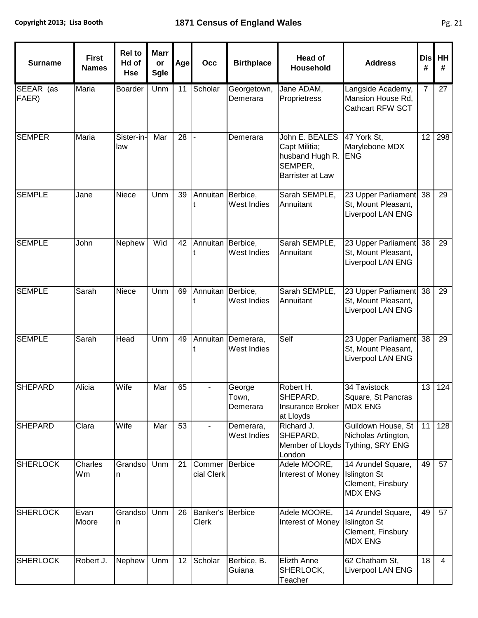| <b>Surname</b>     | <b>First</b><br><b>Names</b> | <b>Rel to</b><br>Hd of<br><b>Hse</b> | <b>Marr</b><br>or<br>Sgle | Age | Occ                  | <b>Birthplace</b>           | <b>Head of</b><br><b>Household</b>                                                       | <b>Address</b>                                                                   | <b>Dis</b><br># | HH<br>#        |
|--------------------|------------------------------|--------------------------------------|---------------------------|-----|----------------------|-----------------------------|------------------------------------------------------------------------------------------|----------------------------------------------------------------------------------|-----------------|----------------|
| SEEAR (as<br>FAER) | Maria                        | Boarder                              | Unm                       | 11  | Scholar              | Georgetown,<br>Demerara     | Jane ADAM,<br>Proprietress                                                               | Langside Academy,<br>Mansion House Rd,<br>Cathcart RFW SCT                       | $\overline{7}$  | 27             |
| <b>SEMPER</b>      | Maria                        | Sister-in-<br>law                    | Mar                       | 28  |                      | Demerara                    | John E. BEALES<br>Capt Militia;<br>husband Hugh R.<br>SEMPER,<br><b>Barrister at Law</b> | 47 York St,<br>Marylebone MDX<br><b>ENG</b>                                      | 12              | 298            |
| <b>SEMPLE</b>      | Jane                         | Niece                                | Unm                       | 39  | Annuitan             | Berbice,<br>West Indies     | Sarah SEMPLE,<br>Annuitant                                                               | 23 Upper Parliament<br>St, Mount Pleasant,<br>Liverpool LAN ENG                  | 38              | 29             |
| <b>SEMPLE</b>      | John                         | Nephew                               | Wid                       | 42  | Annuitan             | Berbice,<br>West Indies     | Sarah SEMPLE,<br>Annuitant                                                               | 23 Upper Parliament<br>St, Mount Pleasant,<br>Liverpool LAN ENG                  | 38              | 29             |
| <b>SEMPLE</b>      | Sarah                        | Niece                                | Unm                       | 69  | Annuitan             | Berbice,<br>West Indies     | Sarah SEMPLE,<br>Annuitant                                                               | 23 Upper Parliament<br>St, Mount Pleasant,<br>Liverpool LAN ENG                  | 38              | 29             |
| <b>SEMPLE</b>      | Sarah                        | Head                                 | Unm                       | 49  | Annuitan             | Demerara,<br>West Indies    | Self                                                                                     | 23 Upper Parliament<br>St, Mount Pleasant,<br>Liverpool LAN ENG                  | 38              | 29             |
| <b>SHEPARD</b>     | Alicia                       | Wife                                 | Mar                       | 65  | ÷,                   | George<br>Town,<br>Demerara | Robert H.<br>SHEPARD,<br><b>Insurance Broker</b><br>at Lloyds                            | 34 Tavistock<br>Square, St Pancras<br><b>IMDX ENG</b>                            | 13              | 124            |
| <b>SHEPARD</b>     | Clara                        | Wife                                 | Mar                       | 53  |                      | Demerara,<br>West Indies    | Richard J.<br>SHEPARD,<br>London                                                         | Guildown House, St<br>Nicholas Artington,<br>Member of Lloyds Tything, SRY ENG   | 11              | 128            |
| <b>SHERLOCK</b>    | Charles<br>Wm                | Grandso<br>n                         | Unm                       | 21  | Commer<br>cial Clerk | Berbice                     | Adele MOORE,<br>Interest of Money                                                        | 14 Arundel Square,<br><b>Islington St</b><br>Clement, Finsbury<br><b>MDX ENG</b> | 49              | 57             |
| <b>SHERLOCK</b>    | Evan<br>Moore                | Grandso<br>n                         | Unm                       | 26  | Banker's<br>Clerk    | <b>Berbice</b>              | Adele MOORE,<br>Interest of Money                                                        | 14 Arundel Square,<br><b>Islington St</b><br>Clement, Finsbury<br><b>MDX ENG</b> | 49              | 57             |
| <b>SHERLOCK</b>    | Robert J.                    | Nephew                               | Unm                       | 12  | Scholar              | Berbice, B.<br>Guiana       | Elizth Anne<br>SHERLOCK,<br>Teacher                                                      | 62 Chatham St,<br>Liverpool LAN ENG                                              | 18              | $\overline{4}$ |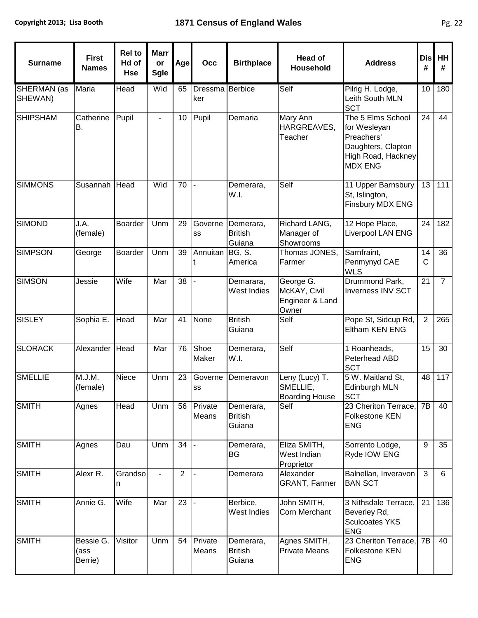| <b>Surname</b>                | <b>First</b><br><b>Names</b> | <b>Rel to</b><br>Hd of<br><b>Hse</b> | <b>Marr</b><br>or<br><b>Sgle</b> | Age            | Occ                    | <b>Birthplace</b>                     | <b>Head of</b><br><b>Household</b>                    | <b>Address</b>                                                                                                | <b>Dis</b><br>#     | HH<br>#         |
|-------------------------------|------------------------------|--------------------------------------|----------------------------------|----------------|------------------------|---------------------------------------|-------------------------------------------------------|---------------------------------------------------------------------------------------------------------------|---------------------|-----------------|
| <b>SHERMAN</b> (as<br>SHEWAN) | Maria                        | Head                                 | Wid                              | 65             | Dressma Berbice<br>ker |                                       | Self                                                  | Pilrig H. Lodge,<br>Leith South MLN<br><b>SCT</b>                                                             | 10                  | 180             |
| <b>SHIPSHAM</b>               | Catherine<br><b>B.</b>       | Pupil                                |                                  | 10             | Pupil                  | Demaria                               | Mary Ann<br>HARGREAVES,<br>Teacher                    | The 5 Elms School<br>for Wesleyan<br>Preachers'<br>Daughters, Clapton<br>High Road, Hackney<br><b>MDX ENG</b> | 24                  | 44              |
| <b>SIMMONS</b>                | Susannah                     | Head                                 | Wid                              | 70             |                        | Demerara,<br>W.I.                     | Self                                                  | 11 Upper Barnsbury<br>St, Islington,<br>Finsbury MDX ENG                                                      | 13                  | 111             |
| <b>SIMOND</b>                 | J.A.<br>(female)             | <b>Boarder</b>                       | Unm                              | 29             | Governe<br>SS          | Demerara,<br><b>British</b><br>Guiana | Richard LANG,<br>Manager of<br>Showrooms              | 12 Hope Place,<br>Liverpool LAN ENG                                                                           | 24                  | 182             |
| <b>SIMPSON</b>                | George                       | Boarder                              | Unm                              | 39             | Annuitan               | BG, S.<br>America                     | Thomas JONES,<br>Farmer                               | Sarnfraint,<br>Penmynyd CAE<br><b>WLS</b>                                                                     | 14<br>$\mathsf{C}$  | $\overline{36}$ |
| <b>SIMSON</b>                 | Jessie                       | Wife                                 | Mar                              | 38             |                        | Demarara,<br>West Indies              | George G.<br>McKAY, Civil<br>Engineer & Land<br>Owner | Drummond Park,<br><b>Inverness INV SCT</b>                                                                    | 21                  | $\overline{7}$  |
| <b>SISLEY</b>                 | Sophia E.                    | Head                                 | Mar                              | 41             | None                   | <b>British</b><br>Guiana              | Self                                                  | Pope St, Sidcup Rd,<br>Eltham KEN ENG                                                                         | $\overline{2}$      | 265             |
| <b>SLORACK</b>                | Alexander                    | Head                                 | Mar                              | 76             | Shoe<br>Maker          | Demerara,<br>W.I.                     | Self                                                  | 1 Roanheads,<br>Peterhead ABD<br><b>SCT</b>                                                                   | 15                  | 30              |
| <b>SMELLIE</b>                | M.J.M.<br>(female)           | Niece                                | Unm                              | 23             | Governe<br>SS          | Demeravon                             | Leny (Lucy) T.<br>SMELLIE,<br><b>Boarding House</b>   | 5 W. Maitland St,<br>Edinburgh MLN<br><b>SCT</b>                                                              | 48                  | 117             |
| <b>SMITH</b>                  | Agnes                        | Head                                 | Unm                              | 56             | Private<br>Means       | Demerara,<br><b>British</b><br>Guiana | Self                                                  | 23 Cheriton Terrace.<br>Folkestone KEN<br><b>ENG</b>                                                          | 7B                  | 40              |
| <b>SMITH</b>                  | Agnes                        | Dau                                  | Unm                              | 34             |                        | Demerara,<br><b>BG</b>                | Eliza SMITH,<br>West Indian<br>Proprietor             | Sorrento Lodge,<br>Ryde IOW ENG                                                                               | 9                   | 35              |
| <b>SMITH</b>                  | Alexr R.                     | Grandso<br>n                         |                                  | $\overline{2}$ |                        | Demerara                              | Alexander<br><b>GRANT, Farmer</b>                     | Balnellan, Inveravon<br><b>BAN SCT</b>                                                                        | $\overline{\omega}$ | 6               |
| <b>SMITH</b>                  | Annie G.                     | Wife                                 | Mar                              | 23             |                        | Berbice,<br>West Indies               | John SMITH,<br>Corn Merchant                          | 3 Nithsdale Terrace,<br>Beverley Rd,<br><b>Sculcoates YKS</b><br><b>ENG</b>                                   | 21                  | 136             |
| <b>SMITH</b>                  | Bessie G.<br>(ass<br>Berrie) | Visitor                              | Unm                              | 54             | Private<br>Means       | Demerara,<br><b>British</b><br>Guiana | Agnes SMITH,<br><b>Private Means</b>                  | 23 Cheriton Terrace,<br><b>Folkestone KEN</b><br><b>ENG</b>                                                   | 7B                  | 40              |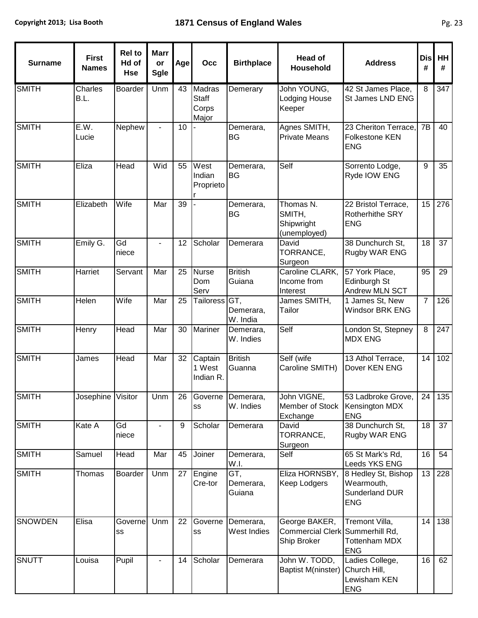| <b>Surname</b> | <b>First</b><br><b>Names</b> | <b>Rel to</b><br>Hd of<br><b>Hse</b> | <b>Marr</b><br>or<br><b>Sgle</b> | Age | Occ                                             | <b>Birthplace</b>                 | <b>Head of</b><br>Household                                     | <b>Address</b>                                                    | <b>Dis</b><br># | HH<br>#          |
|----------------|------------------------------|--------------------------------------|----------------------------------|-----|-------------------------------------------------|-----------------------------------|-----------------------------------------------------------------|-------------------------------------------------------------------|-----------------|------------------|
| <b>SMITH</b>   | Charles<br>B.L.              | Boarder                              | Unm                              | 43  | <b>Madras</b><br><b>Staff</b><br>Corps<br>Major | Demerary                          | John YOUNG,<br>Lodging House<br>Keeper                          | 42 St James Place,<br>St James LND ENG                            | 8               | 347              |
| SMITH          | E.W.<br>Lucie                | Nephew                               |                                  | 10  |                                                 | Demerara,<br>BG                   | Agnes SMITH,<br><b>Private Means</b>                            | 23 Cheriton Terrace.<br><b>Folkestone KEN</b><br><b>ENG</b>       | 7B              | 40               |
| SMITH          | Eliza                        | Head                                 | Wid                              | 55  | West<br>Indian<br>Proprieto                     | Demerara,<br><b>BG</b>            | Self                                                            | Sorrento Lodge,<br>Ryde IOW ENG                                   | 9               | 35               |
| <b>SMITH</b>   | Elizabeth                    | Wife                                 | Mar                              | 39  |                                                 | Demerara,<br>BG                   | Thomas N.<br>SMITH,<br>Shipwright<br>(unemployed)               | 22 Bristol Terrace,<br><b>Rotherhithe SRY</b><br><b>ENG</b>       | 15              | 276              |
| <b>SMITH</b>   | Emily G.                     | Gd<br>niece                          | $\overline{\phantom{a}}$         | 12  | Scholar                                         | Demerara                          | David<br>TORRANCE,<br>Surgeon                                   | 38 Dunchurch St.<br>Rugby WAR ENG                                 | 18              | 37               |
| <b>SMITH</b>   | Harriet                      | Servant                              | Mar                              | 25  | <b>Nurse</b><br>Dom<br>Serv                     | <b>British</b><br>Guiana          | Caroline CLARK,<br>Income from<br>Interest                      | 57 York Place,<br>Edinburgh St<br>Andrew MLN SCT                  | 95              | 29               |
| <b>SMITH</b>   | Helen                        | Wife                                 | Mar                              | 25  | Tailoress GT,                                   | Demerara,<br>W. India             | James SMITH,<br>Tailor                                          | 1 James St, New<br><b>Windsor BRK ENG</b>                         | $\overline{7}$  | 126              |
| <b>SMITH</b>   | Henry                        | Head                                 | Mar                              | 30  | Mariner                                         | Demerara,<br>W. Indies            | Self                                                            | London St, Stepney<br><b>MDX ENG</b>                              | 8               | 247              |
| <b>SMITH</b>   | James                        | Head                                 | Mar                              | 32  | Captain<br>1 West<br>Indian R.                  | <b>British</b><br>Guanna          | Self (wife<br>Caroline SMITH)                                   | 13 Athol Terrace,<br>Dover KEN ENG                                | 14              | $\overline{102}$ |
| <b>SMITH</b>   | Josephine Visitor            |                                      | Unm                              |     | SS                                              | 26 Governe Demerara,<br>W. Indies | John VIGNE,<br>Member of Stock<br>Exchange                      | 53 Ladbroke Grove,<br>Kensington MDX<br><b>ENG</b>                |                 | 24   135         |
| <b>SMITH</b>   | Kate A                       | Gd<br>niece                          | $\blacksquare$                   | 9   | Scholar                                         | Demerara                          | David<br>TORRANCE,<br>Surgeon                                   | 38 Dunchurch St,<br>Rugby WAR ENG                                 | 18              | 37               |
| <b>SMITH</b>   | Samuel                       | Head                                 | Mar                              | 45  | Joiner                                          | Demerara,<br>W.I.                 | Self                                                            | 65 St Mark's Rd,<br>Leeds YKS ENG                                 | 16              | 54               |
| <b>SMITH</b>   | Thomas                       | Boarder                              | Unm                              | 27  | Engine<br>Cre-tor                               | GT,<br>Demerara,<br>Guiana        | Eliza HORNSBY,<br>Keep Lodgers                                  | 8 Hedley St, Bishop<br>Wearmouth,<br>Sunderland DUR<br><b>ENG</b> | 13              | 228              |
| <b>SNOWDEN</b> | Elisa                        | Governe<br>SS                        | Unm                              | 22  | Governe<br>SS                                   | Demerara,<br>West Indies          | George BAKER,<br>Commercial Clerk Summerhill Rd,<br>Ship Broker | Tremont Villa,<br><b>Tottenham MDX</b><br><b>ENG</b>              | 14              | 138              |
| <b>SNUTT</b>   | Louisa                       | Pupil                                |                                  | 14  | Scholar                                         | Demerara                          | John W. TODD,<br>Baptist M(ninster)                             | Ladies College,<br>Church Hill,<br>Lewisham KEN<br><b>ENG</b>     | 16              | 62               |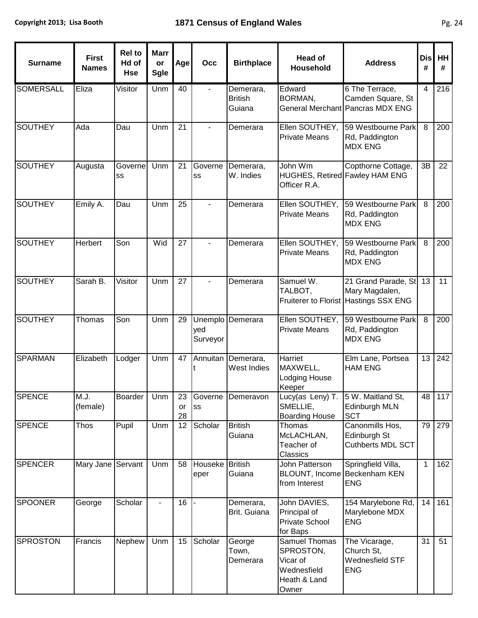| <b>Surname</b>   | <b>First</b><br><b>Names</b> | <b>Rel to</b><br>Hd of<br><b>Hse</b> | <b>Marr</b><br>or<br><b>Sgle</b> | Age            | Occ             | <b>Birthplace</b>                     | <b>Head of</b><br><b>Household</b>                                             | <b>Address</b>                                                                 | <b>Dis</b><br>#     | HH<br>#  |
|------------------|------------------------------|--------------------------------------|----------------------------------|----------------|-----------------|---------------------------------------|--------------------------------------------------------------------------------|--------------------------------------------------------------------------------|---------------------|----------|
| <b>SOMERSALL</b> | Eliza                        | Visitor                              | Unm                              | 40             |                 | Demerara,<br><b>British</b><br>Guiana | Edward<br><b>BORMAN,</b>                                                       | 6 The Terrace,<br>Camden Square, St<br>General Merchant Pancras MDX ENG        | $\overline{4}$      | 216      |
| <b>SOUTHEY</b>   | Ada                          | Dau                                  | Unm                              | 21             |                 | Demerara                              | <b>Private Means</b>                                                           | Ellen SOUTHEY, [59 Westbourne Park]<br>Rd, Paddington<br><b>MDX ENG</b>        | 8                   | 200      |
| <b>SOUTHEY</b>   | Augusta                      | Governe<br>SS                        | Unm                              | 21             | Governe<br>SS   | Demerara,<br>W. Indies                | John Wm<br>HUGHES, Retired Fawley HAM ENG<br>Officer R.A.                      | Copthorne Cottage,                                                             | 3B                  | 22       |
| <b>SOUTHEY</b>   | Emily A.                     | Dau                                  | Unm                              | 25             |                 | Demerara                              | Ellen SOUTHEY,<br><b>Private Means</b>                                         | 59 Westbourne Park<br>Rd, Paddington<br><b>MDX ENG</b>                         | 8                   | 200      |
| <b>SOUTHEY</b>   | Herbert                      | Son                                  | Wid                              | 27             |                 | Demerara                              | Ellen SOUTHEY,<br><b>Private Means</b>                                         | 59 Westbourne Park<br>Rd, Paddington<br><b>MDX ENG</b>                         | 8                   | 200      |
| <b>SOUTHEY</b>   | Sarah B.                     | Visitor                              | Unm                              | 27             |                 | Demerara                              | Samuel W.<br>TALBOT,                                                           | 21 Grand Parade, St<br>Mary Magdalen,<br>Fruiterer to Florist Hastings SSX ENG | 13                  | 11       |
| <b>SOUTHEY</b>   | Thomas                       | Son                                  | Unm                              | 29             | yed<br>Surveyor | Unemplo Demerara                      | <b>Private Means</b>                                                           | Ellen SOUTHEY, 59 Westbourne Park<br>Rd, Paddington<br><b>MDX ENG</b>          | $\overline{\infty}$ | 200      |
| <b>SPARMAN</b>   | Elizabeth                    | Lodger                               | Unm                              | 47             | Annuitan        | Demerara,<br>West Indies              | Harriet<br>MAXWELL,<br><b>Lodging House</b><br>Keeper                          | Elm Lane, Portsea<br><b>HAM ENG</b>                                            | 13                  | 242      |
| <b>SPENCE</b>    | M.J.<br>(female)             | <b>Boarder</b>                       | Unm                              | 23<br>or<br>28 | <b>SS</b>       | Governe Demeravon                     | Lucy(as Leny) T.<br>SMELLIE,<br><b>Boarding House</b>                          | 5 W. Maitland St,<br>Edinburgh MLN<br><b>SCT</b>                               |                     | 48   117 |
| <b>SPENCE</b>    | <b>Thos</b>                  | Pupil                                | Unm                              | 12             | Scholar         | <b>British</b><br>Guiana              | Thomas<br>McLACHLAN,<br>Teacher of<br>Classics                                 | Canonmills Hos,<br>Edinburgh St<br>Cuthberts MDL SCT                           | 79                  | 279      |
| <b>SPENCER</b>   | Mary Jane Servant            |                                      | Unm                              | 58             | Houseke<br>eper | <b>British</b><br>Guiana              | John Patterson<br>BLOUNT, Income Beckenham KEN<br>from Interest                | Springfield Villa,<br><b>ENG</b>                                               | $\mathbf{1}$        | 162      |
| <b>SPOONER</b>   | George                       | Scholar                              |                                  | 16             |                 | Demerara,<br>Brit. Guiana             | John DAVIES,<br>Principal of<br><b>Private School</b><br>for Baps              | 154 Marylebone Rd,<br>Marylebone MDX<br><b>ENG</b>                             | 14                  | 161      |
| <b>SPROSTON</b>  | Francis                      | Nephew                               | Unm                              | 15             | Scholar         | George<br>Town,<br>Demerara           | Samuel Thomas<br>SPROSTON,<br>Vicar of<br>Wednesfield<br>Heath & Land<br>Owner | The Vicarage,<br>Church St,<br>Wednesfield STF<br><b>ENG</b>                   | 31                  | 51       |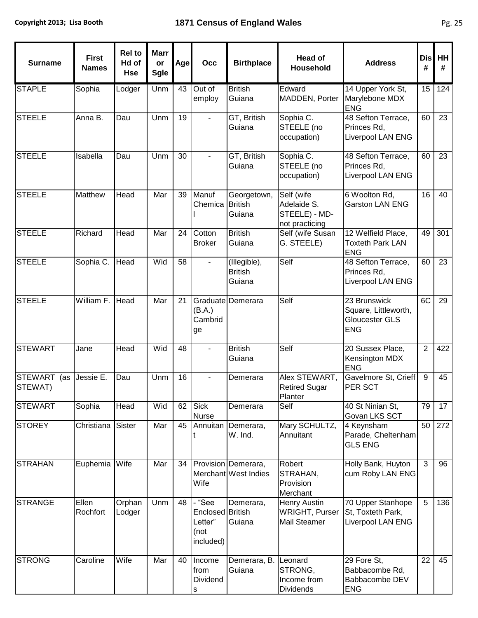| <b>Surname</b>         | <b>First</b><br><b>Names</b> | <b>Rel to</b><br>Hd of<br><b>Hse</b> | <b>Marr</b><br>or<br><b>Sgle</b> | Age | Occ                                                      | <b>Birthplace</b>                           | <b>Head of</b><br><b>Household</b>                           | <b>Address</b>                                                              | <b>Dis</b><br># | <b>HH</b><br>#  |
|------------------------|------------------------------|--------------------------------------|----------------------------------|-----|----------------------------------------------------------|---------------------------------------------|--------------------------------------------------------------|-----------------------------------------------------------------------------|-----------------|-----------------|
| <b>STAPLE</b>          | Sophia                       | Lodger                               | Unm                              | 43  | Out of<br>employ                                         | <b>British</b><br>Guiana                    | Edward<br>MADDEN, Porter                                     | 14 Upper York St,<br>Marylebone MDX<br><b>ENG</b>                           | 15              | 124             |
| <b>STEELE</b>          | Anna B.                      | Dau                                  | Unm                              | 19  |                                                          | GT, British<br>Guiana                       | Sophia C.<br>STEELE (no<br>occupation)                       | 48 Sefton Terrace,<br>Princes Rd.<br>Liverpool LAN ENG                      | 60              | 23              |
| <b>STEELE</b>          | Isabella                     | Dau                                  | Unm                              | 30  |                                                          | GT, British<br>Guiana                       | Sophia C.<br>STEELE (no<br>occupation)                       | 48 Sefton Terrace,<br>Princes Rd,<br>Liverpool LAN ENG                      | 60              | $\overline{23}$ |
| <b>STEELE</b>          | Matthew                      | Head                                 | Mar                              | 39  | Manuf<br>Chemica                                         | Georgetown,<br><b>British</b><br>Guiana     | Self (wife<br>Adelaide S.<br>STEELE) - MD-<br>not practicing | 6 Woolton Rd,<br><b>Garston LAN ENG</b>                                     | 16              | 40              |
| <b>STEELE</b>          | Richard                      | Head                                 | Mar                              | 24  | Cotton<br><b>Broker</b>                                  | <b>British</b><br>Guiana                    | Self (wife Susan<br>G. STEELE)                               | 12 Welfield Place,<br><b>Toxteth Park LAN</b><br><b>ENG</b>                 | 49              | 301             |
| <b>STEELE</b>          | Sophia C.                    | Head                                 | Wid                              | 58  |                                                          | (Illegible),<br><b>British</b><br>Guiana    | Self                                                         | 48 Sefton Terrace,<br>Princes Rd,<br>Liverpool LAN ENG                      | 60              | 23              |
| <b>STEELE</b>          | William F.                   | Head                                 | Mar                              | 21  | (B.A.)<br>Cambrid<br>ge                                  | Graduate Demerara                           | Self                                                         | 23 Brunswick<br>Square, Littleworth,<br><b>Gloucester GLS</b><br><b>ENG</b> | 6C              | $\overline{29}$ |
| <b>STEWART</b>         | Jane                         | Head                                 | Wid                              | 48  |                                                          | <b>British</b><br>Guiana                    | Self                                                         | 20 Sussex Place,<br>Kensington MDX<br><b>ENG</b>                            | $\overline{2}$  | 422             |
| STEWART (as<br>STEWAT) | Jessie E.                    | Dau                                  | Unm                              | 16  |                                                          | Demerara                                    | Alex STEWART,<br><b>Retired Sugar</b><br>Planter             | Gavelmore St, Crieff<br><b>PER SCT</b>                                      | 9               | 45              |
| <b>STEWART</b>         | Sophia                       | Head                                 | Wid                              | 62  | <b>Sick</b><br><b>Nurse</b>                              | Demerara                                    | Self                                                         | 40 St Ninian St,<br>Govan LKS SCT                                           | 79              | 17              |
| <b>STOREY</b>          | Christiana                   | Sister                               | Mar                              | 45  | Annuitan                                                 | Demerara,<br>W. Ind.                        | Mary SCHULTZ,<br>Annuitant                                   | 4 Keynsham<br>Parade, Cheltenham<br><b>GLS ENG</b>                          | 50              | 272             |
| <b>STRAHAN</b>         | Euphemia                     | Wife                                 | Mar                              | 34  | Wife                                                     | Provision Demerara,<br>Merchant West Indies | Robert<br>STRAHAN,<br>Provision<br>Merchant                  | Holly Bank, Huyton<br>cum Roby LAN ENG                                      | 3               | 96              |
| <b>STRANGE</b>         | Ellen<br>Rochfort            | Orphan<br>Lodger                     | Unm                              | 48  | "See<br>Enclosed British<br>Letter"<br>(not<br>included) | Demerara,<br>Guiana                         | Henry Austin<br><b>WRIGHT, Purser</b><br>Mail Steamer        | 70 Upper Stanhope<br>St, Toxteth Park,<br>Liverpool LAN ENG                 | 5               | 136             |
| <b>STRONG</b>          | Caroline                     | Wife                                 | Mar                              | 40  | Income<br>from<br>Dividend<br>S                          | Demerara, B.<br>Guiana                      | Leonard<br>STRONG,<br>Income from<br>Dividends               | 29 Fore St,<br>Babbacombe Rd,<br>Babbacombe DEV<br><b>ENG</b>               | 22              | 45              |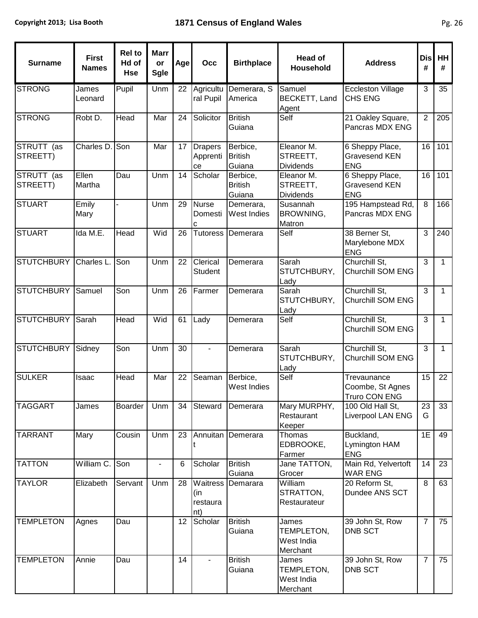| <b>Surname</b>         | <b>First</b><br><b>Names</b> | <b>Rel to</b><br>Hd of<br><b>Hse</b> | <b>Marr</b><br>or<br><b>Sgle</b> | Age | Occ                                | <b>Birthplace</b>                    | <b>Head of</b><br><b>Household</b>            | <b>Address</b>                                          | <b>Dis</b><br># | HH<br>#      |
|------------------------|------------------------------|--------------------------------------|----------------------------------|-----|------------------------------------|--------------------------------------|-----------------------------------------------|---------------------------------------------------------|-----------------|--------------|
| <b>STRONG</b>          | James<br>Leonard             | Pupil                                | Unm                              | 22  | Agricultu<br>ral Pupil             | Demerara, S<br>America               | Samuel<br>BECKETT, Land<br>Agent              | <b>Eccleston Village</b><br><b>CHS ENG</b>              | $\mathfrak{3}$  | 35           |
| <b>STRONG</b>          | Robt D.                      | Head                                 | Mar                              | 24  | Solicitor                          | <b>British</b><br>Guiana             | Self                                          | 21 Oakley Square,<br>Pancras MDX ENG                    | $\overline{2}$  | 205          |
| STRUTT (as<br>STREETT) | Charles D.                   | Son                                  | Mar                              | 17  | <b>Drapers</b><br>Apprenti<br>ce   | Berbice,<br><b>British</b><br>Guiana | Eleanor M.<br>STREETT,<br><b>Dividends</b>    | 6 Sheppy Place,<br><b>Gravesend KEN</b><br><b>ENG</b>   | 16              | 101          |
| STRUTT (as<br>STREETT) | Ellen<br>Martha              | Dau                                  | Unm                              | 14  | Scholar                            | Berbice,<br><b>British</b><br>Guiana | Eleanor M.<br>STREETT,<br><b>Dividends</b>    | 6 Sheppy Place,<br><b>Gravesend KEN</b><br><b>ENG</b>   | 16              | 101          |
| <b>STUART</b>          | Emily<br>Mary                |                                      | Unm                              | 29  | <b>Nurse</b><br>Domesti<br>C       | Demerara,<br>West Indies             | Susannah<br>BROWNING,<br>Matron               | 195 Hampstead Rd,<br>Pancras MDX ENG                    | 8               | 166          |
| <b>STUART</b>          | Ida M.E.                     | Head                                 | Wid                              | 26  | <b>Tutoress</b>                    | Demerara                             | Self                                          | 38 Berner St,<br>Marylebone MDX<br><b>ENG</b>           | 3               | 240          |
| STUTCHBURY             | Charles L.                   | Son                                  | Unm                              | 22  | Clerical<br>Student                | Demerara                             | Sarah<br>STUTCHBURY,<br>Lady                  | Churchill St,<br><b>Churchill SOM ENG</b>               | 3               | $\mathbf{1}$ |
| STUTCHBURY             | Samuel                       | Son                                  | Unm                              | 26  | Farmer                             | Demerara                             | Sarah<br>STUTCHBURY,<br>Lady                  | Churchill St,<br><b>Churchill SOM ENG</b>               | $\overline{3}$  | $\mathbf{1}$ |
| STUTCHBURY Sarah       |                              | Head                                 | Wid                              | 61  | Lady                               | Demerara                             | Self                                          | Churchill St,<br>Churchill SOM ENG                      | 3               | $\mathbf{1}$ |
| STUTCHBURY             | Sidney                       | Son                                  | Unm                              | 30  |                                    | Demerara                             | Sarah<br>STUTCHBURY,<br>Lady                  | Churchill St,<br>Churchill SOM ENG                      | 3               | $\mathbf{1}$ |
| <b>SULKER</b>          | Isaac                        | Head                                 | Mar                              | 22  | Seaman                             | Berbice,<br>West Indies              | Self                                          | Trevaunance<br>Coombe, St Agnes<br><b>Truro CON ENG</b> | 15              | 22           |
| <b>TAGGART</b>         | James                        | <b>Boarder</b>                       | Unm                              | 34  | Steward                            | Demerara                             | Mary MURPHY,<br>Restaurant<br>Keeper          | 100 Old Hall St,<br><b>Liverpool LAN ENG</b>            | 23<br>G         | 33           |
| <b>TARRANT</b>         | Mary                         | Cousin                               | Unm                              | 23  | Annuitan                           | Demerara                             | Thomas<br>EDBROOKE,<br>Farmer                 | Buckland,<br>Lymington HAM<br><b>ENG</b>                | 1E              | 49           |
| <b>TATTON</b>          | William C.                   | Son                                  |                                  | 6   | Scholar                            | <b>British</b><br>Guiana             | Jane TATTON,<br>Grocer                        | Main Rd, Yelvertoft<br><b>WAR ENG</b>                   | 14              | 23           |
| <b>TAYLOR</b>          | Elizabeth                    | Servant                              | Unm                              | 28  | Waitress<br>(in<br>restaura<br>nt) | Demarara                             | William<br>STRATTON,<br>Restaurateur          | 20 Reform St,<br>Dundee ANS SCT                         | $\overline{8}$  | 63           |
| <b>TEMPLETON</b>       | Agnes                        | Dau                                  |                                  | 12  | Scholar                            | <b>British</b><br>Guiana             | James<br>TEMPLETON,<br>West India<br>Merchant | 39 John St, Row<br><b>DNB SCT</b>                       | $\overline{7}$  | 75           |
| <b>TEMPLETON</b>       | Annie                        | Dau                                  |                                  | 14  |                                    | <b>British</b><br>Guiana             | James<br>TEMPLETON,<br>West India<br>Merchant | 39 John St, Row<br><b>DNB SCT</b>                       | $\overline{7}$  | 75           |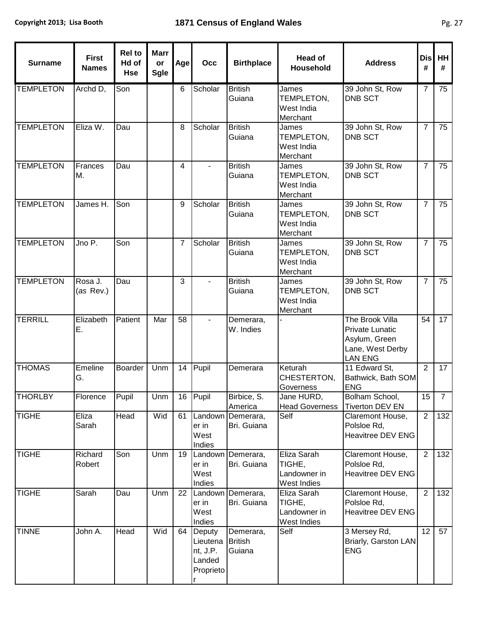$\mathbf{r}$ 

| <b>Surname</b>   | <b>First</b><br><b>Names</b> | <b>Rel to</b><br>Hd of<br>Hse | <b>Marr</b><br>or<br><b>Sgle</b> | Age | Occ                                                        | <b>Birthplace</b>                     | <b>Head of</b><br>Household                          | <b>Address</b>                                                                                   | <b>Disl</b><br># | <b>HH</b><br>#  |
|------------------|------------------------------|-------------------------------|----------------------------------|-----|------------------------------------------------------------|---------------------------------------|------------------------------------------------------|--------------------------------------------------------------------------------------------------|------------------|-----------------|
| <b>TEMPLETON</b> | Archd D,                     | Son                           |                                  | 6   | Scholar                                                    | <b>British</b><br>Guiana              | James<br>TEMPLETON,<br>West India<br>Merchant        | 39 John St, Row<br><b>DNB SCT</b>                                                                | $\overline{7}$   | 75              |
| <b>TEMPLETON</b> | Eliza W.                     | Dau                           |                                  | 8   | Scholar                                                    | <b>British</b><br>Guiana              | James<br>TEMPLETON,<br>West India<br>Merchant        | 39 John St, Row<br><b>DNB SCT</b>                                                                | $\overline{7}$   | 75              |
| <b>TEMPLETON</b> | Frances<br>М.                | Dau                           |                                  | 4   |                                                            | <b>British</b><br>Guiana              | James<br>TEMPLETON,<br>West India<br>Merchant        | 39 John St, Row<br><b>DNB SCT</b>                                                                | $\overline{7}$   | $\overline{75}$ |
| <b>TEMPLETON</b> | James H.                     | Son                           |                                  | 9   | Scholar                                                    | <b>British</b><br>Guiana              | James<br>TEMPLETON,<br>West India<br>Merchant        | 39 John St, Row<br><b>DNB SCT</b>                                                                | $\overline{7}$   | 75              |
| <b>TEMPLETON</b> | JnoP.                        | Son                           |                                  | 7   | Scholar                                                    | <b>British</b><br>Guiana              | James<br>TEMPLETON,<br>West India<br>Merchant        | 39 John St, Row<br><b>DNB SCT</b>                                                                | $\overline{7}$   | 75              |
| <b>TEMPLETON</b> | Rosa J.<br>(as Rev.)         | Dau                           |                                  | 3   |                                                            | <b>British</b><br>Guiana              | James<br>TEMPLETON,<br>West India<br>Merchant        | 39 John St, Row<br><b>DNB SCT</b>                                                                | $\overline{7}$   | 75              |
| <b>TERRILL</b>   | Elizabeth<br>Ε.              | Patient                       | Mar                              | 58  |                                                            | Demerara,<br>W. Indies                |                                                      | The Brook Villa<br><b>Private Lunatic</b><br>Asylum, Green<br>Lane, West Derby<br><b>LAN ENG</b> | 54               | 17              |
| <b>THOMAS</b>    | Emeline<br>G.                | Boarder                       | Unm                              | 14  | Pupil                                                      | Demerara                              | Keturah<br>CHESTERTON,<br>Governess                  | 11 Edward St,<br>Bathwick, Bath SOM<br><b>ENG</b>                                                | $\overline{2}$   | 17              |
| <b>THORLBY</b>   | Florence                     | Pupil                         | Unm                              | 16  | <b>Pupil</b>                                               | Birbice, S.<br>America                | Jane HURD,<br><b>Head Governess</b>                  | Bolham School,<br><b>Tiverton DEV EN</b>                                                         | 15               | $\overline{7}$  |
| <b>TIGHE</b>     | Eliza<br>Sarah               | Head                          | Wid                              | 61  | Landown<br>er in<br>West<br>Indies                         | Demerara,<br>Bri. Guiana              | Self                                                 | Claremont House,<br>Polsloe Rd,<br>Heavitree DEV ENG                                             | $\overline{2}$   | 132             |
| <b>TIGHE</b>     | Richard<br>Robert            | Son                           | Unm                              | 19  | Landown<br>er in<br>West<br>Indies                         | Demerara,<br>Bri. Guiana              | Eliza Sarah<br>TIGHE,<br>Landowner in<br>West Indies | Claremont House,<br>Polsloe Rd,<br><b>Heavitree DEV ENG</b>                                      | $\overline{2}$   | 132             |
| <b>TIGHE</b>     | Sarah                        | Dau                           | Unm                              | 22  | er in<br>West<br>Indies                                    | Landown Demerara,<br>Bri. Guiana      | Eliza Sarah<br>TIGHE,<br>Landowner in<br>West Indies | Claremont House,<br>Polsloe Rd,<br>Heavitree DEV ENG                                             | $\overline{2}$   | 132             |
| <b>TINNE</b>     | John A.                      | Head                          | Wid                              | 64  | Deputy<br>Lieutena<br>nt, J.P.<br>Landed<br>Proprieto<br>r | Demerara,<br><b>British</b><br>Guiana | Self                                                 | 3 Mersey Rd,<br>Briarly, Garston LAN<br><b>ENG</b>                                               | 12               | 57              |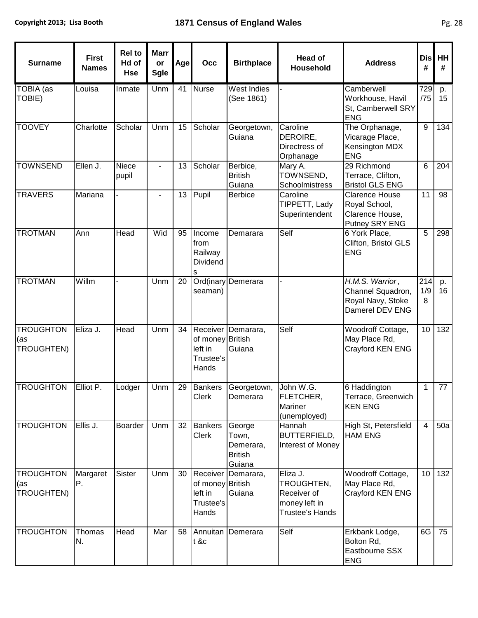| <b>Surname</b>                        | <b>First</b><br><b>Names</b> | <b>Rel to</b><br>Hd of<br><b>Hse</b> | <b>Marr</b><br>or<br><b>Sgle</b> | Age | Occ                                               | <b>Birthplace</b>                                        | <b>Head of</b><br>Household                                                      | <b>Address</b>                                                                 | <b>Dis</b><br># | HH<br>#  |
|---------------------------------------|------------------------------|--------------------------------------|----------------------------------|-----|---------------------------------------------------|----------------------------------------------------------|----------------------------------------------------------------------------------|--------------------------------------------------------------------------------|-----------------|----------|
| TOBIA (as<br>TOBIE)                   | Louisa                       | Inmate                               | Unm                              | 41  | <b>Nurse</b>                                      | West Indies<br>(See 1861)                                |                                                                                  | Camberwell<br>Workhouse, Havil<br>St, Camberwell SRY<br><b>ENG</b>             | 729<br>/75      | p.<br>15 |
| <b>TOOVEY</b>                         | Charlotte                    | Scholar                              | Unm                              | 15  | Scholar                                           | Georgetown,<br>Guiana                                    | Caroline<br>DEROIRE,<br>Directress of<br>Orphanage                               | The Orphanage,<br>Vicarage Place,<br>Kensington MDX<br><b>ENG</b>              | 9               | 134      |
| <b>TOWNSEND</b>                       | Ellen J.                     | Niece<br>pupil                       |                                  | 13  | Scholar                                           | Berbice,<br><b>British</b><br>Guiana                     | Mary A.<br>TOWNSEND,<br>Schoolmistress                                           | 29 Richmond<br>Terrace, Clifton,<br><b>Bristol GLS ENG</b>                     | 6               | 204      |
| <b>TRAVERS</b>                        | Mariana                      |                                      |                                  | 13  | Pupil                                             | <b>Berbice</b>                                           | Caroline<br>TIPPETT, Lady<br>Superintendent                                      | <b>Clarence House</b><br>Royal School,<br>Clarence House,<br>Putney SRY ENG    | 11              | 98       |
| <b>TROTMAN</b>                        | Ann                          | Head                                 | Wid                              | 95  | Income<br>from<br>Railway<br>Dividend<br>s        | Demarara                                                 | Self                                                                             | 6 York Place,<br>Clifton, Bristol GLS<br><b>ENG</b>                            | 5               | 298      |
| <b>TROTMAN</b>                        | Willm                        |                                      | Unm                              | 20  | seaman)                                           | Ord(inary Demerara                                       |                                                                                  | $H.M.S.$ Warrior,<br>Channel Squadron,<br>Royal Navy, Stoke<br>Damerel DEV ENG | 214<br>1/9<br>8 | p.<br>16 |
| <b>TROUGHTON</b><br>(as<br>TROUGHTEN) | Eliza J.                     | <b>Head</b>                          | Unm                              | 34  | of money British<br>left in<br>Trustee's<br>Hands | Receiver Demarara,<br>Guiana                             | Self                                                                             | Woodroff Cottage,<br>May Place Rd,<br>Crayford KEN ENG                         | 10              | 132      |
| <b>TROUGHTON</b>                      | Elliot P.                    | Lodger                               | Unm                              | 29  | <b>Bankers</b><br>Clerk                           | Georgetown,<br>Demerara                                  | John W.G.<br><b>FLETCHER,</b><br><b>Mariner</b><br>(unemployed)                  | 6 Haddington<br>Terrace, Greenwich<br><b>KEN ENG</b>                           | 1               | 77       |
| <b>TROUGHTON</b>                      | Ellis J.                     | Boarder                              | Unm                              | 32  | <b>Bankers</b><br><b>Clerk</b>                    | George<br>Town,<br>Demerara,<br><b>British</b><br>Guiana | Hannah<br><b>BUTTERFIELD,</b><br>Interest of Money                               | High St, Petersfield<br><b>HAM ENG</b>                                         | 4               | 50a      |
| <b>TROUGHTON</b><br>(as<br>TROUGHTEN) | Margaret<br>Р.               | <b>Sister</b>                        | Unm                              | 30  | of money British<br>left in<br>Trustee's<br>Hands | Receiver Demarara,<br>Guiana                             | Eliza J.<br>TROUGHTEN,<br>Receiver of<br>money left in<br><b>Trustee's Hands</b> | Woodroff Cottage,<br>May Place Rd,<br>Crayford KEN ENG                         | 10              | 132      |
| <b>TROUGHTON</b>                      | Thomas<br>N.                 | Head                                 | Mar                              | 58  | Annuitan<br>t &c                                  | Demerara                                                 | Self                                                                             | Erkbank Lodge,<br>Bolton Rd,<br>Eastbourne SSX<br><b>ENG</b>                   | 6G              | 75       |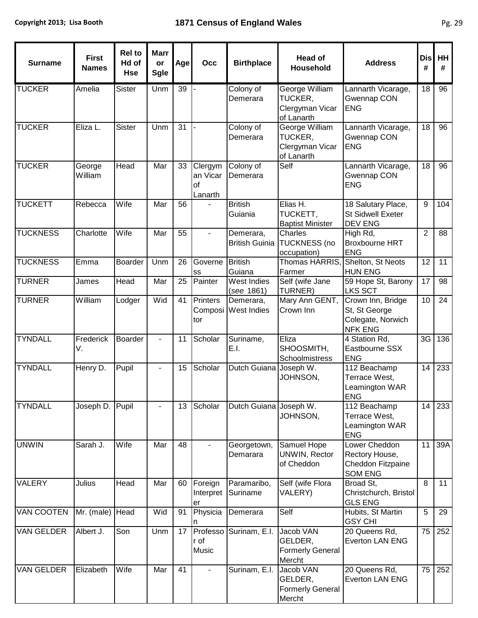| <b>Surname</b>    | <b>First</b><br><b>Names</b> | <b>Rel to</b><br>Hd of<br><b>Hse</b> | <b>Marr</b><br>or<br>Sgle | Age | Occ                                  | <b>Birthplace</b>                  | <b>Head of</b><br>Household                                | <b>Address</b>                                                            | <b>Dis</b><br># | HH<br>#         |
|-------------------|------------------------------|--------------------------------------|---------------------------|-----|--------------------------------------|------------------------------------|------------------------------------------------------------|---------------------------------------------------------------------------|-----------------|-----------------|
| <b>TUCKER</b>     | Amelia                       | <b>Sister</b>                        | Unm                       | 39  |                                      | Colony of<br>Demerara              | George William<br>TUCKER,<br>Clergyman Vicar<br>of Lanarth | Lannarth Vicarage,<br>Gwennap CON<br><b>ENG</b>                           | 18              | 96              |
| <b>TUCKER</b>     | Eliza L.                     | <b>Sister</b>                        | Unm                       | 31  |                                      | Colony of<br>Demerara              | George William<br>TUCKER,<br>Clergyman Vicar<br>of Lanarth | Lannarth Vicarage,<br>Gwennap CON<br><b>ENG</b>                           | 18              | 96              |
| <b>TUCKER</b>     | George<br>William            | Head                                 | Mar                       | 33  | Clergym<br>an Vicar<br>of<br>Lanarth | Colony of<br>Demerara              | Self                                                       | Lannarth Vicarage,<br>Gwennap CON<br><b>ENG</b>                           | 18              | 96              |
| <b>TUCKETT</b>    | Rebecca                      | Wife                                 | Mar                       | 56  |                                      | <b>British</b><br>Guiania          | Elias H.<br>TUCKETT,<br><b>Baptist Minister</b>            | 18 Salutary Place,<br><b>St Sidwell Exeter</b><br><b>DEV ENG</b>          | 9               | 104             |
| <b>TUCKNESS</b>   | Charlotte                    | Wife                                 | Mar                       | 55  | $\blacksquare$                       | Demerara,<br><b>British Guinia</b> | Charles<br><b>TUCKNESS</b> (no<br>occupation)              | High $Rd$ ,<br><b>Broxbourne HRT</b><br><b>ENG</b>                        | $\overline{2}$  | 88              |
| <b>TUCKNESS</b>   | Emma                         | <b>Boarder</b>                       | Unm                       | 26  | Governe<br>SS                        | <b>British</b><br>Guiana           | Thomas HARRIS,<br>Farmer                                   | Shelton, St Neots<br><b>HUN ENG</b>                                       | 12              | 11              |
| <b>TURNER</b>     | James                        | <b>Head</b>                          | Mar                       | 25  | Painter                              | West Indies<br>(see 1861)          | Self (wife Jane<br>TURNER)                                 | 59 Hope St, Barony<br>LKS SCT                                             | $\overline{17}$ | 98              |
| <b>TURNER</b>     | William                      | Lodger                               | Wid                       | 41  | Printers<br>Composi<br>tor           | Demerara,<br><b>West Indies</b>    | Mary Ann GENT,<br>Crown Inn                                | Crown Inn, Bridge<br>St, St George<br>Colegate, Norwich<br><b>NFK ENG</b> | 10              | $\overline{24}$ |
| <b>TYNDALL</b>    | Frederick<br>V.              | Boarder                              | $\overline{\phantom{0}}$  | 11  | Scholar                              | Suriname,<br>E.I.                  | Eliza<br>SHOOSMITH,<br>Schoolmistress                      | 4 Station Rd,<br>Eastbourne SSX<br><b>ENG</b>                             | 3G              | 136             |
| <b>TYNDALL</b>    | Henry D.                     | Pupil                                | -                         | 15  | Scholar                              | Dutch Guiana Joseph W.             | JOHNSON,                                                   | 112 Beachamp<br>Terrace West,<br>Leamington WAR<br><b>ENG</b>             | 14              | 233             |
| <b>TYNDALL</b>    | Joseph D.                    | Pupil                                |                           | 13  | Scholar                              | Dutch Guiana Joseph W.             | JOHNSON,                                                   | 112 Beachamp<br>Terrace West,<br>Leamington WAR<br><b>ENG</b>             | 14              | 233             |
| <b>UNWIN</b>      | Sarah J.                     | Wife                                 | Mar                       | 48  |                                      | Georgetown,<br>Demarara            | Samuel Hope<br>UNWIN, Rector<br>of Cheddon                 | Lower Cheddon<br>Rectory House,<br>Cheddon Fitzpaine<br><b>SOM ENG</b>    | 11              | 39A             |
| <b>VALERY</b>     | Julius                       | Head                                 | Mar                       | 60  | Foreign<br>Interpret<br>er           | Paramaribo,<br>Suriname            | Self (wife Flora<br>VALERY)                                | Broad St,<br>Christchurch, Bristol<br><b>GLS ENG</b>                      | 8               | 11              |
| <b>VAN COOTEN</b> | Mr. (male)                   | <b>Head</b>                          | Wid                       | 91  | Physicia                             | Demerara                           | Self                                                       | Hubits, St Martin<br><b>GSY CHI</b>                                       | $\overline{5}$  | 29              |
| <b>VAN GELDER</b> | Albert J.                    | Son                                  | Unm                       | 17  | Professo<br>r of<br>Music            | Surinam, E.I.                      | Jacob VAN<br>GELDER,<br><b>Formerly General</b><br>Mercht  | 20 Queens Rd,<br>Everton LAN ENG                                          | 75              | 252             |
| <b>VAN GELDER</b> | Elizabeth                    | Wife                                 | Mar                       | 41  |                                      | Surinam, E.I.                      | Jacob VAN<br>GELDER,<br><b>Formerly General</b><br>Mercht  | 20 Queens Rd,<br>Everton LAN ENG                                          | 75              | 252             |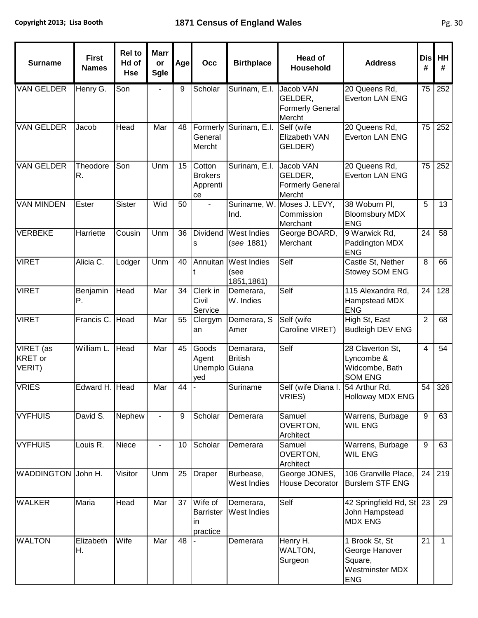| <b>Surname</b>                 | <b>First</b><br><b>Names</b> | <b>Rel to</b><br>Hd of<br><b>Hse</b> | <b>Marr</b><br>or<br><b>Sgle</b> | Age | Occ                                           | <b>Birthplace</b>                        | <b>Head of</b><br><b>Household</b>                        | <b>Address</b>                                                                      | <b>Dis</b><br># | HH<br>#      |
|--------------------------------|------------------------------|--------------------------------------|----------------------------------|-----|-----------------------------------------------|------------------------------------------|-----------------------------------------------------------|-------------------------------------------------------------------------------------|-----------------|--------------|
| <b>VAN GELDER</b>              | Henry G.                     | Son                                  |                                  | 9   | Scholar                                       | Surinam, E.I.                            | Jacob VAN<br>GELDER,<br><b>Formerly General</b><br>Mercht | 20 Queens Rd,<br><b>Everton LAN ENG</b>                                             | 75              | 252          |
| <b>VAN GELDER</b>              | Jacob                        | Head                                 | Mar                              | 48  | Formerly<br>General<br>Mercht                 | Surinam, E.I.                            | Self (wife<br>Elizabeth VAN<br>GELDER)                    | 20 Queens Rd,<br><b>Everton LAN ENG</b>                                             | 75              | 252          |
| <b>VAN GELDER</b>              | Theodore<br>R.               | Son                                  | Unm                              | 15  | Cotton<br><b>Brokers</b><br>Apprenti<br>ce    | Surinam, E.I.                            | Jacob VAN<br>GELDER,<br><b>Formerly General</b><br>Mercht | 20 Queens Rd,<br><b>Everton LAN ENG</b>                                             | 75              | 252          |
| <b>VAN MINDEN</b>              | Ester                        | <b>Sister</b>                        | Wid                              | 50  | $\blacksquare$                                | Suriname, W<br>Ind.                      | Moses J. LEVY,<br>Commission<br>Merchant                  | 38 Woburn Pl,<br><b>Bloomsbury MDX</b><br><b>ENG</b>                                | 5               | 13           |
| <b>VERBEKE</b>                 | Harriette                    | Cousin                               | Unm                              | 36  | <b>Dividend</b><br>s                          | West Indies<br>(see 1881)                | George BOARD,<br>Merchant                                 | 9 Warwick Rd,<br>Paddington MDX<br><b>ENG</b>                                       | 24              | 58           |
| <b>VIRET</b>                   | Alicia C.                    | Lodger                               | Unm                              | 40  | Annuitan                                      | <b>West Indies</b><br>(see<br>1851,1861) | Self                                                      | Castle St, Nether<br>Stowey SOM ENG                                                 | 8               | 66           |
| <b>VIRET</b>                   | Benjamin<br>Ρ.               | Head                                 | Mar                              | 34  | Clerk in<br>Civil<br>Service                  | Demerara,<br>W. Indies                   | Self                                                      | 115 Alexandra Rd,<br>Hampstead MDX<br><b>ENG</b>                                    | $\overline{24}$ | 128          |
| <b>VIRET</b>                   | Francis C.                   | Head                                 | Mar                              | 55  | Clergym<br>an                                 | Demerara, S<br>Amer                      | Self (wife<br>Caroline VIRET)                             | High St, East<br><b>Budleigh DEV ENG</b>                                            | $\overline{2}$  | 68           |
| VIRET (as<br>KRET or<br>VERIT) | William L.                   | Head                                 | Mar                              | 45  | Goods<br>Agent<br>Unemplo<br>yed              | Demarara,<br><b>British</b><br>Guiana    | Self                                                      | 28 Claverton St,<br>Lyncombe &<br>Widcombe, Bath<br><b>SOM ENG</b>                  | $\overline{4}$  | 54           |
| <b>VRIES</b>                   | Edward H. Head               |                                      | Mar                              | 44  |                                               | Suriname                                 | Self (wife Diana I.<br>VRIES)                             | 54 Arthur Rd.<br><b>Holloway MDX ENG</b>                                            | 54              | 326          |
| <b>VYFHUIS</b>                 | David S.                     | Nephew                               |                                  | 9   | Scholar                                       | Demerara                                 | Samuel<br>OVERTON,<br>Architect                           | Warrens, Burbage<br><b>WIL ENG</b>                                                  | 9               | 63           |
| <b>VYFHUIS</b>                 | Louis R.                     | Niece                                |                                  | 10  | Scholar                                       | Demerara                                 | Samuel<br>OVERTON,<br>Architect                           | Warrens, Burbage<br><b>WIL ENG</b>                                                  | 9               | 63           |
| <b>WADDINGTON</b>              | John H.                      | Visitor                              | Unm                              | 25  | <b>Draper</b>                                 | Burbease,<br>West Indies                 | George JONES,<br>House Decorator                          | 106 Granville Place,<br><b>Burslem STF ENG</b>                                      | 24              | 219          |
| <b>WALKER</b>                  | Maria                        | Head                                 | Mar                              | 37  | Wife of<br><b>Barrister</b><br>in<br>practice | Demerara,<br>West Indies                 | Self                                                      | 42 Springfield Rd, St 23<br>John Hampstead<br><b>MDX ENG</b>                        |                 | 29           |
| <b>WALTON</b>                  | Elizabeth<br>Η.              | Wife                                 | Mar                              | 48  |                                               | Demerara                                 | Henry H.<br>WALTON,<br>Surgeon                            | 1 Brook St, St<br>George Hanover<br>Square,<br><b>Westminster MDX</b><br><b>ENG</b> | 21              | $\mathbf{1}$ |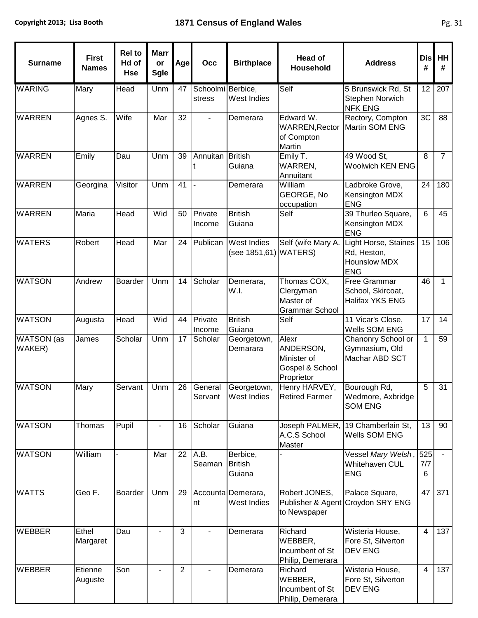| <b>Surname</b>       | <b>First</b><br><b>Names</b> | <b>Rel to</b><br>Hd of<br><b>Hse</b> | <b>Marr</b><br>or<br><b>Sgle</b> | Age            | Occ                         | <b>Birthplace</b>                           | <b>Head of</b><br>Household                                        | <b>Address</b>                                                           | <b>Dis</b><br># | HH<br>#        |
|----------------------|------------------------------|--------------------------------------|----------------------------------|----------------|-----------------------------|---------------------------------------------|--------------------------------------------------------------------|--------------------------------------------------------------------------|-----------------|----------------|
| <b>WARING</b>        | Mary                         | Head                                 | Unm                              | 47             | Schoolmi Berbice,<br>stress | West Indies                                 | Self                                                               | 5 Brunswick Rd, St<br>Stephen Norwich<br><b>NFK ENG</b>                  | 12              | 207            |
| <b>WARREN</b>        | Agnes S.                     | Wife                                 | Mar                              | 32             |                             | Demerara                                    | Edward W.<br><b>WARREN, Rector</b><br>of Compton<br>Martin         | Rectory, Compton<br>Martin SOM ENG                                       | 3C              | 88             |
| <b>WARREN</b>        | Emily                        | Dau                                  | Unm                              | 39             | Annuitan                    | <b>British</b><br>Guiana                    | Emily T.<br>WARREN,<br>Annuitant                                   | 49 Wood St,<br><b>Woolwich KEN ENG</b>                                   | 8               | $\overline{7}$ |
| <b>WARREN</b>        | Georgina                     | Visitor                              | Unm                              | 41             |                             | Demerara                                    | William<br>GEORGE, No<br>occupation                                | Ladbroke Grove,<br>Kensington MDX<br><b>ENG</b>                          | 24              | 180            |
| <b>WARREN</b>        | Maria                        | Head                                 | Wid                              | 50             | Private<br>Income           | <b>British</b><br>Guiana                    | Self                                                               | 39 Thurleo Square,<br>Kensington MDX<br><b>ENG</b>                       | $6\phantom{1}$  | 45             |
| <b>WATERS</b>        | Robert                       | Head                                 | Mar                              | 24             | Publican                    | <b>West Indies</b><br>(see 1851,61) WATERS) | Self (wife Mary A.                                                 | Light Horse, Staines<br>Rd, Heston,<br><b>Hounslow MDX</b><br><b>ENG</b> | 15              | 106            |
| <b>WATSON</b>        | Andrew                       | Boarder                              | Unm                              | 14             | Scholar                     | Demerara,<br>W.I.                           | Thomas COX,<br>Clergyman<br>Master of<br><b>Grammar School</b>     | Free Grammar<br>School, Skircoat,<br>Halifax YKS ENG                     | 46              | $\mathbf{1}$   |
| <b>WATSON</b>        | Augusta                      | Head                                 | Wid                              | 44             | Private<br>Income           | <b>British</b><br>Guiana                    | Self                                                               | 11 Vicar's Close,<br>Wells SOM ENG                                       | 17              | 14             |
| WATSON (as<br>WAKER) | James                        | Scholar                              | Unm                              | 17             | Scholar                     | Georgetown,<br>Demarara                     | Alexr<br>ANDERSON,<br>Minister of<br>Gospel & School<br>Proprietor | Chanonry School or<br>Gymnasium, Old<br>Machar ABD SCT                   | $\mathbf{1}$    | 59             |
| <b>WATSON</b>        | Mary                         | Servant                              | Unm                              | 26             | General<br>Servant          | Georgetown,<br><b>West Indies</b>           | Henry HARVEY,<br><b>Retired Farmer</b>                             | Bourough Rd,<br>Wedmore, Axbridge<br><b>SOM ENG</b>                      | 5               | 31             |
| <b>WATSON</b>        | Thomas                       | Pupil                                |                                  | 16             | Scholar                     | Guiana                                      | Joseph PALMER,<br>A.C.S School<br>Master                           | 19 Chamberlain St,<br>Wells SOM ENG                                      | 13              | 90             |
| <b>WATSON</b>        | William                      |                                      | Mar                              | 22             | A.B.<br>Seaman              | Berbice,<br><b>British</b><br>Guiana        |                                                                    | Vessel Mary Welsh,<br>Whitehaven CUL<br><b>ENG</b>                       | 525<br>7/7<br>6 |                |
| <b>WATTS</b>         | Geo F.                       | Boarder                              | Unm                              | 29             | nt                          | Accounta Demerara,<br>West Indies           | Robert JONES,<br>to Newspaper                                      | Palace Square,<br>Publisher & Agent Croydon SRY ENG                      | 47              | 371            |
| <b>WEBBER</b>        | Ethel<br>Margaret            | Dau                                  |                                  | 3              |                             | Demerara                                    | Richard<br>WEBBER,<br>Incumbent of St<br>Philip, Demerara          | Wisteria House,<br>Fore St, Silverton<br><b>DEV ENG</b>                  | $\overline{4}$  | 137            |
| <b>WEBBER</b>        | Etienne<br>Auguste           | Son                                  |                                  | $\overline{2}$ |                             | Demerara                                    | Richard<br>WEBBER,<br>Incumbent of St<br>Philip, Demerara          | Wisteria House,<br>Fore St, Silverton<br>DEV ENG                         | $\overline{4}$  | 137            |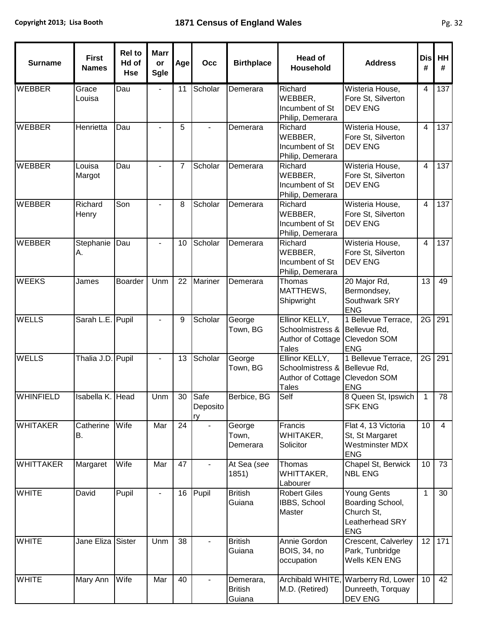| <b>Surname</b>   | <b>First</b><br><b>Names</b> | <b>Rel to</b><br>Hd of<br><b>Hse</b> | <b>Marr</b><br>or<br><b>Sgle</b> | Age | Occ                       | <b>Birthplace</b>                     | <b>Head of</b><br><b>Household</b>                                                                | <b>Address</b>                                                                 | <b>Dis</b><br># | HH<br>#        |
|------------------|------------------------------|--------------------------------------|----------------------------------|-----|---------------------------|---------------------------------------|---------------------------------------------------------------------------------------------------|--------------------------------------------------------------------------------|-----------------|----------------|
| <b>WEBBER</b>    | Grace<br>Louisa              | Dau                                  |                                  | 11  | Scholar                   | Demerara                              | Richard<br>WEBBER,<br>Incumbent of St<br>Philip, Demerara                                         | Wisteria House,<br>Fore St, Silverton<br><b>DEV ENG</b>                        | $\overline{4}$  | 137            |
| <b>WEBBER</b>    | Henrietta                    | Dau                                  |                                  | 5   |                           | Demerara                              | Richard<br>WEBBER,<br>Incumbent of St<br>Philip, Demerara                                         | Wisteria House,<br>Fore St, Silverton<br><b>DEV ENG</b>                        | $\overline{4}$  | 137            |
| <b>WEBBER</b>    | Louisa<br>Margot             | Dau                                  |                                  | 7   | Scholar                   | Demerara                              | Richard<br>WEBBER,<br>Incumbent of St<br>Philip, Demerara                                         | Wisteria House,<br>Fore St, Silverton<br><b>DEV ENG</b>                        | $\overline{4}$  | 137            |
| <b>WEBBER</b>    | Richard<br>Henry             | Son                                  | $\blacksquare$                   | 8   | Scholar                   | Demerara                              | Richard<br>WEBBER,<br>Incumbent of St<br>Philip, Demerara                                         | Wisteria House,<br>Fore St, Silverton<br><b>DEV ENG</b>                        | $\overline{4}$  | 137            |
| <b>WEBBER</b>    | Stephanie<br>А.              | Dau                                  |                                  | 10  | Scholar                   | Demerara                              | Richard<br>WEBBER,<br>Incumbent of St<br>Philip, Demerara                                         | Wisteria House,<br>Fore St, Silverton<br><b>DEV ENG</b>                        | $\overline{4}$  | 137            |
| <b>WEEKS</b>     | James                        | <b>Boarder</b>                       | Unm                              | 22  | <b>Mariner</b>            | Demerara                              | Thomas<br>MATTHEWS,<br>Shipwright                                                                 | 20 Major Rd,<br>Bermondsey,<br>Southwark SRY<br><b>ENG</b>                     | 13              | 49             |
| <b>WELLS</b>     | Sarah L.E. Pupil             |                                      |                                  | 9   | Scholar                   | George<br>Town, BG                    | Ellinor KELLY,<br>Schoolmistress & Bellevue Rd,<br>Author of Cottage Clevedon SOM<br><b>Tales</b> | 1 Bellevue Terrace,<br><b>ENG</b>                                              | 2G              | 291            |
| <b>WELLS</b>     | Thalia J.D. Pupil            |                                      |                                  | 13  | Scholar                   | George<br>Town, BG                    | Ellinor KELLY,<br>Schoolmistress & Bellevue Rd,<br>Author of Cottage<br><b>Tales</b>              | 1 Bellevue Terrace,<br>Clevedon SOM<br><b>ENG</b>                              | 2G              | 291            |
| <b>WHINFIELD</b> | Isabella K. Head             |                                      | Unm                              |     | 30 Safe<br>Deposito<br>rv | Berbice, BG                           | Self                                                                                              | 8 Queen St, Ipswich<br><b>SFK ENG</b>                                          | 1               | 78             |
| <b>WHITAKER</b>  | Catherine<br>В.              | Wife                                 | Mar                              | 24  |                           | George<br>Town,<br>Demerara           | Francis<br>WHITAKER,<br>Solicitor                                                                 | Flat 4, 13 Victoria<br>St, St Margaret<br>Westminster MDX<br><b>ENG</b>        | 10              | $\overline{4}$ |
| <b>WHITTAKER</b> | Margaret                     | Wife                                 | Mar                              | 47  |                           | At Sea (see<br>1851)                  | Thomas<br>WHITTAKER,<br>Labourer                                                                  | Chapel St, Berwick<br><b>NBL ENG</b>                                           | 10              | 73             |
| <b>WHITE</b>     | David                        | Pupil                                |                                  | 16  | Pupil                     | <b>British</b><br>Guiana              | <b>Robert Giles</b><br>IBBS, School<br>Master                                                     | Young Gents<br>Boarding School,<br>Church St,<br>Leatherhead SRY<br><b>ENG</b> | $\overline{1}$  | 30             |
| <b>WHITE</b>     | Jane Eliza                   | Sister                               | Unm                              | 38  |                           | <b>British</b><br>Guiana              | Annie Gordon<br><b>BOIS, 34, no</b><br>occupation                                                 | Crescent, Calverley<br>Park, Tunbridge<br>Wells KEN ENG                        | 12              | 171            |
| <b>WHITE</b>     | Mary Ann                     | Wife                                 | Mar                              | 40  |                           | Demerara,<br><b>British</b><br>Guiana | Archibald WHITE,<br>M.D. (Retired)                                                                | Warberry Rd, Lower<br>Dunreeth, Torquay<br>DEV ENG                             | 10              | 42             |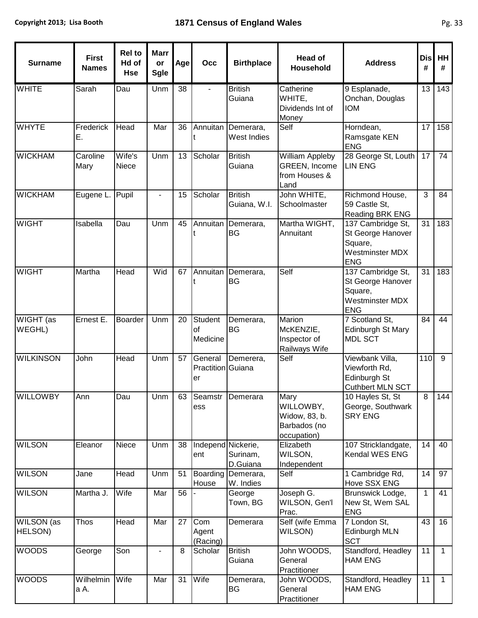| <b>Surname</b>        | <b>First</b><br><b>Names</b> | <b>Rel to</b><br>Hd of<br><b>Hse</b> | <b>Marr</b><br>or<br><b>Sgle</b> | Age | Occ                                | <b>Birthplace</b>                        | <b>Head of</b><br>Household                                       | <b>Address</b>                                                                            | <b>Dis</b><br># | <b>HH</b><br># |
|-----------------------|------------------------------|--------------------------------------|----------------------------------|-----|------------------------------------|------------------------------------------|-------------------------------------------------------------------|-------------------------------------------------------------------------------------------|-----------------|----------------|
| <b>WHITE</b>          | Sarah                        | Dau                                  | Unm                              | 38  |                                    | <b>British</b><br>Guiana                 | Catherine<br>WHITE,<br>Dividends Int of<br>Money                  | 9 Esplanade,<br>Onchan, Douglas<br><b>IOM</b>                                             | 13              | 143            |
| <b>WHYTE</b>          | Frederick<br>Е.              | Head                                 | Mar                              | 36  |                                    | Annuitan Demerara,<br><b>West Indies</b> | Self                                                              | Horndean,<br>Ramsgate KEN<br><b>ENG</b>                                                   | 17              | 158            |
| <b>WICKHAM</b>        | Caroline<br>Mary             | Wife's<br>Niece                      | Unm                              | 13  | Scholar                            | <b>British</b><br>Guiana                 | <b>William Appleby</b><br>GREEN, Income<br>from Houses &<br>Land  | 28 George St, Louth<br><b>LIN ENG</b>                                                     | 17              | 74             |
| <b>WICKHAM</b>        | Eugene L.                    | Pupil                                |                                  | 15  | Scholar                            | <b>British</b><br>Guiana, W.I.           | John WHITE,<br>Schoolmaster                                       | Richmond House,<br>59 Castle St,<br>Reading BRK ENG                                       | 3               | 84             |
| <b>WIGHT</b>          | Isabella                     | Dau                                  | Unm                              | 45  |                                    | Annuitan Demerara,<br><b>BG</b>          | Martha WIGHT,<br>Annuitant                                        | 137 Cambridge St,<br>St George Hanover<br>Square,<br><b>Westminster MDX</b><br><b>ENG</b> | 31              | 183            |
| <b>WIGHT</b>          | Martha                       | Head                                 | Wid                              | 67  | Annuitan                           | Demerara,<br><b>BG</b>                   | Self                                                              | 137 Cambridge St,<br>St George Hanover<br>Square,<br>Westminster MDX<br><b>ENG</b>        | 31              | 183            |
| WIGHT (as<br>WEGHL)   | Ernest E.                    | Boarder                              | Unm                              | 20  | Student<br>of<br>Medicine          | Demerara,<br><b>BG</b>                   | Marion<br>McKENZIE,<br>Inspector of<br>Railways Wife              | 7 Scotland St,<br>Edinburgh St Mary<br><b>MDL SCT</b>                                     | 84              | 44             |
| <b>WILKINSON</b>      | John                         | Head                                 | Unm                              | 57  | General<br>Practition Guiana<br>er | Demerera,                                | Self                                                              | Viewbank Villa,<br>Viewforth Rd,<br>Edinburgh St<br>Cuthbert MLN SCT                      | 110             | 9              |
| <b>WILLOWBY</b>       | Ann                          | Dau                                  | Unm                              |     | ess                                | 63 Seamstr Demerara                      | Mary<br>WILLOWBY,<br>Widow, 83, b.<br>Barbados (no<br>occupation) | 10 Hayles St, St<br>George, Southwark<br><b>SRY ENG</b>                                   | $\overline{8}$  | 144            |
| <b>WILSON</b>         | Eleanor                      | Niece                                | Unm                              | 38  | Independ Nickerie,<br>ent          | Surinam,<br>D.Guiana                     | Elizabeth<br>WILSON,<br>Independent                               | 107 Stricklandgate,<br>Kendal WES ENG                                                     | 14              | 40             |
| <b>WILSON</b>         | Jane                         | Head                                 | Unm                              | 51  | Boarding<br>House                  | Demerara,<br>W. Indies                   | Self                                                              | 1 Cambridge Rd,<br>Hove SSX ENG                                                           | 14              | 97             |
| <b>WILSON</b>         | Martha J.                    | Wife                                 | Mar                              | 56  |                                    | George<br>Town, BG                       | Joseph G.<br>WILSON, Gen'l<br>Prac.                               | Brunswick Lodge,<br>New St, Wem SAL<br><b>ENG</b>                                         | 1               | 41             |
| WILSON (as<br>HELSON) | <b>Thos</b>                  | Head                                 | Mar                              | 27  | Com<br>Agent<br>(Racing)           | Demerara                                 | Self (wife Emma<br>WILSON)                                        | 7 London St,<br>Edinburgh MLN<br><b>SCT</b>                                               | 43              | 16             |
| <b>WOODS</b>          | George                       | Son                                  | $\overline{a}$                   | 8   | Scholar                            | <b>British</b><br>Guiana                 | John WOODS,<br>General<br>Practitioner                            | Standford, Headley<br><b>HAM ENG</b>                                                      | 11              | $\mathbf{1}$   |
| <b>WOODS</b>          | Wilhelmin<br>a A.            | Wife                                 | Mar                              | 31  | Wife                               | Demerara,<br>BG                          | John WOODS,<br>General<br>Practitioner                            | Standford, Headley<br><b>HAM ENG</b>                                                      | 11              | $\mathbf{1}$   |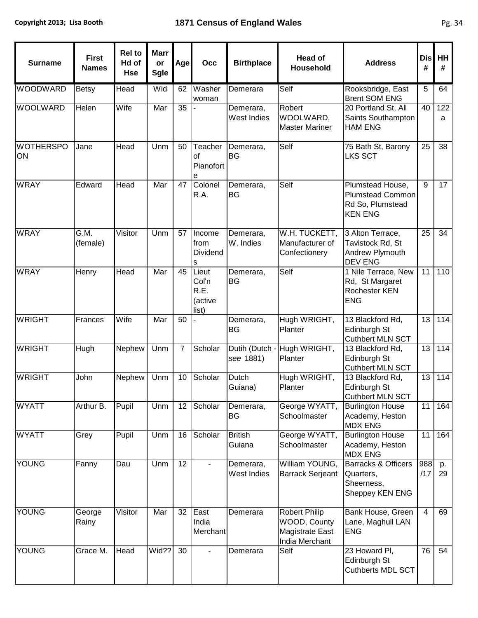| <b>Surname</b>         | <b>First</b><br><b>Names</b> | <b>Rel to</b><br>Hd of<br><b>Hse</b> | <b>Marr</b><br>or<br><b>Sgle</b> | Age            | Occ                                        | <b>Birthplace</b>         | Head of<br>Household                                                      | <b>Address</b>                                                               | <b>Dis</b><br># | HH<br>#           |
|------------------------|------------------------------|--------------------------------------|----------------------------------|----------------|--------------------------------------------|---------------------------|---------------------------------------------------------------------------|------------------------------------------------------------------------------|-----------------|-------------------|
| <b>WOODWARD</b>        | <b>Betsy</b>                 | Head                                 | Wid                              | 62             | Washer<br>woman                            | Demerara                  | Self                                                                      | Rooksbridge, East<br><b>Brent SOM ENG</b>                                    | 5               | 64                |
| <b>WOOLWARD</b>        | Helen                        | Wife                                 | Mar                              | 35             |                                            | Demerara,<br>West Indies  | Robert<br>WOOLWARD,<br><b>Master Mariner</b>                              | 20 Portland St, All<br>Saints Southampton<br><b>HAM ENG</b>                  | 40              | 122<br>a          |
| <b>WOTHERSPO</b><br>ON | Jane                         | Head                                 | Unm                              | 50             | Teacher<br>of<br>Pianofort<br>е            | Demerara,<br><b>BG</b>    | Self                                                                      | 75 Bath St, Barony<br><b>LKS SCT</b>                                         | 25              | 38                |
| <b>WRAY</b>            | Edward                       | Head                                 | Mar                              | 47             | Colonel<br>R.A.                            | Demerara,<br><b>BG</b>    | Self                                                                      | Plumstead House,<br>Plumstead Common<br>Rd So, Plumstead<br><b>KEN ENG</b>   | 9               | 17                |
| <b>WRAY</b>            | G.M.<br>(female)             | Visitor                              | Unm                              | 57             | Income<br>from<br>Dividend<br>s            | Demerara,<br>W. Indies    | W.H. TUCKETT,<br>Manufacturer of<br>Confectionery                         | 3 Alton Terrace,<br>Tavistock Rd, St<br>Andrew Plymouth<br><b>DEV ENG</b>    | 25              | 34                |
| <b>WRAY</b>            | Henry                        | Head                                 | Mar                              | 45             | Lieut<br>Col'n<br>R.E.<br>(active<br>list) | Demerara,<br><b>BG</b>    | Self                                                                      | 1 Nile Terrace, New<br>Rd, St Margaret<br>Rochester KEN<br><b>ENG</b>        | 11              | 110               |
| <b>WRIGHT</b>          | Frances                      | Wife                                 | Mar                              | 50             |                                            | Demerara,<br><b>BG</b>    | Hugh WRIGHT,<br>Planter                                                   | 13 Blackford Rd,<br>Edinburgh St<br><b>Cuthbert MLN SCT</b>                  | 13              | $\frac{114}{114}$ |
| <b>WRIGHT</b>          | Hugh                         | Nephew                               | Unm                              | $\overline{7}$ | Scholar                                    | Dutih (Dutch<br>see 1881) | Hugh WRIGHT,<br>Planter                                                   | 13 Blackford Rd,<br>Edinburgh St<br><b>Cuthbert MLN SCT</b>                  | 13              | 114               |
| <b>WRIGHT</b>          | John                         | Nephew                               | Unm                              | 10             | Scholar                                    | Dutch<br>Guiana)          | Hugh WRIGHT,<br>Planter                                                   | 13 Blackford Rd,<br>Edinburgh St<br><b>Cuthbert MLN SCT</b>                  | 13              | 114               |
| <b>WYATT</b>           | Arthur B.                    | Pupil                                | Unm                              | 12             | Scholar                                    | Demerara,<br><b>BG</b>    | George WYATT,<br>Schoolmaster                                             | <b>Burlington House</b><br>Academy, Heston<br><b>MDX ENG</b>                 | 11              | 164               |
| <b>WYATT</b>           | Grey                         | Pupil                                | Unm                              | 16             | Scholar                                    | <b>British</b><br>Guiana  | George WYATT,<br>Schoolmaster                                             | <b>Burlington House</b><br>Academy, Heston<br><b>MDX ENG</b>                 | 11              | 164               |
| <b>YOUNG</b>           | Fanny                        | Dau                                  | Unm                              | 12             |                                            | Demerara,<br>West Indies  | William YOUNG,<br><b>Barrack Serjeant</b>                                 | <b>Barracks &amp; Officers</b><br>Quarters,<br>Sheerness,<br>Sheppey KEN ENG | 988<br>/17      | p.<br>29          |
| <b>YOUNG</b>           | George<br>Rainy              | Visitor                              | Mar                              | 32             | East<br>India<br>Merchant                  | Demerara                  | <b>Robert Philip</b><br>WOOD, County<br>Magistrate East<br>India Merchant | Bank House, Green<br>Lane, Maghull LAN<br><b>ENG</b>                         | $\overline{4}$  | 69                |
| YOUNG                  | Grace M.                     | Head                                 | Wid??                            | 30             |                                            | Demerara                  | Self                                                                      | 23 Howard PI,<br>Edinburgh St<br>Cuthberts MDL SCT                           | 76              | 54                |